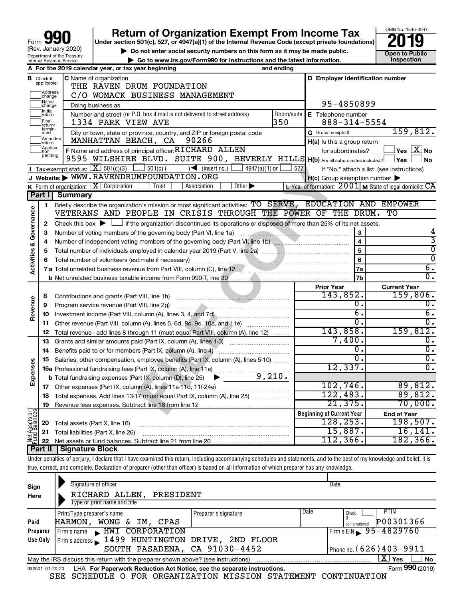| 990<br>Form                                                   |
|---------------------------------------------------------------|
| (Rev. January 2020)                                           |
| Department of the Treasury<br><b>Internal Revenue Service</b> |

# **Return of Organization Exempt From Income Tax**<br>r section 501(c), 527, or 4947(a)(1) of the Internal Revenue Code (except private foundations)<br>**2019**

**Under section 501(c), 527, or 4947(a)(1) of the Internal Revenue Code (except private foundations)**



▶ Do not enter social security numbers on this form as it may be made public. <br>**● Go to www.irs.gov/Form990 for instructions and the latest information.** Inspection **| Go to www.irs.gov/Form990 for instructions and the latest information. Inspection**

|                                |                               | A For the 2019 calendar year, or tax year beginning                                                                                          | and ending |                                                     |                                                                                             |
|--------------------------------|-------------------------------|----------------------------------------------------------------------------------------------------------------------------------------------|------------|-----------------------------------------------------|---------------------------------------------------------------------------------------------|
|                                | <b>B</b> Check if applicable: | <b>C</b> Name of organization<br>THE RAVEN DRUM FOUNDATION                                                                                   |            | D Employer identification number                    |                                                                                             |
|                                | Address<br>change             | C/O WOMACK BUSINESS MANAGEMENT                                                                                                               |            |                                                     |                                                                                             |
|                                | Name<br>change                | Doing business as                                                                                                                            |            | 95-4850899                                          |                                                                                             |
|                                | Initial<br>]return            | Number and street (or P.O. box if mail is not delivered to street address)                                                                   | Room/suite | E Telephone number                                  |                                                                                             |
|                                | <br>Final<br> return/         | 1334 PARK VIEW AVE                                                                                                                           | 350        | $888 - 314 - 5554$                                  |                                                                                             |
|                                | termin-<br>ated               | City or town, state or province, country, and ZIP or foreign postal code                                                                     |            | G Gross receipts \$                                 | 159,812.                                                                                    |
|                                | Amended<br>Ireturn            | MANHATTAN BEACH, CA<br>90266                                                                                                                 |            | $H(a)$ is this a group return                       |                                                                                             |
|                                | Applica-<br>pending           | F Name and address of principal officer: RTCHARD ALLEN                                                                                       |            | for subordinates?                                   | $\left\vert \mathsf{Yes}\right\vert \overline{\mathsf{X}}\left\vert \mathsf{No}\right\vert$ |
|                                |                               | 9595 WILSHIRE BLVD. SUITE 900, BEVERLY HILLS H(b) Are all subordinates included?   Yes                                                       |            |                                                     | ∣No                                                                                         |
|                                |                               | <b>I</b> Tax-exempt status: $\boxed{\mathbf{X}}$ 501(c)(3) $\boxed{\phantom{0}}$ 501(c)(<br>$\left  \bigwedge$ (insert no.)<br>4947(a)(1) or | 527        |                                                     | If "No," attach a list. (see instructions)                                                  |
|                                |                               | J Website: WWW.RAVENDRUMFOUNDATION.ORG                                                                                                       |            | $H(c)$ Group exemption number $\blacktriangleright$ |                                                                                             |
|                                |                               | K Form of organization:   X Corporation<br>Other $\blacktriangleright$<br>Trust<br>Association                                               |            |                                                     | L Year of formation: $2001$ M State of legal domicile: CA                                   |
|                                | Part I                        | <b>Summary</b>                                                                                                                               |            |                                                     |                                                                                             |
|                                | 1                             | Briefly describe the organization's mission or most significant activities: TO SERVE, EDUCATION AND EMPOWER                                  |            |                                                     |                                                                                             |
| Governance                     |                               | VETERANS AND PEOPLE IN CRISIS THROUGH THE POWER OF THE DRUM.                                                                                 |            |                                                     | TО                                                                                          |
|                                | 2                             | Check this box $\blacktriangleright$ $\Box$ if the organization discontinued its operations or disposed of more than 25% of its net assets.  |            |                                                     |                                                                                             |
|                                | 3                             |                                                                                                                                              |            | 3<br>$\overline{4}$                                 | 4<br>3                                                                                      |
|                                | 4                             |                                                                                                                                              |            | $\overline{5}$                                      | $\overline{0}$                                                                              |
|                                | 5                             |                                                                                                                                              |            |                                                     | $\overline{0}$                                                                              |
| <b>Activities &amp;</b>        | 6                             |                                                                                                                                              |            | 6                                                   | $\overline{6}$ .                                                                            |
|                                |                               |                                                                                                                                              |            | 7a<br>7b                                            | $\overline{0}$ .                                                                            |
|                                |                               |                                                                                                                                              |            | <b>Prior Year</b>                                   | <b>Current Year</b>                                                                         |
|                                | 8                             |                                                                                                                                              |            | 143,852.                                            | 159,806.                                                                                    |
|                                | 9                             |                                                                                                                                              |            | 0.                                                  | Ο.                                                                                          |
| Revenue                        | 10                            | Investment income (Part VIII, column (A), lines 3, 4, and 7d) [Conservent income (Part VIII, column (A), lines 3, 4, and 7d)                 |            | $\overline{6}$ .                                    | $\overline{6}$ .                                                                            |
|                                | 11                            | Other revenue (Part VIII, column (A), lines 5, 6d, 8c, 9c, 10c, and 11e)                                                                     |            | $\overline{0}$ .                                    | $\overline{0}$ .                                                                            |
|                                | 12                            | Total revenue - add lines 8 through 11 (must equal Part VIII, column (A), line 12)                                                           |            | 143,858.                                            | 159,812.                                                                                    |
|                                | 13                            | Grants and similar amounts paid (Part IX, column (A), lines 1-3)                                                                             |            | 7,400.                                              | $\overline{0}$ .                                                                            |
|                                | 14                            |                                                                                                                                              |            | 0.                                                  | $\overline{0}$ .                                                                            |
|                                | 15                            | Salaries, other compensation, employee benefits (Part IX, column (A), lines 5-10)                                                            |            | σ.                                                  | $\overline{0}$ .                                                                            |
| Expenses                       |                               | 16a Professional fundraising fees (Part IX, column (A), line 11e)                                                                            |            | 12,337.                                             | $\overline{0}$ .                                                                            |
|                                |                               | 9,210.<br><b>b</b> Total fundraising expenses (Part IX, column (D), line 25)<br>▶                                                            |            |                                                     |                                                                                             |
|                                | 17                            |                                                                                                                                              |            | 102,746.                                            | 89,812.                                                                                     |
|                                | 18                            | Total expenses. Add lines 13-17 (must equal Part IX, column (A), line 25)                                                                    |            | 122,483.                                            | 89,812.                                                                                     |
|                                | 19                            |                                                                                                                                              |            | 21,375.                                             | 70,000.                                                                                     |
|                                |                               |                                                                                                                                              |            | <b>Beginning of Current Year</b>                    | <b>End of Year</b>                                                                          |
|                                | 20                            | Total assets (Part X, line 16)                                                                                                               |            | 128, 253.                                           | 198,507.                                                                                    |
| Net Assets or<br>Fund Balances | 21                            | Total liabilities (Part X, line 26)                                                                                                          |            | 15,887.                                             | 16, 141.                                                                                    |
|                                |                               |                                                                                                                                              |            | 112, 366.                                           | 182, 366.                                                                                   |
|                                |                               | Dart II   Sianature Block                                                                                                                    |            |                                                     |                                                                                             |

Under penalties of perjury, I declare that I have examined this return, including accompanying schedules and statements, and to the best of my knowledge and belief, it is true, correct, and complete. Declaration of preparer (other than officer) is based on all information of which preparer has any knowledge. **Part II Signature Block**

| Sign            | Signature of officer                                                              |                      |      | Date                           |
|-----------------|-----------------------------------------------------------------------------------|----------------------|------|--------------------------------|
| Here            | RICHARD ALLEN,<br>PRESIDENT                                                       |                      |      |                                |
|                 | Type or print name and title                                                      |                      |      |                                |
|                 | Print/Type preparer's name                                                        | Preparer's signature | Date | PTIN<br>Check                  |
| Paid            | WONG & IM, CPAS<br>HARMON ,                                                       |                      |      | P00301366<br>self-emploved     |
| Preparer        | HWI CORPORATION<br>Firm's name                                                    |                      |      | Firm's EIN $\sqrt{95-4829760}$ |
| Use Only        | Firm's address 1499 HUNTINGTON DRIVE, 2ND FLOOR                                   |                      |      |                                |
|                 | SOUTH PASADENA, CA 91030-4452                                                     |                      |      | Phone no. $(626)$ 403 - 9911   |
|                 | May the IRS discuss this return with the preparer shown above? (see instructions) |                      |      | $\mathbf{X}$ Yes<br><b>No</b>  |
| 932001 01-20-20 | LHA For Paperwork Reduction Act Notice, see the separate instructions.            |                      |      | Form 990 (2019)                |

SEE SCHEDULE O FOR ORGANIZATION MISSION STATEMENT CONTINUATION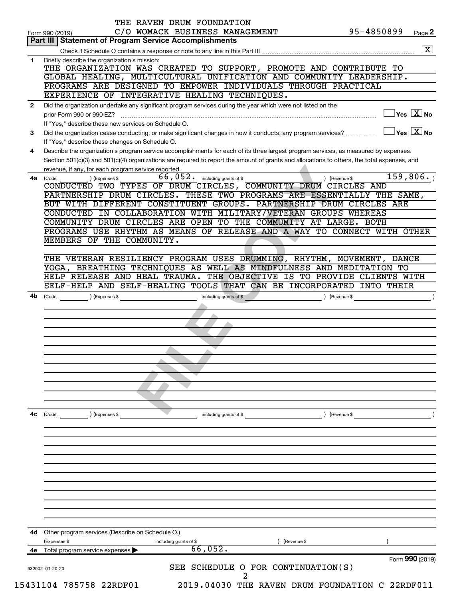|              | THE RAVEN DRUM FOUNDATION<br>95-4850899<br>C/O WOMACK BUSINESS MANAGEMENT<br>Form 990 (2019)                                                                  | Page 2               |
|--------------|---------------------------------------------------------------------------------------------------------------------------------------------------------------|----------------------|
|              | Part III   Statement of Program Service Accomplishments                                                                                                       |                      |
|              |                                                                                                                                                               | $\boxed{\mathbf{X}}$ |
| 1            | Briefly describe the organization's mission:                                                                                                                  |                      |
|              | THE ORGANIZATION WAS CREATED TO SUPPORT, PROMOTE AND CONTRIBUTE TO                                                                                            |                      |
|              | GLOBAL HEALING, MULTICULTURAL UNIFICATION AND COMMUNITY LEADERSHIP.                                                                                           |                      |
|              | PROGRAMS ARE DESIGNED TO EMPOWER INDIVIDUALS THROUGH PRACTICAL                                                                                                |                      |
|              | EXPERIENCE OF INTEGRATIVE HEALING TECHNIQUES.                                                                                                                 |                      |
| $\mathbf{2}$ | Did the organization undertake any significant program services during the year which were not listed on the                                                  |                      |
|              | $\overline{\ }$ Yes $\overline{\rm X}$ No<br>prior Form 990 or 990-EZ?                                                                                        |                      |
|              | If "Yes," describe these new services on Schedule O.                                                                                                          |                      |
| 3            | $\overline{\ }$ Yes $\overline{\rm \bf X}$ No<br>Did the organization cease conducting, or make significant changes in how it conducts, any program services? |                      |
|              | If "Yes," describe these changes on Schedule O.                                                                                                               |                      |
| 4            | Describe the organization's program service accomplishments for each of its three largest program services, as measured by expenses.                          |                      |
|              | Section 501(c)(3) and 501(c)(4) organizations are required to report the amount of grants and allocations to others, the total expenses, and                  |                      |
|              | revenue, if any, for each program service reported.                                                                                                           |                      |
| 4a           | 159,806.<br>66,052. including grants of \$<br>) (Revenue \$<br>) (Expenses \$<br>(Code:                                                                       |                      |
|              | CONDUCTED TWO TYPES OF DRUM CIRCLES, COMMUNITY DRUM CIRCLES AND                                                                                               |                      |
|              | PARTNERSHIP DRUM CIRCLES. THESE TWO PROGRAMS ARE ESSENTIALLY THE SAME,                                                                                        |                      |
|              | BUT WITH DIFFERENT CONSTITUENT GROUPS. PARTNERSHIP DRUM CIRCLES ARE                                                                                           |                      |
|              | CONDUCTED IN COLLABORATION WITH MILITARY/VETERAN GROUPS WHEREAS<br>COMMUNITY DRUM CIRCLES ARE OPEN TO THE COMMUMITY AT LARGE. BOTH                            |                      |
|              | PROGRAMS USE RHYTHM AS MEANS OF RELEASE AND A WAY TO CONNECT WITH OTHER                                                                                       |                      |
|              | MEMBERS OF THE COMMUNITY.                                                                                                                                     |                      |
|              |                                                                                                                                                               |                      |
|              | THE VETERAN RESILIENCY PROGRAM USES DRUMMING, RHYTHM, MOVEMENT, DANCE                                                                                         |                      |
|              | YOGA, BREATHING TECHNIQUES AS WELL AS MINDFULNESS AND MEDITATION TO                                                                                           |                      |
|              | HELP RELEASE AND HEAL TRAUMA. THE OBJECTIVE IS TO PROVIDE CLIENTS WITH                                                                                        |                      |
|              | SELF-HELP AND SELF-HEALING TOOLS THAT CAN BE INCORPORATED INTO THEIR                                                                                          |                      |
| 4b           | (Code: <u>Code:</u> ) (Expenses \$<br>(Revenue \$)<br>$\overline{\phantom{a}}$                                                                                |                      |
|              |                                                                                                                                                               |                      |
|              |                                                                                                                                                               |                      |
|              |                                                                                                                                                               |                      |
|              |                                                                                                                                                               |                      |
|              |                                                                                                                                                               |                      |
|              |                                                                                                                                                               |                      |
|              |                                                                                                                                                               |                      |
|              |                                                                                                                                                               |                      |
|              |                                                                                                                                                               |                      |
|              |                                                                                                                                                               |                      |
|              |                                                                                                                                                               |                      |
|              |                                                                                                                                                               |                      |
| 4с           | $\left(\text{Code:}\right)$<br>) (Expenses \$<br>) (Revenue \$<br>including grants of \$                                                                      |                      |
|              |                                                                                                                                                               |                      |
|              |                                                                                                                                                               |                      |
|              |                                                                                                                                                               |                      |
|              |                                                                                                                                                               |                      |
|              |                                                                                                                                                               |                      |
|              |                                                                                                                                                               |                      |
|              |                                                                                                                                                               |                      |
|              |                                                                                                                                                               |                      |
|              |                                                                                                                                                               |                      |
|              |                                                                                                                                                               |                      |
|              |                                                                                                                                                               |                      |
|              |                                                                                                                                                               |                      |
| 4d           | Other program services (Describe on Schedule O.)                                                                                                              |                      |
|              | (Expenses \$<br>(Revenue \$<br>including grants of \$<br>66,052.                                                                                              |                      |
|              |                                                                                                                                                               |                      |
|              | 4e Total program service expenses >                                                                                                                           |                      |
|              | Form 990 (2019)                                                                                                                                               |                      |
|              | SEE SCHEDULE O FOR CONTINUATION(S)<br>932002 01-20-20<br>2                                                                                                    |                      |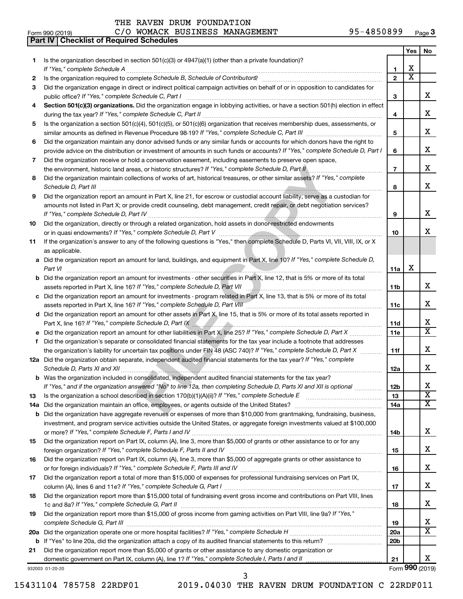|     | C/O WOMACK BUSINESS MANAGEMENT<br>95-4850899<br>Form 990 (2019)                                                                                                                                                                                |                 |                              | Page 3                  |
|-----|------------------------------------------------------------------------------------------------------------------------------------------------------------------------------------------------------------------------------------------------|-----------------|------------------------------|-------------------------|
|     | <b>Checklist of Required Schedules</b><br>Part IV                                                                                                                                                                                              |                 |                              |                         |
|     |                                                                                                                                                                                                                                                |                 | Yes                          | No                      |
| 1.  | Is the organization described in section $501(c)(3)$ or $4947(a)(1)$ (other than a private foundation)?                                                                                                                                        |                 |                              |                         |
|     | If "Yes," complete Schedule A                                                                                                                                                                                                                  | 1               | х<br>$\overline{\textbf{x}}$ |                         |
| 2   | Is the organization required to complete Schedule B, Schedule of Contributors? [1111] [12] the organization required to complete Schedule B, Schedule of Contributors?                                                                         | $\overline{2}$  |                              |                         |
| 3   | Did the organization engage in direct or indirect political campaign activities on behalf of or in opposition to candidates for<br>public office? If "Yes," complete Schedule C, Part I                                                        | 3               |                              | x                       |
| 4   | Section 501(c)(3) organizations. Did the organization engage in lobbying activities, or have a section 501(h) election in effect                                                                                                               |                 |                              |                         |
|     |                                                                                                                                                                                                                                                | 4               |                              | x                       |
| 5   | Is the organization a section 501(c)(4), 501(c)(5), or 501(c)(6) organization that receives membership dues, assessments, or                                                                                                                   |                 |                              |                         |
|     |                                                                                                                                                                                                                                                | 5               |                              | x                       |
| 6   | Did the organization maintain any donor advised funds or any similar funds or accounts for which donors have the right to                                                                                                                      |                 |                              |                         |
|     | provide advice on the distribution or investment of amounts in such funds or accounts? If "Yes," complete Schedule D, Part I                                                                                                                   | 6               |                              | x                       |
| 7   | Did the organization receive or hold a conservation easement, including easements to preserve open space,                                                                                                                                      |                 |                              |                         |
|     | the environment, historic land areas, or historic structures? If "Yes," complete Schedule D, Part II,<br>.                                                                                                                                     | $\overline{7}$  |                              | x                       |
| 8   | Did the organization maintain collections of works of art, historical treasures, or other similar assets? If "Yes," complete<br>Schedule D, Part III                                                                                           | 8               |                              | x                       |
| 9   | Did the organization report an amount in Part X, line 21, for escrow or custodial account liability, serve as a custodian for                                                                                                                  |                 |                              |                         |
|     | amounts not listed in Part X; or provide credit counseling, debt management, credit repair, or debt negotiation services?                                                                                                                      |                 |                              |                         |
|     |                                                                                                                                                                                                                                                | 9               |                              | x                       |
| 10  | Did the organization, directly or through a related organization, hold assets in donor-restricted endowments                                                                                                                                   |                 |                              |                         |
|     |                                                                                                                                                                                                                                                | 10              |                              | x                       |
| 11  | If the organization's answer to any of the following questions is "Yes," then complete Schedule D, Parts VI, VII, VIII, IX, or X                                                                                                               |                 |                              |                         |
|     | as applicable.                                                                                                                                                                                                                                 |                 |                              |                         |
|     | a Did the organization report an amount for land, buildings, and equipment in Part X, line 10? If "Yes," complete Schedule D,                                                                                                                  |                 |                              |                         |
|     | Part VI                                                                                                                                                                                                                                        | 11a             | х                            |                         |
|     | <b>b</b> Did the organization report an amount for investments - other securities in Part X, line 12, that is 5% or more of its total                                                                                                          |                 |                              | x                       |
|     |                                                                                                                                                                                                                                                | 11b             |                              |                         |
|     | c Did the organization report an amount for investments - program related in Part X, line 13, that is 5% or more of its total<br>assets reported in Part X, line 16? If "Yes," complete Schedule D, Part VIII [[[[[[[[[[[[[[[[[[[[[[[[[[[[[[[[ | 11c             |                              | x                       |
|     | d Did the organization report an amount for other assets in Part X, line 15, that is 5% or more of its total assets reported in                                                                                                                |                 |                              |                         |
|     | Part X, line 16? If "Yes," complete Schedule D, Part IX [10] Marting Manuscritt, Martin Martin Martin Martin M                                                                                                                                 | 11d             |                              | х                       |
|     |                                                                                                                                                                                                                                                | 11e             |                              | $\overline{\mathtt{x}}$ |
|     | f Did the organization's separate or consolidated financial statements for the tax year include a footnote that addresses                                                                                                                      |                 |                              |                         |
|     | the organization's liability for uncertain tax positions under FIN 48 (ASC 740)? If "Yes," complete Schedule D, Part X                                                                                                                         | 11f             |                              | x                       |
|     | 12a Did the organization obtain separate, independent audited financial statements for the tax year? If "Yes," complete                                                                                                                        |                 |                              |                         |
|     | Schedule D, Parts XI and XII <b>measures and continuum continuum continuum continuum continuum continuum continuum</b>                                                                                                                         | 12a             |                              | Χ                       |
|     | <b>b</b> Was the organization included in consolidated, independent audited financial statements for the tax year?                                                                                                                             |                 |                              |                         |
|     | If "Yes," and if the organization answered "No" to line 12a, then completing Schedule D, Parts XI and XII is optional <i>manumum</i>                                                                                                           | 12b             |                              | x                       |
| 13  |                                                                                                                                                                                                                                                | 13              |                              | $\overline{\mathtt{x}}$ |
| 14a |                                                                                                                                                                                                                                                | 14a             |                              | X                       |
|     | <b>b</b> Did the organization have aggregate revenues or expenses of more than \$10,000 from grantmaking, fundraising, business,                                                                                                               |                 |                              |                         |
|     | investment, and program service activities outside the United States, or aggregate foreign investments valued at \$100,000                                                                                                                     |                 |                              | x                       |
|     | Did the organization report on Part IX, column (A), line 3, more than \$5,000 of grants or other assistance to or for any                                                                                                                      | 14b             |                              |                         |
| 15  |                                                                                                                                                                                                                                                | 15              |                              | x                       |
| 16  | Did the organization report on Part IX, column (A), line 3, more than \$5,000 of aggregate grants or other assistance to                                                                                                                       |                 |                              |                         |
|     |                                                                                                                                                                                                                                                | 16              |                              | x                       |
| 17  | Did the organization report a total of more than \$15,000 of expenses for professional fundraising services on Part IX,                                                                                                                        |                 |                              |                         |
|     |                                                                                                                                                                                                                                                | 17              |                              | x                       |
| 18  | Did the organization report more than \$15,000 total of fundraising event gross income and contributions on Part VIII, lines                                                                                                                   |                 |                              |                         |
|     |                                                                                                                                                                                                                                                | 18              |                              | х                       |
| 19  | Did the organization report more than \$15,000 of gross income from gaming activities on Part VIII, line 9a? If "Yes,"                                                                                                                         |                 |                              |                         |
|     |                                                                                                                                                                                                                                                | 19              |                              | х                       |
|     |                                                                                                                                                                                                                                                | 20a             |                              | $\overline{\mathbf{X}}$ |
|     |                                                                                                                                                                                                                                                | 20 <sub>b</sub> |                              |                         |
| 21  | Did the organization report more than \$5,000 of grants or other assistance to any domestic organization or                                                                                                                                    |                 |                              |                         |
|     |                                                                                                                                                                                                                                                | 21              |                              | x<br>Form 990 (2019)    |
|     | 932003 01-20-20                                                                                                                                                                                                                                |                 |                              |                         |

15431104 785758 22RDF01 2019.04030 THE RAVEN DRUM FOUNDATION C 22RDF011

3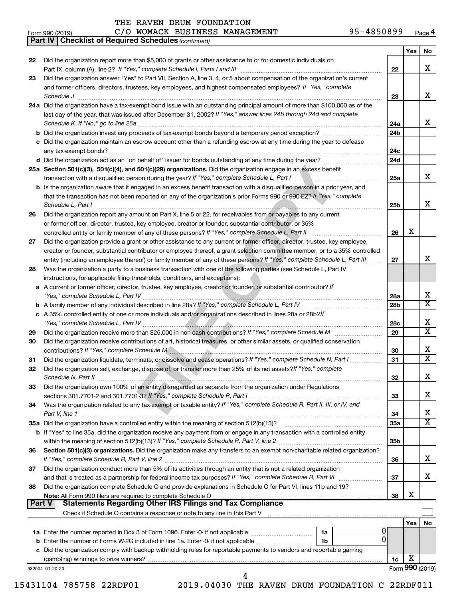| Form 990 (201 |  |
|---------------|--|

|        | C/O WOMACK BUSINESS MANAGEMENT<br>95-4850899<br>Form 990 (2019)                                                                                                                                                                |                 |                 | Page 4                  |
|--------|--------------------------------------------------------------------------------------------------------------------------------------------------------------------------------------------------------------------------------|-----------------|-----------------|-------------------------|
|        | <b>Part IV   Checklist of Required Schedules (continued)</b>                                                                                                                                                                   |                 |                 |                         |
|        |                                                                                                                                                                                                                                |                 | Yes             | No                      |
| 22     | Did the organization report more than \$5,000 of grants or other assistance to or for domestic individuals on                                                                                                                  |                 |                 |                         |
|        |                                                                                                                                                                                                                                | 22              |                 | x                       |
| 23     | Did the organization answer "Yes" to Part VII, Section A, line 3, 4, or 5 about compensation of the organization's current                                                                                                     |                 |                 |                         |
|        | and former officers, directors, trustees, key employees, and highest compensated employees? If "Yes," complete                                                                                                                 |                 |                 |                         |
|        | Schedule J                                                                                                                                                                                                                     | 23              |                 | x                       |
|        | 24a Did the organization have a tax-exempt bond issue with an outstanding principal amount of more than \$100,000 as of the                                                                                                    |                 |                 |                         |
|        | last day of the year, that was issued after December 31, 2002? If "Yes," answer lines 24b through 24d and complete                                                                                                             |                 |                 |                         |
|        |                                                                                                                                                                                                                                | 24a             |                 | x                       |
|        | b Did the organization invest any proceeds of tax-exempt bonds beyond a temporary period exception?                                                                                                                            | 24b             |                 |                         |
|        | c Did the organization maintain an escrow account other than a refunding escrow at any time during the year to defease                                                                                                         |                 |                 |                         |
|        |                                                                                                                                                                                                                                | 24c             |                 |                         |
|        |                                                                                                                                                                                                                                | 24d             |                 |                         |
|        | 25a Section 501(c)(3), 501(c)(4), and 501(c)(29) organizations. Did the organization engage in an excess benefit                                                                                                               |                 |                 |                         |
|        |                                                                                                                                                                                                                                | 25a             |                 | x                       |
|        | b Is the organization aware that it engaged in an excess benefit transaction with a disqualified person in a prior year, and                                                                                                   |                 |                 |                         |
|        | that the transaction has not been reported on any of the organization's prior Forms 990 or 990-EZ? If "Yes," complete                                                                                                          |                 |                 |                         |
|        | Schedule L, Part I                                                                                                                                                                                                             | 25b             |                 | х                       |
| 26     | Did the organization report any amount on Part X, line 5 or 22, for receivables from or payables to any current                                                                                                                |                 |                 |                         |
|        | or former officer, director, trustee, key employee, creator or founder, substantial contributor, or 35%                                                                                                                        |                 |                 |                         |
|        | controlled entity or family member of any of these persons? If "Yes," complete Schedule L, Part II                                                                                                                             | 26              | х               |                         |
| 27     | Did the organization provide a grant or other assistance to any current or former officer, director, trustee, key employee,                                                                                                    |                 |                 |                         |
|        | creator or founder, substantial contributor or employee thereof, a grant selection committee member, or to a 35% controlled                                                                                                    |                 |                 |                         |
|        | entity (including an employee thereof) or family member of any of these persons? If "Yes," complete Schedule L, Part III                                                                                                       | 27              |                 | x                       |
| 28     | Was the organization a party to a business transaction with one of the following parties (see Schedule L, Part IV                                                                                                              |                 |                 |                         |
|        | instructions, for applicable filing thresholds, conditions, and exceptions):                                                                                                                                                   |                 |                 |                         |
|        | a A current or former officer, director, trustee, key employee, creator or founder, or substantial contributor? If                                                                                                             |                 |                 |                         |
|        |                                                                                                                                                                                                                                | 28a             |                 | х                       |
|        |                                                                                                                                                                                                                                | 28b             |                 | $\overline{\mathbf{X}}$ |
|        | c A 35% controlled entity of one or more individuals and/or organizations described in lines 28a or 28b?/f                                                                                                                     |                 |                 |                         |
|        |                                                                                                                                                                                                                                | 28c             |                 | х                       |
| 29     |                                                                                                                                                                                                                                | 29              |                 | $\overline{\mathbf{X}}$ |
| 30     | Did the organization receive contributions of art, historical treasures, or other similar assets, or qualified conservation                                                                                                    |                 |                 |                         |
|        | contributions? If "Yes," complete Schedule M [2000] [2000] [2000] [3000] [3000] [3000] [3000] [3000] [3000] [3000] [3000] [3000] [3000] [3000] [3000] [3000] [3000] [3000] [3000] [3000] [3000] [30000] [30000] [30000] [30000 | 30              |                 | x                       |
| 31     | Did the organization liquidate, terminate, or dissolve and cease operations? If "Yes," complete Schedule N, Part I                                                                                                             | 31              |                 | $\overline{\mathbf{X}}$ |
| 32     | Did the organization sell, exchange, dispose of, or transfer more than 25% of its net assets?If "Yes," complete                                                                                                                |                 |                 |                         |
|        | Schedule N, Part II                                                                                                                                                                                                            | 32              |                 | х                       |
| 33     | Did the organization own 100% of an entity disregarded as separate from the organization under Regulations                                                                                                                     |                 |                 |                         |
|        |                                                                                                                                                                                                                                | 33              |                 | x                       |
| 34     | Was the organization related to any tax-exempt or taxable entity? If "Yes," complete Schedule R, Part II, III, or IV, and                                                                                                      |                 |                 |                         |
|        | Part V, line 1                                                                                                                                                                                                                 | 34              |                 | x                       |
|        | 35a Did the organization have a controlled entity within the meaning of section 512(b)(13)?                                                                                                                                    | <b>35a</b>      |                 | $\overline{\mathbf{X}}$ |
|        | b If "Yes" to line 35a, did the organization receive any payment from or engage in any transaction with a controlled entity                                                                                                    |                 |                 |                         |
|        |                                                                                                                                                                                                                                | 35 <sub>b</sub> |                 |                         |
| 36     | Section 501(c)(3) organizations. Did the organization make any transfers to an exempt non-charitable related organization?                                                                                                     |                 |                 |                         |
|        |                                                                                                                                                                                                                                | 36              |                 | х                       |
| 37     | Did the organization conduct more than 5% of its activities through an entity that is not a related organization                                                                                                               |                 |                 |                         |
|        |                                                                                                                                                                                                                                | 37              |                 | х                       |
| 38     | Did the organization complete Schedule O and provide explanations in Schedule O for Part VI, lines 11b and 19?                                                                                                                 |                 |                 |                         |
|        |                                                                                                                                                                                                                                | 38              | х               |                         |
| Part V | <b>Statements Regarding Other IRS Filings and Tax Compliance</b>                                                                                                                                                               |                 |                 |                         |
|        | Check if Schedule O contains a response or note to any line in this Part V [11] [12] Check if Schedule O contains a response or note to any line in this Part V                                                                |                 |                 |                         |
|        |                                                                                                                                                                                                                                |                 | Yes             | No                      |
|        | 1a Enter the number reported in Box 3 of Form 1096. Enter -0- if not applicable <i>manumerane</i> number<br>1a                                                                                                                 | O               |                 |                         |
|        | 1b                                                                                                                                                                                                                             |                 |                 |                         |
|        | c Did the organization comply with backup withholding rules for reportable payments to vendors and reportable gaming                                                                                                           |                 |                 |                         |
|        |                                                                                                                                                                                                                                | 1c              | х               |                         |
|        | 932004 01-20-20<br>4                                                                                                                                                                                                           |                 | Form 990 (2019) |                         |
|        |                                                                                                                                                                                                                                |                 |                 |                         |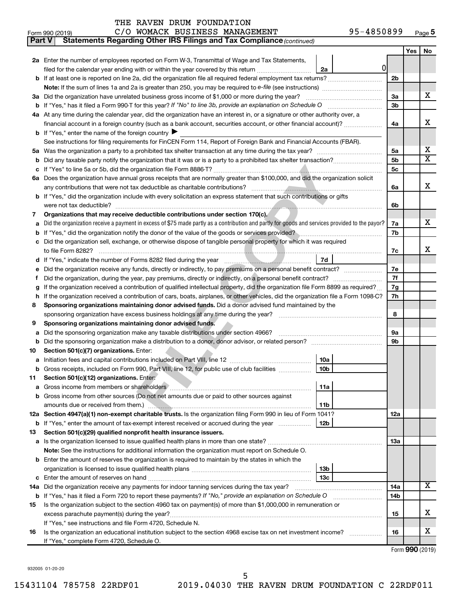| <b>Part V</b> | Statements Regarding Other IRS Filings and Tax Compliance (continued)                                                                           |                |     |                         |
|---------------|-------------------------------------------------------------------------------------------------------------------------------------------------|----------------|-----|-------------------------|
|               |                                                                                                                                                 |                | Yes | No.                     |
|               | 2a Enter the number of employees reported on Form W-3, Transmittal of Wage and Tax Statements,                                                  |                |     |                         |
|               | 0<br>filed for the calendar year ending with or within the year covered by this return<br>2a                                                    |                |     |                         |
|               |                                                                                                                                                 | 2 <sub>b</sub> |     |                         |
|               |                                                                                                                                                 |                |     |                         |
|               | 3a Did the organization have unrelated business gross income of \$1,000 or more during the year?                                                | За             |     | х                       |
|               |                                                                                                                                                 | 3b             |     |                         |
|               | 4a At any time during the calendar year, did the organization have an interest in, or a signature or other authority over, a                    |                |     |                         |
|               | financial account in a foreign country (such as a bank account, securities account, or other financial account)?                                | 4a             |     | х                       |
|               | <b>b</b> If "Yes," enter the name of the foreign country                                                                                        |                |     |                         |
|               | See instructions for filing requirements for FinCEN Form 114, Report of Foreign Bank and Financial Accounts (FBAR).                             |                |     |                         |
|               |                                                                                                                                                 |                |     | х                       |
|               |                                                                                                                                                 | 5a             |     | $\overline{\textbf{X}}$ |
| b             |                                                                                                                                                 | 5b             |     |                         |
|               |                                                                                                                                                 | 5c             |     |                         |
|               | 6a Does the organization have annual gross receipts that are normally greater than \$100,000, and did the organization solicit                  |                |     | х                       |
|               |                                                                                                                                                 | 6a             |     |                         |
|               | <b>b</b> If "Yes," did the organization include with every solicitation an express statement that such contributions or gifts                   |                |     |                         |
|               |                                                                                                                                                 | 6b             |     |                         |
| 7             | Organizations that may receive deductible contributions under section 170(c).                                                                   |                |     |                         |
| a             | Did the organization receive a payment in excess of \$75 made partly as a contribution and partly for goods and services provided to the payor? | 7a             |     | х                       |
| b             | If "Yes," did the organization notify the donor of the value of the goods or services provided?                                                 | 7b             |     |                         |
|               | c Did the organization sell, exchange, or otherwise dispose of tangible personal property for which it was required                             |                |     |                         |
|               |                                                                                                                                                 | 7c             |     | х                       |
|               | 7d                                                                                                                                              |                |     |                         |
| е             |                                                                                                                                                 | 7е             |     |                         |
| f             |                                                                                                                                                 | 7f             |     |                         |
| g             | If the organization received a contribution of qualified intellectual property, did the organization file Form 8899 as required?                | 7g<br>7h       |     |                         |
|               | If the organization received a contribution of cars, boats, airplanes, or other vehicles, did the organization file a Form 1098-C?<br>h         |                |     |                         |
| 8             | Sponsoring organizations maintaining donor advised funds. Did a donor advised fund maintained by the                                            |                |     |                         |
|               |                                                                                                                                                 | 8              |     |                         |
| 9             | Sponsoring organizations maintaining donor advised funds.                                                                                       |                |     |                         |
| а             | Did the sponsoring organization make any taxable distributions under section 4966?                                                              | 9а             |     |                         |
| b             |                                                                                                                                                 | 9b             |     |                         |
| 10            | Section 501(c)(7) organizations. Enter:                                                                                                         |                |     |                         |
| a             | 10a                                                                                                                                             |                |     |                         |
|               | b Gross receipts, included on Form 990, Part VIII, line 12, for public use of club facilities<br>10 <sub>b</sub>                                |                |     |                         |
| 11            | Section 501(c)(12) organizations. Enter:                                                                                                        |                |     |                         |
| a             | 11a                                                                                                                                             |                |     |                         |
|               | b Gross income from other sources (Do not net amounts due or paid to other sources against                                                      |                |     |                         |
|               | 11b                                                                                                                                             |                |     |                         |
|               | 12a Section 4947(a)(1) non-exempt charitable trusts. Is the organization filing Form 990 in lieu of Form 1041?                                  | 12a            |     |                         |
|               | <b>b</b> If "Yes," enter the amount of tax-exempt interest received or accrued during the year<br>12b                                           |                |     |                         |
| 13            | Section 501(c)(29) qualified nonprofit health insurance issuers.                                                                                |                |     |                         |
|               | a Is the organization licensed to issue qualified health plans in more than one state?                                                          | 13a            |     |                         |
|               | Note: See the instructions for additional information the organization must report on Schedule O.                                               |                |     |                         |
|               | <b>b</b> Enter the amount of reserves the organization is required to maintain by the states in which the                                       |                |     |                         |
|               | 13b                                                                                                                                             |                |     |                         |
|               | 13с                                                                                                                                             |                |     |                         |
|               | 14a Did the organization receive any payments for indoor tanning services during the tax year?                                                  | 14a            |     | x.                      |
|               | <b>b</b> If "Yes," has it filed a Form 720 to report these payments? If "No," provide an explanation on Schedule O                              | 14b            |     |                         |
| 15            | Is the organization subject to the section 4960 tax on payment(s) of more than \$1,000,000 in remuneration or                                   |                |     |                         |
|               |                                                                                                                                                 | 15             |     | х                       |
|               | If "Yes," see instructions and file Form 4720, Schedule N.                                                                                      |                |     |                         |
| 16            | Is the organization an educational institution subject to the section 4968 excise tax on net investment income?                                 | 16             |     | х                       |
|               | If "Yes," complete Form 4720, Schedule O.                                                                                                       |                |     |                         |

Form (2019) **990**

932005 01-20-20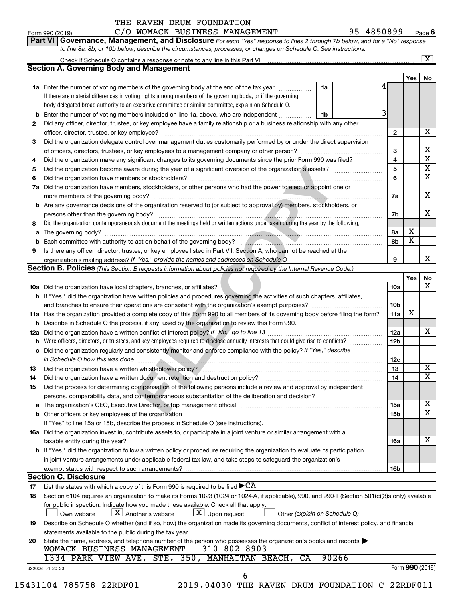|                                                   | THE RAVEN DRUM FOUNDATION                                                                                                                                              |            |   |     |      |
|---------------------------------------------------|------------------------------------------------------------------------------------------------------------------------------------------------------------------------|------------|---|-----|------|
| C/O WOMACK BUSINESS MANAGEMENT<br>Form 990 (2019) |                                                                                                                                                                        | 95-4850899 |   |     | Page |
|                                                   | Part VI Governance, Management, and Disclosure For each "Yes" response to lines 2 through 7b below, and for a "No" response                                            |            |   |     |      |
|                                                   | to line 8a, 8b, or 10b below, describe the circumstances, processes, or changes on Schedule O. See instructions.                                                       |            |   |     |      |
|                                                   | Check if Schedule O contains a response or note to any line in this Part VI [11] [11] [11] Check if Schedule O contains a response or note to any line in this Part VI |            |   |     | х    |
|                                                   | Section A. Governing Body and Management                                                                                                                               |            |   |     |      |
|                                                   |                                                                                                                                                                        |            |   | Yes | No   |
| 1a                                                | Enter the number of voting members of the governing body at the end of the tax year                                                                                    | 1a         |   |     |      |
|                                                   | If there are material differences in voting rights among members of the governing body, or if the governing                                                            |            |   |     |      |
|                                                   | body delegated broad authority to an executive committee or similar committee, explain on Schedule O.                                                                  |            |   |     |      |
|                                                   | <b>b</b> Enter the number of voting members included on line 1a, above, who are independent                                                                            | 1b         |   |     |      |
| 2                                                 | Did any officer, director, trustee, or key employee have a family relationship or a business relationship with any other                                               |            |   |     |      |
|                                                   | officer, director, trustee, or key employee?                                                                                                                           |            | 2 |     | x    |
|                                                   | Did the organization delegate control over management duties customarily performed by or under the direct supervision                                                  |            |   |     |      |

|    | <b>1a</b> Enter the number of voting members of the governing body at the end of the tax year<br>1a                               |    |    |   |   |
|----|-----------------------------------------------------------------------------------------------------------------------------------|----|----|---|---|
|    | If there are material differences in voting rights among members of the governing body, or if the governing                       |    |    |   |   |
|    | body delegated broad authority to an executive committee or similar committee, explain on Schedule O.                             |    |    |   |   |
|    | <b>b</b> Enter the number of voting members included on line 1a, above, who are independent<br>1b                                 |    |    |   |   |
|    | Did any officer, director, trustee, or key employee have a family relationship or a business relationship with any other          |    |    |   |   |
|    | officer, director, trustee, or key employee?                                                                                      |    | 2  |   | x |
| 3. | Did the organization delegate control over management duties customarily performed by or under the direct supervision             |    |    |   |   |
|    | of officers, directors, trustees, or key employees to a management company or other person?                                       |    | 3  |   | x |
| 4  | Did the organization make any significant changes to its governing documents since the prior Form 990 was filed?                  |    | 4  |   | X |
|    | 5 Did the organization become aware during the year of a significant diversion of the organization's assets?                      |    | 5  |   | x |
|    | 6 Did the organization have members or stockholders?                                                                              |    | 6  |   | x |
|    | 7a Did the organization have members, stockholders, or other persons who had the power to elect or appoint one or                 |    |    |   |   |
|    | more members of the governing body?                                                                                               |    | 7a |   | x |
|    | <b>b</b> Are any governance decisions of the organization reserved to (or subject to approval by) members, stockholders, or       |    |    |   |   |
|    | persons other than the governing body?                                                                                            |    | 7b |   | x |
| 8  | Did the organization contemporaneously document the meetings held or written actions undertaken during the year by the following: |    |    |   |   |
|    | <b>a</b> The governing body?                                                                                                      | 8a |    | х |   |
|    | <b>b</b> Each committee with authority to act on behalf of the governing body?                                                    |    | 8b | х |   |
| 9  | Is there any officer, director, trustee, or key employee listed in Part VII, Section A, who cannot be reached at the              |    |    |   |   |
|    | organization's mailing address? If "Yes." provide the names and addresses on Schedule O                                           | 9  |    |   | х |

| 5   |                                                                                                                                                                                                           | 5               |                       | $\overline{\mathbf{x}}$ |
|-----|-----------------------------------------------------------------------------------------------------------------------------------------------------------------------------------------------------------|-----------------|-----------------------|-------------------------|
| 6   |                                                                                                                                                                                                           | 6               |                       | $\overline{\mathtt{x}}$ |
|     | 7a Did the organization have members, stockholders, or other persons who had the power to elect or appoint one or                                                                                         |                 |                       |                         |
|     |                                                                                                                                                                                                           | 7a              |                       | х                       |
|     | <b>b</b> Are any governance decisions of the organization reserved to (or subject to approval by) members, stockholders, or                                                                               |                 |                       |                         |
|     | persons other than the governing body?                                                                                                                                                                    | 7b              |                       | x.                      |
| 8   | Did the organization contemporaneously document the meetings held or written actions undertaken during the year by the following:                                                                         |                 |                       |                         |
|     |                                                                                                                                                                                                           | 8a              | х                     |                         |
| b   | Each committee with authority to act on behalf of the governing body?<br>Fach committee with authority to act on behalf of the governing body?                                                            | 8b              | $\overline{\text{x}}$ |                         |
| 9   | Is there any officer, director, trustee, or key employee listed in Part VII, Section A, who cannot be reached at the                                                                                      |                 |                       |                         |
|     |                                                                                                                                                                                                           | 9               |                       | x                       |
|     | Section B. Policies (This Section B requests information about policies not required by the Internal Revenue Code.)                                                                                       |                 |                       |                         |
|     |                                                                                                                                                                                                           |                 | Yes                   | No                      |
|     |                                                                                                                                                                                                           | 10a             |                       | $\overline{\mathbf{x}}$ |
|     | <b>b</b> If "Yes," did the organization have written policies and procedures governing the activities of such chapters, affiliates,                                                                       |                 |                       |                         |
|     |                                                                                                                                                                                                           | 10 <sub>b</sub> |                       |                         |
|     | 11a Has the organization provided a complete copy of this Form 990 to all members of its governing body before filing the form?                                                                           | 11a             | X                     |                         |
|     | b Describe in Schedule O the process, if any, used by the organization to review this Form 990.                                                                                                           |                 |                       |                         |
| 12a |                                                                                                                                                                                                           | 12a             |                       | x                       |
| b   | Were officers, directors, or trustees, and key employees required to disclose annually interests that could give rise to conflicts?                                                                       | 12 <sub>b</sub> |                       |                         |
| c   | Did the organization regularly and consistently monitor and enforce compliance with the policy? If "Yes," describe                                                                                        |                 |                       |                         |
|     |                                                                                                                                                                                                           | 12c             |                       |                         |
| 13  |                                                                                                                                                                                                           | 13              |                       | $\overline{\text{X}}$   |
| 14  | Did the organization have a written document retention and destruction policy? [11] manufaction manufaction in                                                                                            | 14              |                       | $\overline{\mathtt{x}}$ |
| 15  | Did the process for determining compensation of the following persons include a review and approval by independent                                                                                        |                 |                       |                         |
|     | persons, comparability data, and contemporaneous substantiation of the deliberation and decision?                                                                                                         |                 |                       |                         |
| a   | The organization's CEO, Executive Director, or top management official manufactured content of the organization's CEO, Executive Director, or top management official manufactured and the organization's | 15a             |                       | х                       |
|     |                                                                                                                                                                                                           | 15b             |                       | $\overline{\texttt{x}}$ |
|     | If "Yes" to line 15a or 15b, describe the process in Schedule O (see instructions).                                                                                                                       |                 |                       |                         |
|     | 16a Did the organization invest in, contribute assets to, or participate in a joint venture or similar arrangement with a                                                                                 |                 |                       |                         |
|     | taxable entity during the year?                                                                                                                                                                           | 16a             |                       | x                       |
|     | b If "Yes," did the organization follow a written policy or procedure requiring the organization to evaluate its participation                                                                            |                 |                       |                         |
|     | in joint venture arrangements under applicable federal tax law, and take steps to safeguard the organization's                                                                                            |                 |                       |                         |
|     | exempt status with respect to such arrangements?                                                                                                                                                          | 16b             |                       |                         |
|     | <b>Section C. Disclosure</b>                                                                                                                                                                              |                 |                       |                         |
| 17  | List the states with which a copy of this Form 990 is required to be filed $\blacktriangleright$ CA                                                                                                       |                 |                       |                         |
| 18  | Section 6104 requires an organization to make its Forms 1023 (1024 or 1024-A, if applicable), 990, and 990-T (Section 501(c)(3)s only) available                                                          |                 |                       |                         |

### **19 20**  *(explain on Schedule O)* † for public inspection. Indicate how you made these available. Check all that apply. Own website  $\boxed{\textbf{X}}$  Another's website  $\boxed{\textbf{X}}$  Upon request  $\boxed{\phantom{1}}$  Other Describe on Schedule O whether (and if so, how) the organization made its governing documents, conflict of interest policy, and financial statements available to the public during the tax year. State the name, address, and telephone number of the person who possesses the organization's books and records  $\blacktriangleright$ **Lett** Own website  $\boxed{\text{X}}$

6

|  |  | <b>20</b> State the name, address, and telephone number of the person who possesses the organization's books and records |  |
|--|--|--------------------------------------------------------------------------------------------------------------------------|--|
|  |  | WOMACK BUSINESS MANAGEMENT - 310-802-8903                                                                                |  |
|  |  | $1224$ מתנהל האחרות המחולשות המונה המחולש המונה המדוז שפגם 1224 המ                                                       |  |

### 932006 01-20-20 1334 PARK VIEW AVE, STE. 350, MANHATTAN BEACH, CA 90266

Form (2019) **990**

**Yes No**

**6**

 $\boxed{\text{X}}$ 

15431104 785758 22RDF01 2019.04030 THE RAVEN DRUM FOUNDATION C 22RDF011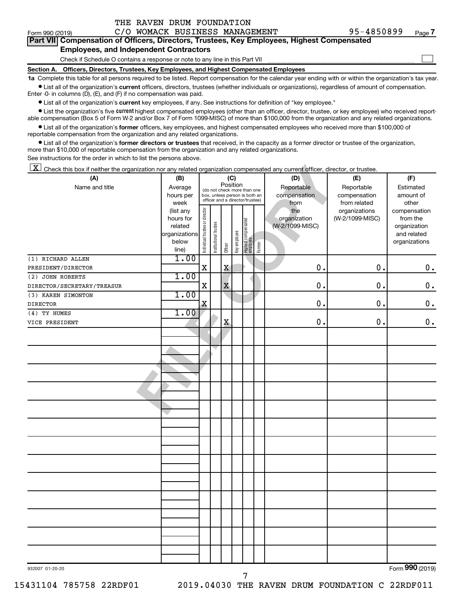| Form 990 (2019) |                                                                                                                                                    |  |  | C/O WOMACK BUSINESS MANAGEMENT | 95-4850899 | Page 7 |  |  |  |
|-----------------|----------------------------------------------------------------------------------------------------------------------------------------------------|--|--|--------------------------------|------------|--------|--|--|--|
|                 | <b>Part VII Compensation of Officers, Directors, Trustees, Key Employees, Highest Compensated</b><br><b>Employees, and Independent Contractors</b> |  |  |                                |            |        |  |  |  |
|                 |                                                                                                                                                    |  |  |                                |            |        |  |  |  |
|                 | Check if Schedule O contains a response or note to any line in this Part VII                                                                       |  |  |                                |            |        |  |  |  |
|                 | Section A. Officers, Directors, Trustees, Key Employees, and Highest Compensated Employees                                                         |  |  |                                |            |        |  |  |  |

THE RAVEN DRUM FOUNDATION

| C/O WOMACK BUSINESS MANAGEMENT<br>Form 990 (2019)                                                                                                                                                                                                                                                                |                   |                                |                       |          |              |                                                                  |        |                 | 95-4850899                    | Page 7                |
|------------------------------------------------------------------------------------------------------------------------------------------------------------------------------------------------------------------------------------------------------------------------------------------------------------------|-------------------|--------------------------------|-----------------------|----------|--------------|------------------------------------------------------------------|--------|-----------------|-------------------------------|-----------------------|
| Part VII Compensation of Officers, Directors, Trustees, Key Employees, Highest Compensated                                                                                                                                                                                                                       |                   |                                |                       |          |              |                                                                  |        |                 |                               |                       |
| <b>Employees, and Independent Contractors</b>                                                                                                                                                                                                                                                                    |                   |                                |                       |          |              |                                                                  |        |                 |                               |                       |
| Check if Schedule O contains a response or note to any line in this Part VII                                                                                                                                                                                                                                     |                   |                                |                       |          |              |                                                                  |        |                 |                               |                       |
| Section A. Officers, Directors, Trustees, Key Employees, and Highest Compensated Employees<br>1a Complete this table for all persons required to be listed. Report compensation for the calendar year ending with or within the organization's tax yea                                                           |                   |                                |                       |          |              |                                                                  |        |                 |                               |                       |
| • List all of the organization's current officers, directors, trustees (whether individuals or organizations), regardless of amount of compensation.                                                                                                                                                             |                   |                                |                       |          |              |                                                                  |        |                 |                               |                       |
| Enter -0- in columns (D), (E), and (F) if no compensation was paid.                                                                                                                                                                                                                                              |                   |                                |                       |          |              |                                                                  |        |                 |                               |                       |
| • List all of the organization's current key employees, if any. See instructions for definition of "key employee."                                                                                                                                                                                               |                   |                                |                       |          |              |                                                                  |        |                 |                               |                       |
| • List the organization's five <i>current</i> highest compensated employees (other than an officer, director, trustee, or key employee) who received report-<br>able compensation (Box 5 of Form W-2 and/or Box 7 of Form 1099-MISC) of more than \$100,000 from the organization and any related organizations. |                   |                                |                       |          |              |                                                                  |        |                 |                               |                       |
| • List all of the organization's former officers, key employees, and highest compensated employees who received more than \$100,000 of<br>reportable compensation from the organization and any related organizations.                                                                                           |                   |                                |                       |          |              |                                                                  |        |                 |                               |                       |
| • List all of the organization's former directors or trustees that received, in the capacity as a former director or trustee of the organization,                                                                                                                                                                |                   |                                |                       |          |              |                                                                  |        |                 |                               |                       |
| more than \$10,000 of reportable compensation from the organization and any related organizations.                                                                                                                                                                                                               |                   |                                |                       |          |              |                                                                  |        |                 |                               |                       |
| See instructions for the order in which to list the persons above.                                                                                                                                                                                                                                               |                   |                                |                       |          |              |                                                                  |        |                 |                               |                       |
| X<br>Check this box if neither the organization nor any related organization compensated any current officer, director, or trustee.                                                                                                                                                                              |                   |                                |                       |          |              |                                                                  |        |                 |                               |                       |
| (A)                                                                                                                                                                                                                                                                                                              | (B)               |                                |                       |          | (C)          |                                                                  |        | (D)             | (E)                           | (F)                   |
| Name and title                                                                                                                                                                                                                                                                                                   | Average           |                                |                       | Position |              | (do not check more than one                                      |        | Reportable      | Reportable                    | Estimated             |
|                                                                                                                                                                                                                                                                                                                  | hours per         |                                |                       |          |              | box, unless person is both an<br>officer and a director/trustee) |        | compensation    | compensation                  | amount of             |
|                                                                                                                                                                                                                                                                                                                  | week<br>(list any |                                |                       |          |              |                                                                  |        | from<br>the     | from related<br>organizations | other<br>compensation |
|                                                                                                                                                                                                                                                                                                                  | hours for         |                                |                       |          |              |                                                                  |        | organization    | (W-2/1099-MISC)               | from the              |
|                                                                                                                                                                                                                                                                                                                  | related           |                                |                       |          |              |                                                                  |        | (W-2/1099-MISC) |                               | organization          |
|                                                                                                                                                                                                                                                                                                                  | organizations     |                                |                       |          |              |                                                                  |        |                 |                               | and related           |
|                                                                                                                                                                                                                                                                                                                  | below<br>line)    | Individual trustee or director | Institutional trustee | Officer  | Key employee | Highest compensated<br>  employee                                | Former |                 |                               | organizations         |
| (1) RICHARD ALLEN                                                                                                                                                                                                                                                                                                | 1.00              |                                |                       |          |              |                                                                  |        |                 |                               |                       |
| PRESIDENT/DIRECTOR                                                                                                                                                                                                                                                                                               |                   | Χ                              |                       | X        |              |                                                                  |        | 0.              | $\mathbf 0$                   | 0.                    |
| (2) JOHN ROBERTS                                                                                                                                                                                                                                                                                                 | 1.00              |                                |                       |          |              |                                                                  |        |                 |                               |                       |
| DIRECTOR/SECRETARY/TREASUR                                                                                                                                                                                                                                                                                       |                   | Χ                              |                       | X        |              |                                                                  |        | $\mathbf 0$ .   | $\mathbf 0$                   | $\mathbf 0$ .         |
| (3) KAREN SIMONTON                                                                                                                                                                                                                                                                                               | 1.00              |                                |                       |          |              |                                                                  |        |                 |                               |                       |
| <b>DIRECTOR</b>                                                                                                                                                                                                                                                                                                  |                   | X                              |                       |          |              |                                                                  |        | $\mathbf 0$ .   | $\mathbf 0$                   | 0.                    |
| (4) TY HUMES                                                                                                                                                                                                                                                                                                     | 1.00              |                                |                       |          |              |                                                                  |        |                 |                               |                       |
| VICE PRESIDENT                                                                                                                                                                                                                                                                                                   |                   |                                |                       | X        |              |                                                                  |        | 0.              | $\mathbf 0$                   | 0.                    |
|                                                                                                                                                                                                                                                                                                                  |                   |                                |                       |          |              |                                                                  |        |                 |                               |                       |
|                                                                                                                                                                                                                                                                                                                  |                   |                                |                       |          |              |                                                                  |        |                 |                               |                       |
|                                                                                                                                                                                                                                                                                                                  |                   |                                |                       |          |              |                                                                  |        |                 |                               |                       |
|                                                                                                                                                                                                                                                                                                                  |                   |                                |                       |          |              |                                                                  |        |                 |                               |                       |
|                                                                                                                                                                                                                                                                                                                  |                   |                                |                       |          |              |                                                                  |        |                 |                               |                       |
|                                                                                                                                                                                                                                                                                                                  |                   |                                |                       |          |              |                                                                  |        |                 |                               |                       |
|                                                                                                                                                                                                                                                                                                                  |                   |                                |                       |          |              |                                                                  |        |                 |                               |                       |
|                                                                                                                                                                                                                                                                                                                  |                   |                                |                       |          |              |                                                                  |        |                 |                               |                       |
|                                                                                                                                                                                                                                                                                                                  |                   |                                |                       |          |              |                                                                  |        |                 |                               |                       |
|                                                                                                                                                                                                                                                                                                                  |                   |                                |                       |          |              |                                                                  |        |                 |                               |                       |
|                                                                                                                                                                                                                                                                                                                  |                   |                                |                       |          |              |                                                                  |        |                 |                               |                       |
|                                                                                                                                                                                                                                                                                                                  |                   |                                |                       |          |              |                                                                  |        |                 |                               |                       |
|                                                                                                                                                                                                                                                                                                                  |                   |                                |                       |          |              |                                                                  |        |                 |                               |                       |
|                                                                                                                                                                                                                                                                                                                  |                   |                                |                       |          |              |                                                                  |        |                 |                               |                       |
|                                                                                                                                                                                                                                                                                                                  |                   |                                |                       |          |              |                                                                  |        |                 |                               |                       |
|                                                                                                                                                                                                                                                                                                                  |                   |                                |                       |          |              |                                                                  |        |                 |                               |                       |
|                                                                                                                                                                                                                                                                                                                  |                   |                                |                       |          |              |                                                                  |        |                 |                               |                       |
|                                                                                                                                                                                                                                                                                                                  |                   |                                |                       |          |              |                                                                  |        |                 |                               |                       |
|                                                                                                                                                                                                                                                                                                                  |                   |                                |                       |          |              |                                                                  |        |                 |                               |                       |
|                                                                                                                                                                                                                                                                                                                  |                   |                                |                       |          |              |                                                                  |        |                 |                               |                       |
|                                                                                                                                                                                                                                                                                                                  |                   |                                |                       |          |              |                                                                  |        |                 |                               |                       |
| 932007 01-20-20                                                                                                                                                                                                                                                                                                  |                   |                                |                       |          |              |                                                                  |        |                 |                               | Form 990 (2019)       |

7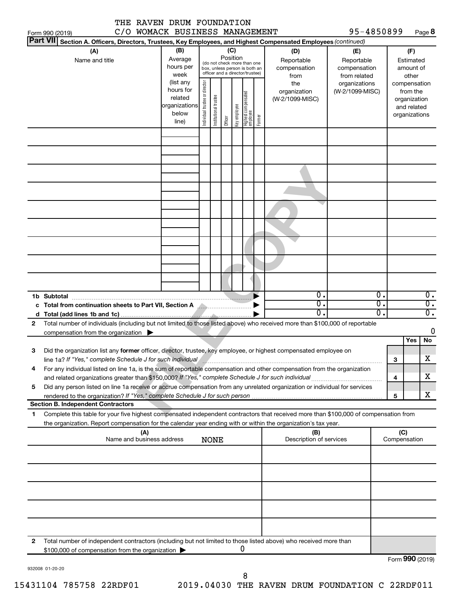| THE RAVEN DRUM FOUNDATION                                                                                                                                                                                                      |                          |                                |                       |          |              |                                                              |        |                                   |                                   |                  |                 |                               |                  |
|--------------------------------------------------------------------------------------------------------------------------------------------------------------------------------------------------------------------------------|--------------------------|--------------------------------|-----------------------|----------|--------------|--------------------------------------------------------------|--------|-----------------------------------|-----------------------------------|------------------|-----------------|-------------------------------|------------------|
| C/O WOMACK BUSINESS MANAGEMENT<br>Form 990 (2019)                                                                                                                                                                              |                          |                                |                       |          |              |                                                              |        |                                   | 95-4850899                        |                  |                 |                               | Page 8           |
| <b>Part VII</b><br>Section A. Officers, Directors, Trustees, Key Employees, and Highest Compensated Employees (continued)                                                                                                      | (B)                      |                                |                       |          |              |                                                              |        |                                   |                                   |                  |                 |                               |                  |
| (A)<br>Name and title                                                                                                                                                                                                          | Average<br>hours per     |                                |                       | Position | (C)          | (do not check more than one<br>box, unless person is both an |        | (D)<br>Reportable<br>compensation | (E)<br>Reportable<br>compensation |                  |                 | (F)<br>Estimated<br>amount of |                  |
|                                                                                                                                                                                                                                | week<br>(list any        |                                |                       |          |              | officer and a director/trustee)                              |        | from<br>the                       | from related<br>organizations     |                  |                 | other<br>compensation         |                  |
|                                                                                                                                                                                                                                | hours for                | Individual trustee or director |                       |          |              |                                                              |        | organization                      | (W-2/1099-MISC)                   |                  |                 | from the                      |                  |
|                                                                                                                                                                                                                                | related<br>organizations |                                | Institutional trustee |          |              | Highest compensated<br>employee                              |        | (W-2/1099-MISC)                   |                                   |                  |                 | organization                  |                  |
|                                                                                                                                                                                                                                | below                    |                                |                       |          | Key employee |                                                              |        |                                   |                                   |                  |                 | and related<br>organizations  |                  |
|                                                                                                                                                                                                                                | line)                    |                                |                       | Officer  |              |                                                              | Former |                                   |                                   |                  |                 |                               |                  |
|                                                                                                                                                                                                                                |                          |                                |                       |          |              |                                                              |        |                                   |                                   |                  |                 |                               |                  |
|                                                                                                                                                                                                                                |                          |                                |                       |          |              |                                                              |        |                                   |                                   |                  |                 |                               |                  |
|                                                                                                                                                                                                                                |                          |                                |                       |          |              |                                                              |        |                                   |                                   |                  |                 |                               |                  |
|                                                                                                                                                                                                                                |                          |                                |                       |          |              |                                                              |        |                                   |                                   |                  |                 |                               |                  |
|                                                                                                                                                                                                                                |                          |                                |                       |          |              |                                                              |        |                                   |                                   |                  |                 |                               |                  |
|                                                                                                                                                                                                                                |                          |                                |                       |          |              |                                                              |        |                                   |                                   |                  |                 |                               |                  |
|                                                                                                                                                                                                                                |                          |                                |                       |          |              |                                                              |        |                                   |                                   |                  |                 |                               |                  |
|                                                                                                                                                                                                                                |                          |                                |                       |          |              |                                                              |        |                                   |                                   |                  |                 |                               |                  |
|                                                                                                                                                                                                                                |                          |                                |                       |          |              |                                                              |        |                                   |                                   |                  |                 |                               |                  |
|                                                                                                                                                                                                                                |                          |                                |                       |          |              |                                                              |        |                                   |                                   |                  |                 |                               |                  |
|                                                                                                                                                                                                                                |                          |                                |                       |          |              |                                                              |        |                                   |                                   |                  |                 |                               |                  |
|                                                                                                                                                                                                                                |                          |                                |                       |          |              |                                                              |        |                                   |                                   |                  |                 |                               |                  |
|                                                                                                                                                                                                                                |                          |                                |                       |          |              |                                                              |        | $\overline{0}$ .                  |                                   | $\overline{0}$ . |                 |                               | $0$ .            |
| 1b Subtotal<br>c Total from continuation sheets to Part VII, Section A <b>All Accepts</b>                                                                                                                                      |                          |                                |                       |          |              |                                                              |        | σ.                                |                                   | $\overline{0}$ . |                 |                               | $\overline{0}$ . |
| d                                                                                                                                                                                                                              |                          |                                |                       |          |              |                                                              |        | 0.                                |                                   | $\overline{0}$ . |                 |                               | $\overline{0}$ . |
| Total number of individuals (including but not limited to those listed above) who received more than \$100,000 of reportable<br>2                                                                                              |                          |                                |                       |          |              |                                                              |        |                                   |                                   |                  |                 |                               |                  |
| compensation from the organization $\blacktriangleright$                                                                                                                                                                       |                          |                                |                       |          |              |                                                              |        |                                   |                                   |                  |                 | Yes                           | 0<br>No          |
| Did the organization list any former officer, director, trustee, key employee, or highest compensated employee on<br>З                                                                                                         |                          |                                |                       |          |              |                                                              |        |                                   |                                   |                  |                 |                               |                  |
| line 1a? If "Yes," complete Schedule J for such individual manufactured content to the successive complete schedule J for such individual manufactured content to the successive content of the state of the state of the stat |                          |                                |                       |          |              |                                                              |        |                                   |                                   |                  | з               |                               | х                |
| For any individual listed on line 1a, is the sum of reportable compensation and other compensation from the organization<br>4                                                                                                  |                          |                                |                       |          |              |                                                              |        |                                   |                                   |                  |                 |                               |                  |
|                                                                                                                                                                                                                                |                          |                                |                       |          |              |                                                              |        |                                   |                                   |                  | 4               |                               | x.               |
| Did any person listed on line 1a receive or accrue compensation from any unrelated organization or individual for services<br>5                                                                                                |                          |                                |                       |          |              |                                                              |        |                                   |                                   |                  | 5               |                               | x                |
| <b>Section B. Independent Contractors</b>                                                                                                                                                                                      |                          |                                |                       |          |              |                                                              |        |                                   |                                   |                  |                 |                               |                  |
| Complete this table for your five highest compensated independent contractors that received more than \$100,000 of compensation from<br>1                                                                                      |                          |                                |                       |          |              |                                                              |        |                                   |                                   |                  |                 |                               |                  |
| the organization. Report compensation for the calendar year ending with or within the organization's tax year.<br>(A)                                                                                                          |                          |                                |                       |          |              |                                                              |        | (B)                               |                                   |                  | (C)             |                               |                  |
| Name and business address                                                                                                                                                                                                      |                          |                                | NONE                  |          |              |                                                              |        | Description of services           |                                   |                  | Compensation    |                               |                  |
|                                                                                                                                                                                                                                |                          |                                |                       |          |              |                                                              |        |                                   |                                   |                  |                 |                               |                  |
|                                                                                                                                                                                                                                |                          |                                |                       |          |              |                                                              |        |                                   |                                   |                  |                 |                               |                  |
|                                                                                                                                                                                                                                |                          |                                |                       |          |              |                                                              |        |                                   |                                   |                  |                 |                               |                  |
|                                                                                                                                                                                                                                |                          |                                |                       |          |              |                                                              |        |                                   |                                   |                  |                 |                               |                  |
|                                                                                                                                                                                                                                |                          |                                |                       |          |              |                                                              |        |                                   |                                   |                  |                 |                               |                  |
|                                                                                                                                                                                                                                |                          |                                |                       |          |              |                                                              |        |                                   |                                   |                  |                 |                               |                  |
| Total number of independent contractors (including but not limited to those listed above) who received more than<br>2                                                                                                          |                          |                                |                       |          |              |                                                              |        |                                   |                                   |                  |                 |                               |                  |
| \$100,000 of compensation from the organization                                                                                                                                                                                |                          |                                |                       |          |              | 0                                                            |        |                                   |                                   |                  |                 |                               |                  |
|                                                                                                                                                                                                                                |                          |                                |                       |          |              |                                                              |        |                                   |                                   |                  | Form 990 (2019) |                               |                  |

932008 01-20-20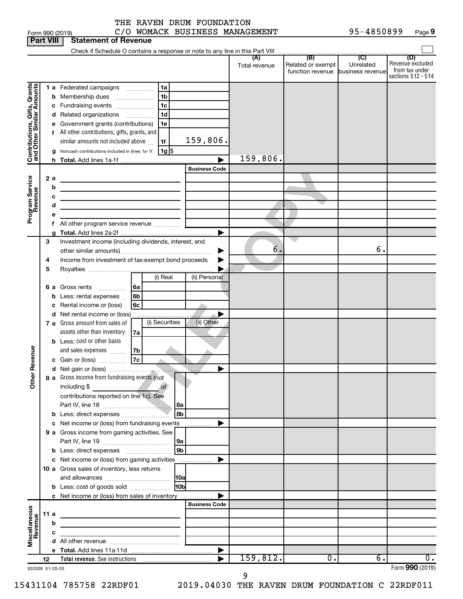**Part VIII Statement of Revenue**  $\Box$ Check if Schedule O contains a response or note to any line in this Part VIII **(A) (B) (C) (D)** Total revenue | Related or exempt Revenue excluded Unrelated from tax under function revenue business revenue sections 512 - 514 Contributions, Gifts, Grants<br>and Other Similar Amounts **Contributions, Gifts, Grants**  $1a$ **and Other Similar Amounts 1 a** Federated campaigns .............. **abcdef** 1<u>111111111</u> <u>abcdef</u>  $1<sub>b</sub>$ Membership dues .....................  $1<sub>c</sub>$ Fundraising events .....................  $1<sub>d</sub>$ Related organizations *www.communical* Government grants (contributions)  $1e$ f All other contributions, gifts, grants, and 159,806.  $1f$ similar amounts not included above  $\,\ldots\,$ Noncash contributions included in lines 1a-1f **g g** \$ 159,806. h Total. Add lines 1a-1f **h Total. abcdefg**  $\blacktriangleright$ FILE BUSINESS Code<br>
FILE COPY<br> **FILE COPY**<br> **FILE COPY**<br> **FILE COPY**<br> **FILE COPY**<br> **FILE COPY**<br> **FILE COPY**<br> **FILE COPY**<br> **FILE COPY**<br> **FILE COPY**<br> **FILE COPY**<br> **FILE COPY**<br> **FILE COPY**<br> **FILE COPY**<br> **FILE COPY**<br> **FILE COP Business Code Program Service**<br>Revenue **2 Program Service** f All other program service revenue ............... **Total.**  Add lines 2a-2f  $\blacktriangleright$ Investment income (including dividends, interest, and  $\mathbf{3}$ **3456** 6. 6. |<br>|<br>| other similar amounts) ~~~~~~~~~~~~~~~~~  $\overline{\mathbf{4}}$ Income from investment of tax-exempt bond proceeds Royalties ....................... 5  $\blacktriangleright$ (i) Real (ii) Personal 6 a Gross rents ............... **6a abcd** Gross rents<br>Less: rental expenses <sub>…</sub> **6b** c Rental income or (loss) **6c** d Net rental income or (loss)  $\blacktriangleright$  (i) Securities (ii) Other **7 a** Gross amount from sales of assets other than inventory **7a bcdabc** Less: cost or other basis **Other Revenue 7b** and sales expenses  $\,\ldots\ldots$ Gain or (loss) <sub>...</sub>................. **7c** Net gain or (loss)  $\blacktriangleright$ **8** Gross income from fundraising events (not including \$ of contributions reported on line 1c). See Part IV, line 18 ~~~~~~~~~~~~ **8a** Less: direct expenses~~~~~~~~~ **8b** c Net income or (loss) from fundraising events  $\blacksquare$ **9** Gross income from gaming activities. See **abc** Part IV, line 19 ~~~~~~~~~~~~ **9a 9b** Less: direct expenses ~~~~~~~~ c Net income or (loss) from gaming activities . . . . . . . . . . . . . . . . . .  $\blacktriangleright$ 10 a Gross sales of inventory, less returns **abc 10a** and allowances ~~~~~~~~~~~~ **10b** Less: cost of goods sold ~~~~~~~ c Net income or (loss) from sales of inventory  $\blacktriangleright$ . . . . . . . . . . . . . . . . . **Business Code Miscellaneous 11 abcde Revenue**  $\mathbf b$  $\mathbf c$ d All other revenue ............ **Total.**  Add lines 11a-11d  $\blacktriangleright$  $159,812.$  0. 6. 0. **Total revenue.**  See instructions **12** |

932009 01-20-20

Form (2019) **990**

9

THE RAVEN DRUM FOUNDATION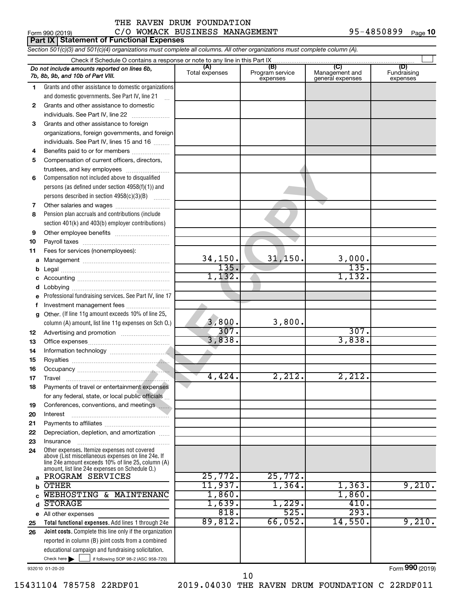Form 990 (2019)  $C/O$  WOMACK BUSINESS MANAGEMENT  $95-4850899$  Page **Part IX Statement of Functional Expenses** *Section 501(c)(3) and 501(c)(4) organizations must complete all columns. All other organizations must complete column (A).* Check if Schedule O contains a response or note to any line in this Part IX  $\Box$ *Do not include amounts reported on lines 6b,* **(A) (B) (C) (D)** Fundraising Total expenses Program service expenses Management and general expenses *7b, 8b, 9b, and 10b of Part VIII.* expenses Grants and other assistance to domestic organizations 1 2 3 4 5 6 7 8 9 and domestic governments. See Part IV, line 21 .<br>...  $\overline{2}$ Grants and other assistance to domestic  $individuals. See Part IV, line 22$  ............ 3 Grants and other assistance to foreign organizations, foreign governments, and foreign individuals. See Part IV, lines 15 and 16  $\ldots$ Benefits paid to or for members .................... 4 5 Compensation of current officers, directors, **FIRENDUAL CONSUMISTION**<br> **FILM CONSUMIST**<br> **FILM COPY**<br> **FILM COPY**<br> **FILM COPY**<br> **FILM COPY**<br> **FILM COPY**<br> **FILM COPY**<br> **FILM COPY**<br> **FILM COPY**<br> **FILM COPY**<br> **FILM COPY**<br> **FILM COPY**<br> **FILM COPY**<br> **FILM COPY**<br> **FILM COP** trustees, and key employees ........................ Compensation not included above to disqualified 6 persons (as defined under section 4958(f)(1)) and persons described in section  $4958(c)(3)(B)$   $\ldots$ Other salaries and wages ~~~~~~~~~~  $\overline{7}$ 8 Pension plan accruals and contributions (include section 401(k) and 403(b) employer contributions)  $\mathbf{Q}$ Other employee benefits ~~~~~~~~~~ Payroll taxes ~~~~~~~~~~~~~~~~ **10 11** Fees for services (nonemployees): 34,150. 31,150. 3,000.  $\mathbf{a}$ **abcdefg** Management ~~~~~~~~~~~~~~~~ 135. 135. b Legal ~~~~~~~~~~~~~~~~~~~~ 1,132. 1,132.  $\mathbf{c}$ Accounting ~~~~~~~~~~~~~~~~~ d Lobbying ~~~~~~~~~~~~~~~~~~ Professional fundraising services. See Part IV, line 17 e f Investment management fees .......................  $\mathbf{q}$ Other. (If line 11g amount exceeds 10% of line 25, 3,800. 3,800. column (A) amount, list line 11g expenses on Sch O.) 307. 307. **12** Advertising and promotion .......................... 3,838. 3,838. **13** Office expenses ~~~~~~~~~~~~~~~ **14** Information technology ~~~~~~~~~~~ **15** Royalties ~~~~~~~~~~~~~~~~~~ **16** Occupancy  $~\dots$  $~\dots$   $~\dots$   $~\dots$   $~\dots$   $~\dots$   $~\dots$ 4,424. 2,212. 2,212. **17** Travel ~~~~~~~~~~~~~~~~~~~ **18** Payments of travel or entertainment expenses for any federal, state, or local public officials ... **19** Conferences, conventions, and meetings **20** Interest ~~~~~~~~~~~~~~~~~~ **21** Payments to affiliates ~~~~~~~~~~~~ **22** Depreciation, depletion, and amortization ...... **23** Insurance ~~~~~~~~~~~~~~~~~ Other expenses. Itemize expenses not covered **24** above (List miscellaneous expenses on line 24e. If line 24e amount exceeds 10% of line 25, column (A) amount, list line 24e expenses on Schedule O.) PROGRAM SERVICES 25,772. 25,772.  $\mathbf{a}$ **abcde** OTHER 11,937. 1,364. 1,363. 9,210.  $\mathbf b$  $\overline{\text{WEBHOSTING}}$  & MAINTENANC  $\begin{bmatrix} 1,860 \end{bmatrix}$  . 1,860.  $\mathbf{c}$  $STORAGE$  1,639. 1,229. 410. d 818. 525. 293. All other expenses  $\mathbf{e}$ 89,812. 66,052. 14,550. 9,210. **25 Total functional expenses.**  Add lines 1 through 24e **26 Joint costs.** Complete this line only if the organization reported in column (B) joint costs from a combined educational campaign and fundraising solicitation. Check here  $\begin{array}{c} \begin{array}{|c} \hline \end{array} \end{array}$  if following SOP 98-2 (ASC 958-720) Check here |

932010 01-20-20

Form (2019) **990**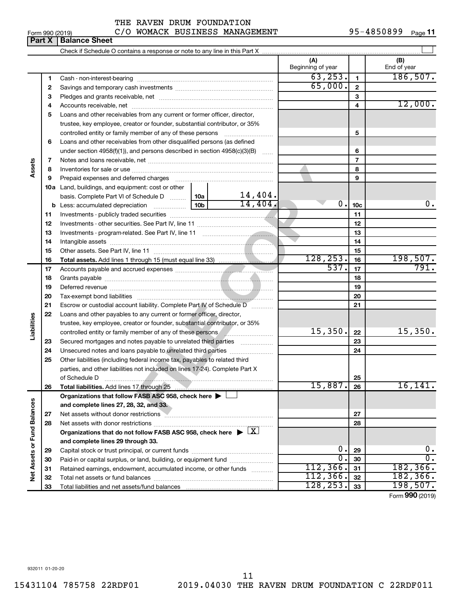### Form 990 (2019)  $C/O$  WOMACK BUSINESS MANAGEMENT 95-4850899  $Page$ THE RAVEN DRUM FOUNDATION

| (A)<br>(B)<br>Beginning of year<br>End of year<br>63, 253.<br>186, 507.<br>1<br>1<br>65,000.<br>$\mathbf{2}$<br>2<br>3<br>3<br>12,000.<br>4<br>4<br>Loans and other receivables from any current or former officer, director,<br>5<br>trustee, key employee, creator or founder, substantial contributor, or 35%<br>5<br>controlled entity or family member of any of these persons<br>Loans and other receivables from other disqualified persons (as defined<br>6<br>under section 4958(f)(1)), and persons described in section 4958(c)(3)(B)<br>6<br>$\overline{7}$<br>7<br>Assets<br>8<br>8<br>9<br>9<br>10a Land, buildings, and equipment: cost or other<br>14,404.<br>basis. Complete Part VI of Schedule D  10a  <br>14,404.<br>0.<br><b>b</b> Less: accumulated depreciation <b></b> 10b<br>10 <sub>c</sub><br>11<br>11<br>12<br>12<br>13<br>13<br>14<br>14<br>15<br>15<br>128, 253.<br>198,507.<br>16<br>16<br>537.<br>791.<br>17<br>17<br>18<br>18<br>19<br>19<br>20<br>20<br>21<br>Escrow or custodial account liability. Complete Part IV of Schedule D<br>21<br>22<br>Loans and other payables to any current or former officer, director,<br>Liabilities<br>trustee, key employee, creator or founder, substantial contributor, or 35%<br>15,350.<br>15,350.<br>22<br>controlled entity or family member of any of these persons <b>Controlled</b> entity or family member of any of these persons<br>23<br>23<br>Secured mortgages and notes payable to unrelated third parties<br>24<br>24<br>25<br>Other liabilities (including federal income tax, payables to related third<br>parties, and other liabilities not included on lines 17-24). Complete Part X<br>of Schedule D<br>25<br>15,887<br>16, 141.<br>Total liabilities. Add lines 17 through 25<br>26<br>26<br>Organizations that follow FASB ASC 958, check here ><br>Net Assets or Fund Balances<br>and complete lines 27, 28, 32, and 33.<br>Net assets without donor restrictions<br>27<br>27<br><b>William Strategier (2008)</b><br>28<br>28<br>Organizations that do not follow FASB ASC 958, check here $\blacktriangleright \boxed{X}$<br>and complete lines 29 through 33.<br>0.<br>0.<br>29<br>29<br>О.<br>$\overline{0}$ .<br>Paid-in or capital surplus, or land, building, or equipment fund<br>30<br>30<br>112, 366.<br>182, 366.<br>31<br>Retained earnings, endowment, accumulated income, or other funds<br>31<br>112, 366.<br>182, 366.<br>32<br>32<br>128, 253.<br>198,507.<br>33<br>33 | Part X | <b>Balance Sheet</b> |  |  |    |
|----------------------------------------------------------------------------------------------------------------------------------------------------------------------------------------------------------------------------------------------------------------------------------------------------------------------------------------------------------------------------------------------------------------------------------------------------------------------------------------------------------------------------------------------------------------------------------------------------------------------------------------------------------------------------------------------------------------------------------------------------------------------------------------------------------------------------------------------------------------------------------------------------------------------------------------------------------------------------------------------------------------------------------------------------------------------------------------------------------------------------------------------------------------------------------------------------------------------------------------------------------------------------------------------------------------------------------------------------------------------------------------------------------------------------------------------------------------------------------------------------------------------------------------------------------------------------------------------------------------------------------------------------------------------------------------------------------------------------------------------------------------------------------------------------------------------------------------------------------------------------------------------------------------------------------------------------------------------------------------------------------------------------------------------------------------------------------------------------------------------------------------------------------------------------------------------------------------------------------------------------------------------------------------------------------------------------------------------------------------------------------------------------------------------------------------------------------------------------------------|--------|----------------------|--|--|----|
|                                                                                                                                                                                                                                                                                                                                                                                                                                                                                                                                                                                                                                                                                                                                                                                                                                                                                                                                                                                                                                                                                                                                                                                                                                                                                                                                                                                                                                                                                                                                                                                                                                                                                                                                                                                                                                                                                                                                                                                                                                                                                                                                                                                                                                                                                                                                                                                                                                                                                        |        |                      |  |  |    |
|                                                                                                                                                                                                                                                                                                                                                                                                                                                                                                                                                                                                                                                                                                                                                                                                                                                                                                                                                                                                                                                                                                                                                                                                                                                                                                                                                                                                                                                                                                                                                                                                                                                                                                                                                                                                                                                                                                                                                                                                                                                                                                                                                                                                                                                                                                                                                                                                                                                                                        |        |                      |  |  |    |
|                                                                                                                                                                                                                                                                                                                                                                                                                                                                                                                                                                                                                                                                                                                                                                                                                                                                                                                                                                                                                                                                                                                                                                                                                                                                                                                                                                                                                                                                                                                                                                                                                                                                                                                                                                                                                                                                                                                                                                                                                                                                                                                                                                                                                                                                                                                                                                                                                                                                                        |        |                      |  |  |    |
|                                                                                                                                                                                                                                                                                                                                                                                                                                                                                                                                                                                                                                                                                                                                                                                                                                                                                                                                                                                                                                                                                                                                                                                                                                                                                                                                                                                                                                                                                                                                                                                                                                                                                                                                                                                                                                                                                                                                                                                                                                                                                                                                                                                                                                                                                                                                                                                                                                                                                        |        |                      |  |  |    |
|                                                                                                                                                                                                                                                                                                                                                                                                                                                                                                                                                                                                                                                                                                                                                                                                                                                                                                                                                                                                                                                                                                                                                                                                                                                                                                                                                                                                                                                                                                                                                                                                                                                                                                                                                                                                                                                                                                                                                                                                                                                                                                                                                                                                                                                                                                                                                                                                                                                                                        |        |                      |  |  |    |
|                                                                                                                                                                                                                                                                                                                                                                                                                                                                                                                                                                                                                                                                                                                                                                                                                                                                                                                                                                                                                                                                                                                                                                                                                                                                                                                                                                                                                                                                                                                                                                                                                                                                                                                                                                                                                                                                                                                                                                                                                                                                                                                                                                                                                                                                                                                                                                                                                                                                                        |        |                      |  |  |    |
|                                                                                                                                                                                                                                                                                                                                                                                                                                                                                                                                                                                                                                                                                                                                                                                                                                                                                                                                                                                                                                                                                                                                                                                                                                                                                                                                                                                                                                                                                                                                                                                                                                                                                                                                                                                                                                                                                                                                                                                                                                                                                                                                                                                                                                                                                                                                                                                                                                                                                        |        |                      |  |  |    |
|                                                                                                                                                                                                                                                                                                                                                                                                                                                                                                                                                                                                                                                                                                                                                                                                                                                                                                                                                                                                                                                                                                                                                                                                                                                                                                                                                                                                                                                                                                                                                                                                                                                                                                                                                                                                                                                                                                                                                                                                                                                                                                                                                                                                                                                                                                                                                                                                                                                                                        |        |                      |  |  |    |
|                                                                                                                                                                                                                                                                                                                                                                                                                                                                                                                                                                                                                                                                                                                                                                                                                                                                                                                                                                                                                                                                                                                                                                                                                                                                                                                                                                                                                                                                                                                                                                                                                                                                                                                                                                                                                                                                                                                                                                                                                                                                                                                                                                                                                                                                                                                                                                                                                                                                                        |        |                      |  |  |    |
|                                                                                                                                                                                                                                                                                                                                                                                                                                                                                                                                                                                                                                                                                                                                                                                                                                                                                                                                                                                                                                                                                                                                                                                                                                                                                                                                                                                                                                                                                                                                                                                                                                                                                                                                                                                                                                                                                                                                                                                                                                                                                                                                                                                                                                                                                                                                                                                                                                                                                        |        |                      |  |  |    |
|                                                                                                                                                                                                                                                                                                                                                                                                                                                                                                                                                                                                                                                                                                                                                                                                                                                                                                                                                                                                                                                                                                                                                                                                                                                                                                                                                                                                                                                                                                                                                                                                                                                                                                                                                                                                                                                                                                                                                                                                                                                                                                                                                                                                                                                                                                                                                                                                                                                                                        |        |                      |  |  |    |
|                                                                                                                                                                                                                                                                                                                                                                                                                                                                                                                                                                                                                                                                                                                                                                                                                                                                                                                                                                                                                                                                                                                                                                                                                                                                                                                                                                                                                                                                                                                                                                                                                                                                                                                                                                                                                                                                                                                                                                                                                                                                                                                                                                                                                                                                                                                                                                                                                                                                                        |        |                      |  |  |    |
|                                                                                                                                                                                                                                                                                                                                                                                                                                                                                                                                                                                                                                                                                                                                                                                                                                                                                                                                                                                                                                                                                                                                                                                                                                                                                                                                                                                                                                                                                                                                                                                                                                                                                                                                                                                                                                                                                                                                                                                                                                                                                                                                                                                                                                                                                                                                                                                                                                                                                        |        |                      |  |  |    |
|                                                                                                                                                                                                                                                                                                                                                                                                                                                                                                                                                                                                                                                                                                                                                                                                                                                                                                                                                                                                                                                                                                                                                                                                                                                                                                                                                                                                                                                                                                                                                                                                                                                                                                                                                                                                                                                                                                                                                                                                                                                                                                                                                                                                                                                                                                                                                                                                                                                                                        |        |                      |  |  |    |
|                                                                                                                                                                                                                                                                                                                                                                                                                                                                                                                                                                                                                                                                                                                                                                                                                                                                                                                                                                                                                                                                                                                                                                                                                                                                                                                                                                                                                                                                                                                                                                                                                                                                                                                                                                                                                                                                                                                                                                                                                                                                                                                                                                                                                                                                                                                                                                                                                                                                                        |        |                      |  |  |    |
|                                                                                                                                                                                                                                                                                                                                                                                                                                                                                                                                                                                                                                                                                                                                                                                                                                                                                                                                                                                                                                                                                                                                                                                                                                                                                                                                                                                                                                                                                                                                                                                                                                                                                                                                                                                                                                                                                                                                                                                                                                                                                                                                                                                                                                                                                                                                                                                                                                                                                        |        |                      |  |  |    |
|                                                                                                                                                                                                                                                                                                                                                                                                                                                                                                                                                                                                                                                                                                                                                                                                                                                                                                                                                                                                                                                                                                                                                                                                                                                                                                                                                                                                                                                                                                                                                                                                                                                                                                                                                                                                                                                                                                                                                                                                                                                                                                                                                                                                                                                                                                                                                                                                                                                                                        |        |                      |  |  | 0. |
|                                                                                                                                                                                                                                                                                                                                                                                                                                                                                                                                                                                                                                                                                                                                                                                                                                                                                                                                                                                                                                                                                                                                                                                                                                                                                                                                                                                                                                                                                                                                                                                                                                                                                                                                                                                                                                                                                                                                                                                                                                                                                                                                                                                                                                                                                                                                                                                                                                                                                        |        |                      |  |  |    |
|                                                                                                                                                                                                                                                                                                                                                                                                                                                                                                                                                                                                                                                                                                                                                                                                                                                                                                                                                                                                                                                                                                                                                                                                                                                                                                                                                                                                                                                                                                                                                                                                                                                                                                                                                                                                                                                                                                                                                                                                                                                                                                                                                                                                                                                                                                                                                                                                                                                                                        |        |                      |  |  |    |
|                                                                                                                                                                                                                                                                                                                                                                                                                                                                                                                                                                                                                                                                                                                                                                                                                                                                                                                                                                                                                                                                                                                                                                                                                                                                                                                                                                                                                                                                                                                                                                                                                                                                                                                                                                                                                                                                                                                                                                                                                                                                                                                                                                                                                                                                                                                                                                                                                                                                                        |        |                      |  |  |    |
|                                                                                                                                                                                                                                                                                                                                                                                                                                                                                                                                                                                                                                                                                                                                                                                                                                                                                                                                                                                                                                                                                                                                                                                                                                                                                                                                                                                                                                                                                                                                                                                                                                                                                                                                                                                                                                                                                                                                                                                                                                                                                                                                                                                                                                                                                                                                                                                                                                                                                        |        |                      |  |  |    |
|                                                                                                                                                                                                                                                                                                                                                                                                                                                                                                                                                                                                                                                                                                                                                                                                                                                                                                                                                                                                                                                                                                                                                                                                                                                                                                                                                                                                                                                                                                                                                                                                                                                                                                                                                                                                                                                                                                                                                                                                                                                                                                                                                                                                                                                                                                                                                                                                                                                                                        |        |                      |  |  |    |
|                                                                                                                                                                                                                                                                                                                                                                                                                                                                                                                                                                                                                                                                                                                                                                                                                                                                                                                                                                                                                                                                                                                                                                                                                                                                                                                                                                                                                                                                                                                                                                                                                                                                                                                                                                                                                                                                                                                                                                                                                                                                                                                                                                                                                                                                                                                                                                                                                                                                                        |        |                      |  |  |    |
|                                                                                                                                                                                                                                                                                                                                                                                                                                                                                                                                                                                                                                                                                                                                                                                                                                                                                                                                                                                                                                                                                                                                                                                                                                                                                                                                                                                                                                                                                                                                                                                                                                                                                                                                                                                                                                                                                                                                                                                                                                                                                                                                                                                                                                                                                                                                                                                                                                                                                        |        |                      |  |  |    |
|                                                                                                                                                                                                                                                                                                                                                                                                                                                                                                                                                                                                                                                                                                                                                                                                                                                                                                                                                                                                                                                                                                                                                                                                                                                                                                                                                                                                                                                                                                                                                                                                                                                                                                                                                                                                                                                                                                                                                                                                                                                                                                                                                                                                                                                                                                                                                                                                                                                                                        |        |                      |  |  |    |
|                                                                                                                                                                                                                                                                                                                                                                                                                                                                                                                                                                                                                                                                                                                                                                                                                                                                                                                                                                                                                                                                                                                                                                                                                                                                                                                                                                                                                                                                                                                                                                                                                                                                                                                                                                                                                                                                                                                                                                                                                                                                                                                                                                                                                                                                                                                                                                                                                                                                                        |        |                      |  |  |    |
|                                                                                                                                                                                                                                                                                                                                                                                                                                                                                                                                                                                                                                                                                                                                                                                                                                                                                                                                                                                                                                                                                                                                                                                                                                                                                                                                                                                                                                                                                                                                                                                                                                                                                                                                                                                                                                                                                                                                                                                                                                                                                                                                                                                                                                                                                                                                                                                                                                                                                        |        |                      |  |  |    |
|                                                                                                                                                                                                                                                                                                                                                                                                                                                                                                                                                                                                                                                                                                                                                                                                                                                                                                                                                                                                                                                                                                                                                                                                                                                                                                                                                                                                                                                                                                                                                                                                                                                                                                                                                                                                                                                                                                                                                                                                                                                                                                                                                                                                                                                                                                                                                                                                                                                                                        |        |                      |  |  |    |
|                                                                                                                                                                                                                                                                                                                                                                                                                                                                                                                                                                                                                                                                                                                                                                                                                                                                                                                                                                                                                                                                                                                                                                                                                                                                                                                                                                                                                                                                                                                                                                                                                                                                                                                                                                                                                                                                                                                                                                                                                                                                                                                                                                                                                                                                                                                                                                                                                                                                                        |        |                      |  |  |    |
|                                                                                                                                                                                                                                                                                                                                                                                                                                                                                                                                                                                                                                                                                                                                                                                                                                                                                                                                                                                                                                                                                                                                                                                                                                                                                                                                                                                                                                                                                                                                                                                                                                                                                                                                                                                                                                                                                                                                                                                                                                                                                                                                                                                                                                                                                                                                                                                                                                                                                        |        |                      |  |  |    |
|                                                                                                                                                                                                                                                                                                                                                                                                                                                                                                                                                                                                                                                                                                                                                                                                                                                                                                                                                                                                                                                                                                                                                                                                                                                                                                                                                                                                                                                                                                                                                                                                                                                                                                                                                                                                                                                                                                                                                                                                                                                                                                                                                                                                                                                                                                                                                                                                                                                                                        |        |                      |  |  |    |
|                                                                                                                                                                                                                                                                                                                                                                                                                                                                                                                                                                                                                                                                                                                                                                                                                                                                                                                                                                                                                                                                                                                                                                                                                                                                                                                                                                                                                                                                                                                                                                                                                                                                                                                                                                                                                                                                                                                                                                                                                                                                                                                                                                                                                                                                                                                                                                                                                                                                                        |        |                      |  |  |    |
|                                                                                                                                                                                                                                                                                                                                                                                                                                                                                                                                                                                                                                                                                                                                                                                                                                                                                                                                                                                                                                                                                                                                                                                                                                                                                                                                                                                                                                                                                                                                                                                                                                                                                                                                                                                                                                                                                                                                                                                                                                                                                                                                                                                                                                                                                                                                                                                                                                                                                        |        |                      |  |  |    |
|                                                                                                                                                                                                                                                                                                                                                                                                                                                                                                                                                                                                                                                                                                                                                                                                                                                                                                                                                                                                                                                                                                                                                                                                                                                                                                                                                                                                                                                                                                                                                                                                                                                                                                                                                                                                                                                                                                                                                                                                                                                                                                                                                                                                                                                                                                                                                                                                                                                                                        |        |                      |  |  |    |
|                                                                                                                                                                                                                                                                                                                                                                                                                                                                                                                                                                                                                                                                                                                                                                                                                                                                                                                                                                                                                                                                                                                                                                                                                                                                                                                                                                                                                                                                                                                                                                                                                                                                                                                                                                                                                                                                                                                                                                                                                                                                                                                                                                                                                                                                                                                                                                                                                                                                                        |        |                      |  |  |    |
|                                                                                                                                                                                                                                                                                                                                                                                                                                                                                                                                                                                                                                                                                                                                                                                                                                                                                                                                                                                                                                                                                                                                                                                                                                                                                                                                                                                                                                                                                                                                                                                                                                                                                                                                                                                                                                                                                                                                                                                                                                                                                                                                                                                                                                                                                                                                                                                                                                                                                        |        |                      |  |  |    |
|                                                                                                                                                                                                                                                                                                                                                                                                                                                                                                                                                                                                                                                                                                                                                                                                                                                                                                                                                                                                                                                                                                                                                                                                                                                                                                                                                                                                                                                                                                                                                                                                                                                                                                                                                                                                                                                                                                                                                                                                                                                                                                                                                                                                                                                                                                                                                                                                                                                                                        |        |                      |  |  |    |
|                                                                                                                                                                                                                                                                                                                                                                                                                                                                                                                                                                                                                                                                                                                                                                                                                                                                                                                                                                                                                                                                                                                                                                                                                                                                                                                                                                                                                                                                                                                                                                                                                                                                                                                                                                                                                                                                                                                                                                                                                                                                                                                                                                                                                                                                                                                                                                                                                                                                                        |        |                      |  |  |    |
|                                                                                                                                                                                                                                                                                                                                                                                                                                                                                                                                                                                                                                                                                                                                                                                                                                                                                                                                                                                                                                                                                                                                                                                                                                                                                                                                                                                                                                                                                                                                                                                                                                                                                                                                                                                                                                                                                                                                                                                                                                                                                                                                                                                                                                                                                                                                                                                                                                                                                        |        |                      |  |  |    |
|                                                                                                                                                                                                                                                                                                                                                                                                                                                                                                                                                                                                                                                                                                                                                                                                                                                                                                                                                                                                                                                                                                                                                                                                                                                                                                                                                                                                                                                                                                                                                                                                                                                                                                                                                                                                                                                                                                                                                                                                                                                                                                                                                                                                                                                                                                                                                                                                                                                                                        |        |                      |  |  |    |
|                                                                                                                                                                                                                                                                                                                                                                                                                                                                                                                                                                                                                                                                                                                                                                                                                                                                                                                                                                                                                                                                                                                                                                                                                                                                                                                                                                                                                                                                                                                                                                                                                                                                                                                                                                                                                                                                                                                                                                                                                                                                                                                                                                                                                                                                                                                                                                                                                                                                                        |        |                      |  |  |    |
|                                                                                                                                                                                                                                                                                                                                                                                                                                                                                                                                                                                                                                                                                                                                                                                                                                                                                                                                                                                                                                                                                                                                                                                                                                                                                                                                                                                                                                                                                                                                                                                                                                                                                                                                                                                                                                                                                                                                                                                                                                                                                                                                                                                                                                                                                                                                                                                                                                                                                        |        |                      |  |  |    |
|                                                                                                                                                                                                                                                                                                                                                                                                                                                                                                                                                                                                                                                                                                                                                                                                                                                                                                                                                                                                                                                                                                                                                                                                                                                                                                                                                                                                                                                                                                                                                                                                                                                                                                                                                                                                                                                                                                                                                                                                                                                                                                                                                                                                                                                                                                                                                                                                                                                                                        |        |                      |  |  |    |
|                                                                                                                                                                                                                                                                                                                                                                                                                                                                                                                                                                                                                                                                                                                                                                                                                                                                                                                                                                                                                                                                                                                                                                                                                                                                                                                                                                                                                                                                                                                                                                                                                                                                                                                                                                                                                                                                                                                                                                                                                                                                                                                                                                                                                                                                                                                                                                                                                                                                                        |        |                      |  |  |    |
|                                                                                                                                                                                                                                                                                                                                                                                                                                                                                                                                                                                                                                                                                                                                                                                                                                                                                                                                                                                                                                                                                                                                                                                                                                                                                                                                                                                                                                                                                                                                                                                                                                                                                                                                                                                                                                                                                                                                                                                                                                                                                                                                                                                                                                                                                                                                                                                                                                                                                        |        |                      |  |  |    |
|                                                                                                                                                                                                                                                                                                                                                                                                                                                                                                                                                                                                                                                                                                                                                                                                                                                                                                                                                                                                                                                                                                                                                                                                                                                                                                                                                                                                                                                                                                                                                                                                                                                                                                                                                                                                                                                                                                                                                                                                                                                                                                                                                                                                                                                                                                                                                                                                                                                                                        |        |                      |  |  |    |
|                                                                                                                                                                                                                                                                                                                                                                                                                                                                                                                                                                                                                                                                                                                                                                                                                                                                                                                                                                                                                                                                                                                                                                                                                                                                                                                                                                                                                                                                                                                                                                                                                                                                                                                                                                                                                                                                                                                                                                                                                                                                                                                                                                                                                                                                                                                                                                                                                                                                                        |        |                      |  |  |    |
|                                                                                                                                                                                                                                                                                                                                                                                                                                                                                                                                                                                                                                                                                                                                                                                                                                                                                                                                                                                                                                                                                                                                                                                                                                                                                                                                                                                                                                                                                                                                                                                                                                                                                                                                                                                                                                                                                                                                                                                                                                                                                                                                                                                                                                                                                                                                                                                                                                                                                        |        |                      |  |  |    |

Form (2019) **990**

932011 01-20-20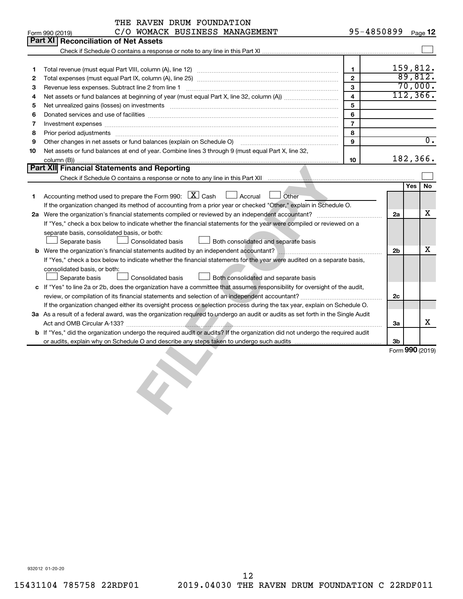|    | THE RAVEN DRUM FOUNDATION<br>C/O WOMACK BUSINESS MANAGEMENT<br>Form 990 (2019)                                                       | 95-4850899              |                |     | Page 12          |
|----|--------------------------------------------------------------------------------------------------------------------------------------|-------------------------|----------------|-----|------------------|
|    | <b>Part XI</b><br><b>Reconciliation of Net Assets</b>                                                                                |                         |                |     |                  |
|    |                                                                                                                                      |                         |                |     |                  |
|    |                                                                                                                                      |                         |                |     |                  |
| 1  |                                                                                                                                      | $\mathbf{1}$            |                |     | 159,812.         |
| 2  |                                                                                                                                      | $\overline{2}$          |                |     | 89,812.          |
| 3  |                                                                                                                                      | 3                       |                |     | 70,000.          |
| 4  |                                                                                                                                      | $\overline{\mathbf{4}}$ |                |     | 112, 366.        |
| 5  | Net unrealized gains (losses) on investments [11] matter continuum matter is a set of the set of the set of the                      | 5                       |                |     |                  |
| 6  |                                                                                                                                      | 6                       |                |     |                  |
| 7  |                                                                                                                                      | $\overline{7}$          |                |     |                  |
| 8  | Prior period adjustments [111] matter contracts and adjustments and account of the contract of the contract of                       | 8                       |                |     |                  |
| 9  | Other changes in net assets or fund balances (explain on Schedule O) manufactured controller than get and the                        | 9                       |                |     | $\overline{0}$ . |
| 10 | Net assets or fund balances at end of year. Combine lines 3 through 9 (must equal Part X, line 32,                                   |                         |                |     |                  |
|    |                                                                                                                                      | 10                      |                |     | 182,366.         |
|    | <b>Part XII</b> Financial Statements and Reporting                                                                                   |                         |                |     |                  |
|    |                                                                                                                                      |                         |                |     |                  |
|    |                                                                                                                                      |                         |                | Yes | No               |
| 1  | Accounting method used to prepare the Form 990: $X \subset X$ Cash<br>Accrual<br>Other                                               |                         |                |     |                  |
|    | If the organization changed its method of accounting from a prior year or checked "Other," explain in Schedule O.                    |                         |                |     |                  |
|    |                                                                                                                                      |                         | 2a             |     | x                |
|    | If "Yes," check a box below to indicate whether the financial statements for the year were compiled or reviewed on a                 |                         |                |     |                  |
|    | separate basis, consolidated basis, or both:                                                                                         |                         |                |     |                  |
|    | Separate basis<br>Consolidated basis<br>Both consolidated and separate basis                                                         |                         |                |     |                  |
|    |                                                                                                                                      |                         | 2 <sub>b</sub> |     | х                |
|    | If "Yes," check a box below to indicate whether the financial statements for the year were audited on a separate basis,              |                         |                |     |                  |
|    | consolidated basis, or both:                                                                                                         |                         |                |     |                  |
|    | Both consolidated and separate basis<br>Separate basis<br>Consolidated basis                                                         |                         |                |     |                  |
|    | c If "Yes" to line 2a or 2b, does the organization have a committee that assumes responsibility for oversight of the audit,          |                         |                |     |                  |
|    |                                                                                                                                      |                         | 2c             |     |                  |
|    | If the organization changed either its oversight process or selection process during the tax year, explain on Schedule O.            |                         |                |     |                  |
|    | 3a As a result of a federal award, was the organization required to undergo an audit or audits as set forth in the Single Audit      |                         |                |     |                  |
|    |                                                                                                                                      |                         | За             |     | x                |
|    | <b>b</b> If "Yes," did the organization undergo the required audit or audits? If the organization did not undergo the required audit |                         |                |     |                  |
|    |                                                                                                                                      |                         | 3b             |     |                  |
|    |                                                                                                                                      |                         |                |     | Form 990 (2019)  |
|    | <b>CENT</b>                                                                                                                          |                         |                |     |                  |
|    | 932012 01-20-20                                                                                                                      |                         |                |     |                  |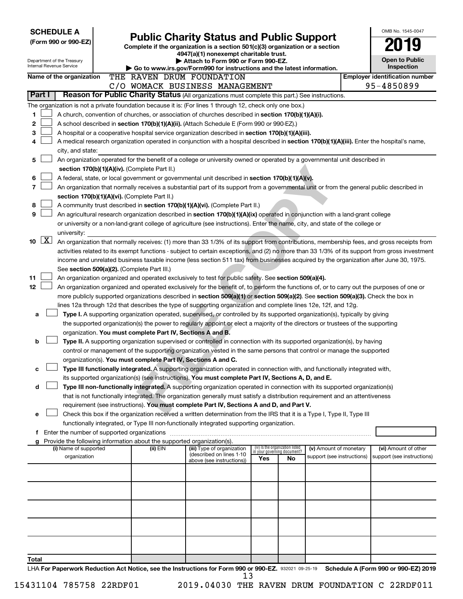| <b>SCHEDULE A</b>                                                                                                                                                                                                                                              |                                                                                                                                                                                                                                                      |                                                                        |                                                                                                                                                                                                |                             |                                 |                            |  | OMB No. 1545-0047                     |  |  |  |
|----------------------------------------------------------------------------------------------------------------------------------------------------------------------------------------------------------------------------------------------------------------|------------------------------------------------------------------------------------------------------------------------------------------------------------------------------------------------------------------------------------------------------|------------------------------------------------------------------------|------------------------------------------------------------------------------------------------------------------------------------------------------------------------------------------------|-----------------------------|---------------------------------|----------------------------|--|---------------------------------------|--|--|--|
| (Form 990 or 990-EZ)                                                                                                                                                                                                                                           |                                                                                                                                                                                                                                                      |                                                                        | <b>Public Charity Status and Public Support</b>                                                                                                                                                |                             |                                 |                            |  |                                       |  |  |  |
|                                                                                                                                                                                                                                                                |                                                                                                                                                                                                                                                      |                                                                        | Complete if the organization is a section 501(c)(3) organization or a section<br>4947(a)(1) nonexempt charitable trust.                                                                        |                             |                                 |                            |  |                                       |  |  |  |
| Department of the Treasury                                                                                                                                                                                                                                     |                                                                                                                                                                                                                                                      |                                                                        | Attach to Form 990 or Form 990-EZ.                                                                                                                                                             |                             |                                 |                            |  | <b>Open to Public</b>                 |  |  |  |
| Internal Revenue Service                                                                                                                                                                                                                                       |                                                                                                                                                                                                                                                      |                                                                        | Go to www.irs.gov/Form990 for instructions and the latest information.                                                                                                                         |                             |                                 |                            |  | Inspection                            |  |  |  |
| Name of the organization                                                                                                                                                                                                                                       |                                                                                                                                                                                                                                                      |                                                                        | THE RAVEN DRUM FOUNDATION                                                                                                                                                                      |                             |                                 |                            |  | <b>Employer identification number</b> |  |  |  |
| Part I                                                                                                                                                                                                                                                         |                                                                                                                                                                                                                                                      |                                                                        | C/O WOMACK BUSINESS MANAGEMENT<br>Reason for Public Charity Status (All organizations must complete this part.) See instructions.                                                              |                             |                                 |                            |  | 95-4850899                            |  |  |  |
|                                                                                                                                                                                                                                                                |                                                                                                                                                                                                                                                      |                                                                        |                                                                                                                                                                                                |                             |                                 |                            |  |                                       |  |  |  |
|                                                                                                                                                                                                                                                                |                                                                                                                                                                                                                                                      |                                                                        | The organization is not a private foundation because it is: (For lines 1 through 12, check only one box.)                                                                                      |                             |                                 |                            |  |                                       |  |  |  |
| 1<br>2                                                                                                                                                                                                                                                         |                                                                                                                                                                                                                                                      |                                                                        | A church, convention of churches, or association of churches described in section 170(b)(1)(A)(i).                                                                                             |                             |                                 |                            |  |                                       |  |  |  |
| 3                                                                                                                                                                                                                                                              |                                                                                                                                                                                                                                                      |                                                                        | A school described in section 170(b)(1)(A)(ii). (Attach Schedule E (Form 990 or 990-EZ).)<br>A hospital or a cooperative hospital service organization described in section 170(b)(1)(A)(iii). |                             |                                 |                            |  |                                       |  |  |  |
| 4                                                                                                                                                                                                                                                              |                                                                                                                                                                                                                                                      |                                                                        | A medical research organization operated in conjunction with a hospital described in section 170(b)(1)(A)(iii). Enter the hospital's name,                                                     |                             |                                 |                            |  |                                       |  |  |  |
| city, and state:                                                                                                                                                                                                                                               |                                                                                                                                                                                                                                                      |                                                                        |                                                                                                                                                                                                |                             |                                 |                            |  |                                       |  |  |  |
| 5                                                                                                                                                                                                                                                              |                                                                                                                                                                                                                                                      |                                                                        |                                                                                                                                                                                                |                             |                                 |                            |  |                                       |  |  |  |
|                                                                                                                                                                                                                                                                | An organization operated for the benefit of a college or university owned or operated by a governmental unit described in<br>section 170(b)(1)(A)(iv). (Complete Part II.)                                                                           |                                                                        |                                                                                                                                                                                                |                             |                                 |                            |  |                                       |  |  |  |
| 6                                                                                                                                                                                                                                                              | A federal, state, or local government or governmental unit described in section 170(b)(1)(A)(v).                                                                                                                                                     |                                                                        |                                                                                                                                                                                                |                             |                                 |                            |  |                                       |  |  |  |
| $\overline{\phantom{a}}$                                                                                                                                                                                                                                       |                                                                                                                                                                                                                                                      |                                                                        | An organization that normally receives a substantial part of its support from a governmental unit or from the general public described in                                                      |                             |                                 |                            |  |                                       |  |  |  |
|                                                                                                                                                                                                                                                                |                                                                                                                                                                                                                                                      | section 170(b)(1)(A)(vi). (Complete Part II.)                          |                                                                                                                                                                                                |                             |                                 |                            |  |                                       |  |  |  |
| 8                                                                                                                                                                                                                                                              |                                                                                                                                                                                                                                                      |                                                                        | A community trust described in section 170(b)(1)(A)(vi). (Complete Part II.)                                                                                                                   |                             |                                 |                            |  |                                       |  |  |  |
| 9                                                                                                                                                                                                                                                              |                                                                                                                                                                                                                                                      |                                                                        | An agricultural research organization described in section 170(b)(1)(A)(ix) operated in conjunction with a land-grant college                                                                  |                             |                                 |                            |  |                                       |  |  |  |
|                                                                                                                                                                                                                                                                |                                                                                                                                                                                                                                                      |                                                                        | or university or a non-land-grant college of agriculture (see instructions). Enter the name, city, and state of the college or                                                                 |                             |                                 |                            |  |                                       |  |  |  |
| university:                                                                                                                                                                                                                                                    |                                                                                                                                                                                                                                                      |                                                                        |                                                                                                                                                                                                |                             |                                 |                            |  |                                       |  |  |  |
| $\lfloor x \rfloor$<br>10<br>An organization that normally receives: (1) more than 33 1/3% of its support from contributions, membership fees, and gross receipts from                                                                                         |                                                                                                                                                                                                                                                      |                                                                        |                                                                                                                                                                                                |                             |                                 |                            |  |                                       |  |  |  |
| activities related to its exempt functions - subject to certain exceptions, and (2) no more than 33 1/3% of its support from gross investment                                                                                                                  |                                                                                                                                                                                                                                                      |                                                                        |                                                                                                                                                                                                |                             |                                 |                            |  |                                       |  |  |  |
| income and unrelated business taxable income (less section 511 tax) from businesses acquired by the organization after June 30, 1975.                                                                                                                          |                                                                                                                                                                                                                                                      |                                                                        |                                                                                                                                                                                                |                             |                                 |                            |  |                                       |  |  |  |
| See section 509(a)(2). (Complete Part III.)                                                                                                                                                                                                                    |                                                                                                                                                                                                                                                      |                                                                        |                                                                                                                                                                                                |                             |                                 |                            |  |                                       |  |  |  |
| An organization organized and operated exclusively to test for public safety. See section 509(a)(4).<br>11<br>12<br>An organization organized and operated exclusively for the benefit of, to perform the functions of, or to carry out the purposes of one or |                                                                                                                                                                                                                                                      |                                                                        |                                                                                                                                                                                                |                             |                                 |                            |  |                                       |  |  |  |
|                                                                                                                                                                                                                                                                |                                                                                                                                                                                                                                                      |                                                                        |                                                                                                                                                                                                |                             |                                 |                            |  |                                       |  |  |  |
|                                                                                                                                                                                                                                                                | more publicly supported organizations described in section 509(a)(1) or section 509(a)(2). See section 509(a)(3). Check the box in<br>lines 12a through 12d that describes the type of supporting organization and complete lines 12e, 12f, and 12g. |                                                                        |                                                                                                                                                                                                |                             |                                 |                            |  |                                       |  |  |  |
| a                                                                                                                                                                                                                                                              |                                                                                                                                                                                                                                                      |                                                                        | Type I. A supporting organization operated, supervised, or controlled by its supported organization(s), typically by giving                                                                    |                             |                                 |                            |  |                                       |  |  |  |
|                                                                                                                                                                                                                                                                |                                                                                                                                                                                                                                                      |                                                                        | the supported organization(s) the power to regularly appoint or elect a majority of the directors or trustees of the supporting                                                                |                             |                                 |                            |  |                                       |  |  |  |
|                                                                                                                                                                                                                                                                |                                                                                                                                                                                                                                                      | organization. You must complete Part IV, Sections A and B.             |                                                                                                                                                                                                |                             |                                 |                            |  |                                       |  |  |  |
| b                                                                                                                                                                                                                                                              |                                                                                                                                                                                                                                                      |                                                                        | Type II. A supporting organization supervised or controlled in connection with its supported organization(s), by having                                                                        |                             |                                 |                            |  |                                       |  |  |  |
|                                                                                                                                                                                                                                                                |                                                                                                                                                                                                                                                      |                                                                        | control or management of the supporting organization vested in the same persons that control or manage the supported                                                                           |                             |                                 |                            |  |                                       |  |  |  |
|                                                                                                                                                                                                                                                                |                                                                                                                                                                                                                                                      | organization(s). You must complete Part IV, Sections A and C.          |                                                                                                                                                                                                |                             |                                 |                            |  |                                       |  |  |  |
| с                                                                                                                                                                                                                                                              |                                                                                                                                                                                                                                                      |                                                                        | Type III functionally integrated. A supporting organization operated in connection with, and functionally integrated with,                                                                     |                             |                                 |                            |  |                                       |  |  |  |
|                                                                                                                                                                                                                                                                |                                                                                                                                                                                                                                                      |                                                                        | its supported organization(s) (see instructions). You must complete Part IV, Sections A, D, and E.                                                                                             |                             |                                 |                            |  |                                       |  |  |  |
| d                                                                                                                                                                                                                                                              |                                                                                                                                                                                                                                                      |                                                                        | Type III non-functionally integrated. A supporting organization operated in connection with its supported organization(s)                                                                      |                             |                                 |                            |  |                                       |  |  |  |
|                                                                                                                                                                                                                                                                |                                                                                                                                                                                                                                                      |                                                                        | that is not functionally integrated. The organization generally must satisfy a distribution requirement and an attentiveness                                                                   |                             |                                 |                            |  |                                       |  |  |  |
|                                                                                                                                                                                                                                                                |                                                                                                                                                                                                                                                      |                                                                        | requirement (see instructions). You must complete Part IV, Sections A and D, and Part V.                                                                                                       |                             |                                 |                            |  |                                       |  |  |  |
| е                                                                                                                                                                                                                                                              |                                                                                                                                                                                                                                                      |                                                                        | Check this box if the organization received a written determination from the IRS that it is a Type I, Type II, Type III                                                                        |                             |                                 |                            |  |                                       |  |  |  |
|                                                                                                                                                                                                                                                                | f Enter the number of supported organizations                                                                                                                                                                                                        |                                                                        | functionally integrated, or Type III non-functionally integrated supporting organization.                                                                                                      |                             |                                 |                            |  |                                       |  |  |  |
| g                                                                                                                                                                                                                                                              |                                                                                                                                                                                                                                                      | Provide the following information about the supported organization(s). |                                                                                                                                                                                                |                             |                                 |                            |  |                                       |  |  |  |
| (i) Name of supported                                                                                                                                                                                                                                          |                                                                                                                                                                                                                                                      | (ii) EIN                                                               | (iii) Type of organization                                                                                                                                                                     | in your governing document? | (iv) Is the organization listed | (v) Amount of monetary     |  | (vi) Amount of other                  |  |  |  |
| organization                                                                                                                                                                                                                                                   |                                                                                                                                                                                                                                                      |                                                                        | (described on lines 1-10<br>above (see instructions))                                                                                                                                          | Yes                         | No                              | support (see instructions) |  | support (see instructions)            |  |  |  |
|                                                                                                                                                                                                                                                                |                                                                                                                                                                                                                                                      |                                                                        |                                                                                                                                                                                                |                             |                                 |                            |  |                                       |  |  |  |
|                                                                                                                                                                                                                                                                |                                                                                                                                                                                                                                                      |                                                                        |                                                                                                                                                                                                |                             |                                 |                            |  |                                       |  |  |  |
|                                                                                                                                                                                                                                                                |                                                                                                                                                                                                                                                      |                                                                        |                                                                                                                                                                                                |                             |                                 |                            |  |                                       |  |  |  |
|                                                                                                                                                                                                                                                                |                                                                                                                                                                                                                                                      |                                                                        |                                                                                                                                                                                                |                             |                                 |                            |  |                                       |  |  |  |
|                                                                                                                                                                                                                                                                |                                                                                                                                                                                                                                                      |                                                                        |                                                                                                                                                                                                |                             |                                 |                            |  |                                       |  |  |  |
|                                                                                                                                                                                                                                                                |                                                                                                                                                                                                                                                      |                                                                        |                                                                                                                                                                                                |                             |                                 |                            |  |                                       |  |  |  |
|                                                                                                                                                                                                                                                                |                                                                                                                                                                                                                                                      |                                                                        |                                                                                                                                                                                                |                             |                                 |                            |  |                                       |  |  |  |
|                                                                                                                                                                                                                                                                |                                                                                                                                                                                                                                                      |                                                                        |                                                                                                                                                                                                |                             |                                 |                            |  |                                       |  |  |  |
|                                                                                                                                                                                                                                                                |                                                                                                                                                                                                                                                      |                                                                        |                                                                                                                                                                                                |                             |                                 |                            |  |                                       |  |  |  |
| Total                                                                                                                                                                                                                                                          |                                                                                                                                                                                                                                                      |                                                                        |                                                                                                                                                                                                |                             |                                 |                            |  |                                       |  |  |  |
|                                                                                                                                                                                                                                                                |                                                                                                                                                                                                                                                      |                                                                        | LHA For Paperwork Reduction Act Notice, see the Instructions for Form 990 or 990-EZ. 932021 09-25-19                                                                                           |                             |                                 |                            |  | Schedule A (Form 990 or 990-EZ) 2019  |  |  |  |

|  | 15431104 785758 22RDF01 |  |  |
|--|-------------------------|--|--|
|--|-------------------------|--|--|

13

<sup>2019.04030</sup> THE RAVEN DRUM FOUNDATION C 22RDF011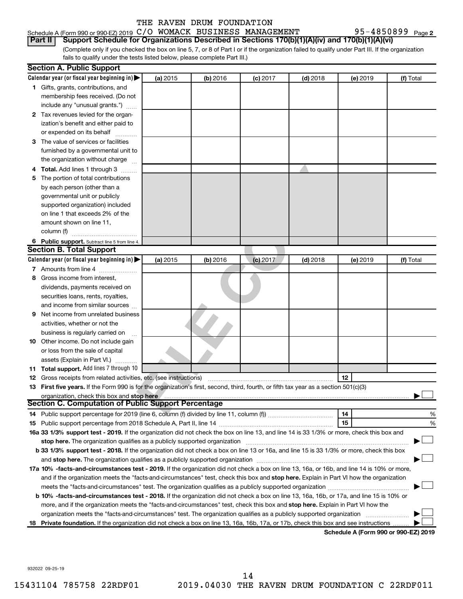### Schedule A (Form 990 or 990-EZ) 2019 C/O WOMACK BUSINESS MANAGEMENT 95-4850899 Page **Part II Support Schedule for Organizations Described in Sections 170(b)(1)(A)(iv) and 170(b)(1)(A)(vi)**

(Complete only if you checked the box on line 5, 7, or 8 of Part I or if the organization failed to qualify under Part III. If the organization fails to qualify under the tests listed below, please complete Part III.)

|     | <b>Section A. Public Support</b>                                                                                                                                                                                               |          |          |            |            |          |           |
|-----|--------------------------------------------------------------------------------------------------------------------------------------------------------------------------------------------------------------------------------|----------|----------|------------|------------|----------|-----------|
|     | Calendar year (or fiscal year beginning in)                                                                                                                                                                                    | (a) 2015 | (b) 2016 | $(c)$ 2017 | $(d)$ 2018 | (e) 2019 | (f) Total |
|     | 1 Gifts, grants, contributions, and                                                                                                                                                                                            |          |          |            |            |          |           |
|     | membership fees received. (Do not                                                                                                                                                                                              |          |          |            |            |          |           |
|     | include any "unusual grants.")                                                                                                                                                                                                 |          |          |            |            |          |           |
|     | 2 Tax revenues levied for the organ-                                                                                                                                                                                           |          |          |            |            |          |           |
|     | ization's benefit and either paid to                                                                                                                                                                                           |          |          |            |            |          |           |
|     | or expended on its behalf                                                                                                                                                                                                      |          |          |            |            |          |           |
|     | 3 The value of services or facilities                                                                                                                                                                                          |          |          |            |            |          |           |
|     | furnished by a governmental unit to                                                                                                                                                                                            |          |          |            |            |          |           |
|     | the organization without charge                                                                                                                                                                                                |          |          |            |            |          |           |
|     | 4 Total. Add lines 1 through 3                                                                                                                                                                                                 |          |          |            |            |          |           |
| 5.  | The portion of total contributions                                                                                                                                                                                             |          |          |            |            |          |           |
|     | by each person (other than a                                                                                                                                                                                                   |          |          |            |            |          |           |
|     | governmental unit or publicly                                                                                                                                                                                                  |          |          |            |            |          |           |
|     | supported organization) included                                                                                                                                                                                               |          |          |            |            |          |           |
|     | on line 1 that exceeds 2% of the                                                                                                                                                                                               |          |          |            |            |          |           |
|     | amount shown on line 11,                                                                                                                                                                                                       |          |          |            |            |          |           |
|     | column (f)                                                                                                                                                                                                                     |          |          |            |            |          |           |
|     |                                                                                                                                                                                                                                |          |          |            |            |          |           |
|     | 6 Public support. Subtract line 5 from line 4.<br><b>Section B. Total Support</b>                                                                                                                                              |          |          |            |            |          |           |
|     | Calendar year (or fiscal year beginning in) $\blacktriangleright$                                                                                                                                                              | (a) 2015 |          |            | $(d)$ 2018 |          |           |
|     |                                                                                                                                                                                                                                |          | (b) 2016 | $(c)$ 2017 |            | (e) 2019 | (f) Total |
|     | 7 Amounts from line 4                                                                                                                                                                                                          |          |          |            |            |          |           |
| 8   | Gross income from interest,                                                                                                                                                                                                    |          |          |            |            |          |           |
|     | dividends, payments received on                                                                                                                                                                                                |          |          |            |            |          |           |
|     | securities loans, rents, royalties,                                                                                                                                                                                            |          |          |            |            |          |           |
|     | and income from similar sources                                                                                                                                                                                                |          |          |            |            |          |           |
| 9   | Net income from unrelated business                                                                                                                                                                                             |          |          |            |            |          |           |
|     | activities, whether or not the                                                                                                                                                                                                 |          |          |            |            |          |           |
|     | business is regularly carried on                                                                                                                                                                                               |          |          |            |            |          |           |
|     | 10 Other income. Do not include gain                                                                                                                                                                                           |          |          |            |            |          |           |
|     | or loss from the sale of capital                                                                                                                                                                                               |          |          |            |            |          |           |
|     | assets (Explain in Part VI.)                                                                                                                                                                                                   |          |          |            |            |          |           |
|     | 11 Total support. Add lines 7 through 10                                                                                                                                                                                       |          |          |            |            |          |           |
|     | <b>12</b> Gross receipts from related activities, etc. (see instructions)                                                                                                                                                      |          |          |            |            | 12       |           |
|     | 13 First five years. If the Form 990 is for the organization's first, second, third, fourth, or fifth tax year as a section 501(c)(3)                                                                                          |          |          |            |            |          |           |
|     | organization, check this box and stop here                                                                                                                                                                                     |          |          |            |            |          |           |
|     | <b>Section C. Computation of Public Support Percentage</b>                                                                                                                                                                     |          |          |            |            |          |           |
|     |                                                                                                                                                                                                                                |          |          |            |            | 14       | %         |
|     |                                                                                                                                                                                                                                |          |          |            |            | 15       | %         |
|     | 16a 33 1/3% support test - 2019. If the organization did not check the box on line 13, and line 14 is 33 1/3% or more, check this box and                                                                                      |          |          |            |            |          |           |
|     | stop here. The organization qualifies as a publicly supported organization manufaction manufacture or manufacture or the state of the state of the state of the state of the state of the state of the state of the state of t |          |          |            |            |          |           |
|     | b 33 1/3% support test - 2018. If the organization did not check a box on line 13 or 16a, and line 15 is 33 1/3% or more, check this box                                                                                       |          |          |            |            |          |           |
|     |                                                                                                                                                                                                                                |          |          |            |            |          |           |
|     | 17a 10% -facts-and-circumstances test - 2019. If the organization did not check a box on line 13, 16a, or 16b, and line 14 is 10% or more,                                                                                     |          |          |            |            |          |           |
|     | and if the organization meets the "facts-and-circumstances" test, check this box and stop here. Explain in Part VI how the organization                                                                                        |          |          |            |            |          |           |
|     | meets the "facts-and-circumstances" test. The organization qualifies as a publicly supported organization                                                                                                                      |          |          |            |            |          |           |
|     | b 10% -facts-and-circumstances test - 2018. If the organization did not check a box on line 13, 16a, 16b, or 17a, and line 15 is 10% or                                                                                        |          |          |            |            |          |           |
|     | more, and if the organization meets the "facts-and-circumstances" test, check this box and stop here. Explain in Part VI how the                                                                                               |          |          |            |            |          |           |
|     | organization meets the "facts-and-circumstances" test. The organization qualifies as a publicly supported organization                                                                                                         |          |          |            |            |          |           |
| 18. | Private foundation. If the organization did not check a box on line 13, 16a, 16b, 17a, or 17b, check this box and see instructions                                                                                             |          |          |            |            |          |           |
|     |                                                                                                                                                                                                                                |          |          |            |            |          |           |

**Schedule A (Form 990 or 990-EZ) 2019**

932022 09-25-19

95-4850899 Page 2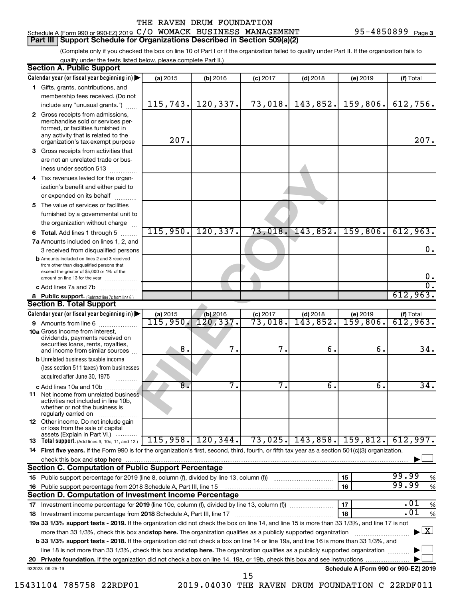### 95-4850899 Page 3

### Schedule A (Form 990 or 990-EZ) 2019 C/O WOMACK BUSINESS MANAGEMENT 95-4850899 Page **Part III Support Schedule for Organizations Described in Section 509(a)(2)**

(Complete only if you checked the box on line 10 of Part I or if the organization failed to qualify under Part II. If the organization fails to qualify under the tests listed below, please complete Part II.)

|     | <b>Section A. Public Support</b>                                                                                                                                                         |          |            |                       |            |                                      |                                    |
|-----|------------------------------------------------------------------------------------------------------------------------------------------------------------------------------------------|----------|------------|-----------------------|------------|--------------------------------------|------------------------------------|
|     | Calendar year (or fiscal year beginning in)                                                                                                                                              | (a) 2015 | (b) 2016   | $(c)$ 2017            | $(d)$ 2018 | (e) 2019                             | (f) Total                          |
|     | 1 Gifts, grants, contributions, and                                                                                                                                                      |          |            |                       |            |                                      |                                    |
|     | membership fees received. (Do not                                                                                                                                                        |          |            |                       |            |                                      |                                    |
|     | include any "unusual grants.")                                                                                                                                                           | 115,743. | 120,337.   | 73,018.               | 143,852.   | 159,806.                             | 612,756.                           |
|     | 2 Gross receipts from admissions,<br>merchandise sold or services per-<br>formed, or facilities furnished in<br>any activity that is related to the<br>organization's tax-exempt purpose | 207.     |            |                       |            |                                      | 207.                               |
| 3   | Gross receipts from activities that                                                                                                                                                      |          |            |                       |            |                                      |                                    |
|     | are not an unrelated trade or bus-<br>iness under section 513                                                                                                                            |          |            |                       |            |                                      |                                    |
|     | 4 Tax revenues levied for the organ-                                                                                                                                                     |          |            |                       |            |                                      |                                    |
|     | ization's benefit and either paid to<br>or expended on its behalf                                                                                                                        |          |            |                       |            |                                      |                                    |
|     | 5 The value of services or facilities                                                                                                                                                    |          |            |                       |            |                                      |                                    |
|     | furnished by a governmental unit to                                                                                                                                                      |          |            |                       |            |                                      |                                    |
|     | the organization without charge                                                                                                                                                          |          |            |                       |            |                                      |                                    |
|     | <b>6 Total.</b> Add lines 1 through 5                                                                                                                                                    | 115,950. | 120, 337.  | 73,018.               | 143,852.   | 159,806.                             | 612,963.                           |
|     | 7a Amounts included on lines 1, 2, and                                                                                                                                                   |          |            |                       |            |                                      |                                    |
|     | 3 received from disqualified persons                                                                                                                                                     |          |            |                       |            |                                      | $\mathbf 0$ .                      |
|     | <b>b</b> Amounts included on lines 2 and 3 received<br>from other than disqualified persons that<br>exceed the greater of \$5,000 or 1% of the<br>amount on line 13 for the year         |          |            |                       |            |                                      | 0.                                 |
|     | c Add lines 7a and 7b                                                                                                                                                                    |          |            |                       |            |                                      |                                    |
|     | 8 Public support. (Subtract line 7c from line 6.)                                                                                                                                        |          |            |                       |            |                                      | 612,963.                           |
|     | <b>Section B. Total Support</b>                                                                                                                                                          |          |            |                       |            |                                      |                                    |
|     | Calendar year (or fiscal year beginning in)                                                                                                                                              | (a) 2015 | $(b)$ 2016 | $(c)$ 2017            | $(d)$ 2018 | (e) 2019                             | (f) Total                          |
|     | 9 Amounts from line 6                                                                                                                                                                    | 115,950  | 120, 337.  | $\overline{73}$ ,018. | 143,852.   | 159,806.                             | 612,963.                           |
|     | <b>10a</b> Gross income from interest,<br>dividends, payments received on<br>securities loans, rents, royalties,<br>and income from similar sources                                      | 8.       | 7.         | 7.                    | б.         | б.                                   | 34.                                |
|     | <b>b</b> Unrelated business taxable income<br>(less section 511 taxes) from businesses<br>acquired after June 30, 1975                                                                   |          |            |                       |            |                                      |                                    |
|     | c Add lines 10a and 10b                                                                                                                                                                  | 8.       | 7.         | 7.                    | б.         | б.                                   | 34.                                |
|     | <b>11</b> Net income from unrelated business<br>activities not included in line 10b.<br>whether or not the business is<br>regularly carried on                                           |          |            |                       |            |                                      |                                    |
|     | 12 Other income. Do not include gain<br>or loss from the sale of capital<br>assets (Explain in Part VI.)                                                                                 |          |            |                       |            |                                      |                                    |
|     | <b>13</b> Total support. (Add lines 9, 10c, 11, and 12.)                                                                                                                                 | 115,958. | 120, 344.  | 73,025.               | 143,858.   | 159,812.                             | 612,997.                           |
|     | 14 First five years. If the Form 990 is for the organization's first, second, third, fourth, or fifth tax year as a section 501(c)(3) organization,                                      |          |            |                       |            |                                      |                                    |
|     | check this box and stop here                                                                                                                                                             |          |            |                       |            |                                      |                                    |
|     | Section C. Computation of Public Support Percentage                                                                                                                                      |          |            |                       |            |                                      |                                    |
|     | 15 Public support percentage for 2019 (line 8, column (f), divided by line 13, column (f))                                                                                               |          |            |                       |            | 15                                   | 99.99<br>%                         |
| 16. | Public support percentage from 2018 Schedule A, Part III, line 15                                                                                                                        |          |            |                       |            | 16                                   | 99.99<br>$\%$                      |
|     | Section D. Computation of Investment Income Percentage                                                                                                                                   |          |            |                       |            |                                      |                                    |
|     |                                                                                                                                                                                          |          |            |                       |            | 17                                   | .01<br>%                           |
|     | 18 Investment income percentage from 2018 Schedule A, Part III, line 17                                                                                                                  |          |            |                       |            | 18                                   | .01<br>$\%$                        |
|     | 19a 33 1/3% support tests - 2019. If the organization did not check the box on line 14, and line 15 is more than 33 1/3%, and line 17 is not                                             |          |            |                       |            |                                      |                                    |
|     | more than 33 1/3%, check this box and stop here. The organization qualifies as a publicly supported organization                                                                         |          |            |                       |            |                                      | $\blacktriangleright$ $\mathbf{X}$ |
|     | b 33 1/3% support tests - 2018. If the organization did not check a box on line 14 or line 19a, and line 16 is more than 33 1/3%, and                                                    |          |            |                       |            |                                      |                                    |
|     | line 18 is not more than 33 1/3%, check this box and stop here. The organization qualifies as a publicly supported organization                                                          |          |            |                       |            |                                      |                                    |
| 20  | Private foundation. If the organization did not check a box on line 14, 19a, or 19b, check this box and see instructions                                                                 |          |            |                       |            |                                      |                                    |
|     | 932023 09-25-19                                                                                                                                                                          |          |            | 15                    |            | Schedule A (Form 990 or 990-EZ) 2019 |                                    |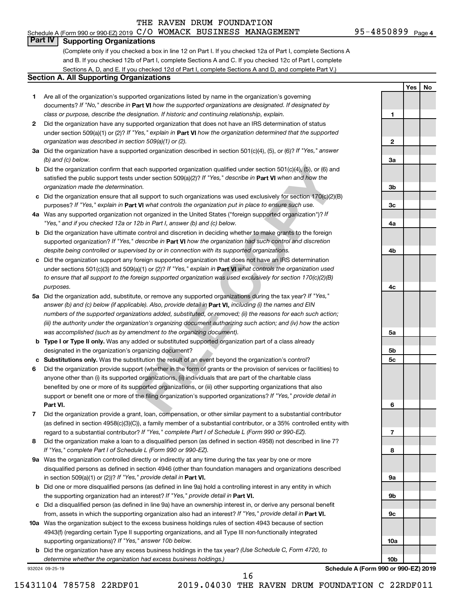$\blacksquare$ 

 $\mathbf{2}$ 

**Yes No**

### **Part IV Supporting Organizations**

(Complete only if you checked a box in line 12 on Part I. If you checked 12a of Part I, complete Sections A and B. If you checked 12b of Part I, complete Sections A and C. If you checked 12c of Part I, complete Sections A, D, and E. If you checked 12d of Part I, complete Sections A and D, and complete Part V.)

### **Section A. All Supporting Organizations**

- documents? If "No," describe in Part VI how the supported organizations are designated. If designated by *class or purpose, describe the designation. If historic and continuing relationship, explain.* 1 Are all of the organization's supported organizations listed by name in the organization's governing
- under section 509(a)(1) or (2)? If "Yes," explain in Part **VI** how the organization determined that the supported *organization was described in section 509(a)(1) or (2).* 2 Did the organization have any supported organization that does not have an IRS determination of status
- Did the organization have a supported organization described in section 501(c)(4), (5), or (6)? If "Yes," answer *(b) and (c) below.*
- satisfied the public support tests under section 509(a)(2)? If "Yes," describe in Part VI when and how the *organization made the determination.* b Did the organization confirm that each supported organization qualified under section 501(c)(4), (5), or (6) and
- purposes? If "Yes," explain in Part VI what controls the organization put in place to ensure such use.  $c$  Did the organization ensure that all support to such organizations was used exclusively for section 170(c)(2)(B)
- Was any supported organization not organized in the United States ("foreign supported organization")? If *"Yes," and if you checked 12a or 12b in Part I, answer (b) and (c) below.*
- supported organization? If "Yes," describe in Part VI how the organization had such control and discretion *despite being controlled or supervised by or in connection with its supported organizations.* **b** Did the organization have ultimate control and discretion in deciding whether to make grants to the foreign
- under sections 501(c)(3) and 509(a)(1) or (2)? If "Yes," explain in Part VI what controls the organization used *to ensure that all support to the foreign supported organization was used exclusively for section 170(c)(2)(B) purposes.* Did the organization support any foreign supported organization that does not have an IRS determination
- ach supported organization qualified under section 501(c)(4), (5), or (6) and<br>noner section 509(a)(2)? *If* "Yes," *describe in* **Part VI** when and how the<br>non.<br>9.<br>Il support to such organizations was used exclusively for **abcabcabcabcab** answer (b) and (c) below (if applicable). Also, provide detail in **Part VI,** including (i) the names and EIN Did the organization add, substitute, or remove any supported organizations during the tax year? If "Yes," *numbers of the supported organizations added, substituted, or removed; (ii) the reasons for each such action; (iii) the authority under the organization's organizing document authorizing such action; and (iv) how the action was accomplished (such as by amendment to the organizing document).*
- **Type I or Type II only.** Was any added or substituted supported organization part of a class already designated in the organization's organizing document?
- Substitutions only. Was the substitution the result of an event beyond the organization's control?
- 1 2 3 4 5 6 7 8 <del>9</del> **Part VI.** support or benefit one or more of the filing organization's supported organizations? If "Yes," provide detail in Did the organization provide support (whether in the form of grants or the provision of services or facilities) to anyone other than (i) its supported organizations, (ii) individuals that are part of the charitable class benefited by one or more of its supported organizations, or (iii) other supporting organizations that also
- regard to a substantial contributor? If "Yes," complete Part I of Schedule L (Form 990 or 990-EZ). Did the organization provide a grant, loan, compensation, or other similar payment to a substantial contributor (as defined in section 4958(c)(3)(C)), a family member of a substantial contributor, or a 35% controlled entity with
- *If "Yes," complete Part I of Schedule L (Form 990 or 990-EZ).* 8 Did the organization make a loan to a disqualified person (as defined in section 4958) not described in line 7?
- in section 509(a)(1) or (2))? If "Yes," provide detail in **Part VI.** 9a Was the organization controlled directly or indirectly at any time during the tax year by one or more disqualified persons as defined in section 4946 (other than foundation managers and organizations described
- the supporting organization had an interest? If "Yes," provide detail in Part VI. **b** Did one or more disqualified persons (as defined in line 9a) hold a controlling interest in any entity in which
- from, assets in which the supporting organization also had an interest? If "Yes," provide detail in Part VI. Did a disqualified person (as defined in line 9a) have an ownership interest in, or derive any personal benefit
- **10** Was the organization subject to the excess business holdings rules of section 4943 because of section supporting organizations)? If "Yes," answer 10b below. 4943(f) (regarding certain Type II supporting organizations, and all Type III non-functionally integrated
	- *(Use Schedule C, Form 4720, to* Did the organization have any excess business holdings in the tax year? *determine whether the organization had excess business holdings.)*

932024 09-25-19

**Schedule A (Form 990 or 990-EZ) 2019**

16

**12 3a 3b 3c 4a 4b 4c 5a 5b** 5c **5c**<br>**6**<br>**7**<br>**8** 6  $\overline{7}$ 8 **9a 9b 9c 10a 10b**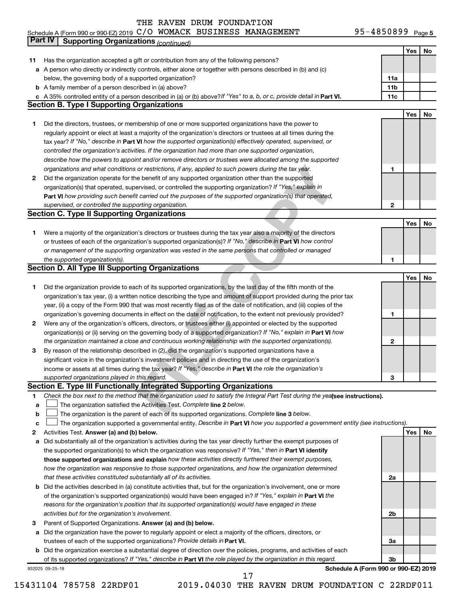### THE RAVEN DRUM FOUNDATION C/O WOMACK BUSINESS MANAGEMENT 95-4850899

|    | Part IV<br><b>Supporting Organizations (continued)</b>                                                                          |                 |            |    |
|----|---------------------------------------------------------------------------------------------------------------------------------|-----------------|------------|----|
|    |                                                                                                                                 |                 | Yes        | No |
| 11 | Has the organization accepted a gift or contribution from any of the following persons?                                         |                 |            |    |
|    | a A person who directly or indirectly controls, either alone or together with persons described in (b) and (c)                  |                 |            |    |
|    | below, the governing body of a supported organization?                                                                          | 11a             |            |    |
|    | <b>b</b> A family member of a person described in (a) above?                                                                    | 11 <sub>b</sub> |            |    |
|    | c A 35% controlled entity of a person described in (a) or (b) above? If "Yes" to a, b, or c, provide detail in Part VI.         | 11c             |            |    |
|    | <b>Section B. Type I Supporting Organizations</b>                                                                               |                 |            |    |
|    |                                                                                                                                 |                 | Yes        | No |
| 1  | Did the directors, trustees, or membership of one or more supported organizations have the power to                             |                 |            |    |
|    | regularly appoint or elect at least a majority of the organization's directors or trustees at all times during the              |                 |            |    |
|    | tax year? If "No," describe in Part VI how the supported organization(s) effectively operated, supervised, or                   |                 |            |    |
|    | controlled the organization's activities. If the organization had more than one supported organization,                         |                 |            |    |
|    | describe how the powers to appoint and/or remove directors or trustees were allocated among the supported                       |                 |            |    |
|    | organizations and what conditions or restrictions, if any, applied to such powers during the tax year.                          | 1               |            |    |
| 2  | Did the organization operate for the benefit of any supported organization other than the supported                             |                 |            |    |
|    | organization(s) that operated, supervised, or controlled the supporting organization? If "Yes," explain in                      |                 |            |    |
|    | Part VI how providing such benefit carried out the purposes of the supported organization(s) that operated,                     |                 |            |    |
|    | supervised, or controlled the supporting organization.                                                                          | $\mathbf{2}$    |            |    |
|    | <b>Section C. Type II Supporting Organizations</b>                                                                              |                 |            |    |
|    |                                                                                                                                 |                 | <b>Yes</b> | No |
| 1. | Were a majority of the organization's directors or trustees during the tax year also a majority of the directors                |                 |            |    |
|    | or trustees of each of the organization's supported organization(s)? If "No," describe in Part VI how control                   |                 |            |    |
|    | or management of the supporting organization was vested in the same persons that controlled or managed                          |                 |            |    |
|    | the supported organization(s).                                                                                                  | 1               |            |    |
|    | <b>Section D. All Type III Supporting Organizations</b>                                                                         |                 |            |    |
|    |                                                                                                                                 |                 | Yes        | No |
| 1  | Did the organization provide to each of its supported organizations, by the last day of the fifth month of the                  |                 |            |    |
|    | organization's tax year, (i) a written notice describing the type and amount of support provided during the prior tax           |                 |            |    |
|    | year, (ii) a copy of the Form 990 that was most recently filed as of the date of notification, and (iii) copies of the          |                 |            |    |
|    | organization's governing documents in effect on the date of notification, to the extent not previously provided?                | 1               |            |    |
| 2  | Were any of the organization's officers, directors, or trustees either (i) appointed or elected by the supported                |                 |            |    |
|    | organization(s) or (ii) serving on the governing body of a supported organization? If "No," explain in Part VI how              |                 |            |    |
|    | the organization maintained a close and continuous working relationship with the supported organization(s).                     | $\mathbf{2}$    |            |    |
| 3  | By reason of the relationship described in (2), did the organization's supported organizations have a                           |                 |            |    |
|    | significant voice in the organization's investment policies and in directing the use of the organization's                      |                 |            |    |
|    | income or assets at all times during the tax year? If "Yes," describe in Part VI the role the organization's                    |                 |            |    |
|    | supported organizations played in this regard.                                                                                  | з               |            |    |
|    | Section E. Type III Functionally Integrated Supporting Organizations                                                            |                 |            |    |
| 1  | Check the box next to the method that the organization used to satisfy the Integral Part Test during the yealsee instructions). |                 |            |    |
| a  | The organization satisfied the Activities Test. Complete line 2 below.                                                          |                 |            |    |
| b  | The organization is the parent of each of its supported organizations. Complete line 3 below.                                   |                 |            |    |
| c  | The organization supported a governmental entity. Describe in Part VI how you supported a government entity (see instructions). |                 |            |    |
| 2  | Activities Test. Answer (a) and (b) below.                                                                                      |                 | Yes        | No |
| а  | Did substantially all of the organization's activities during the tax year directly further the exempt purposes of              |                 |            |    |
|    | the supported organization(s) to which the organization was responsive? If "Yes," then in Part VI identify                      |                 |            |    |
|    | those supported organizations and explain how these activities directly furthered their exempt purposes,                        |                 |            |    |
|    | how the organization was responsive to those supported organizations, and how the organization determined                       |                 |            |    |
|    | that these activities constituted substantially all of its activities.                                                          | 2a              |            |    |
| b  | Did the activities described in (a) constitute activities that, but for the organization's involvement, one or more             |                 |            |    |
|    | of the organization's supported organization(s) would have been engaged in? If "Yes," explain in Part VI the                    |                 |            |    |
|    | reasons for the organization's position that its supported organization(s) would have engaged in these                          |                 |            |    |
|    | activities but for the organization's involvement.                                                                              | 2b              |            |    |
| 3  | Parent of Supported Organizations. Answer (a) and (b) below.                                                                    |                 |            |    |
| а  | Did the organization have the power to regularly appoint or elect a majority of the officers, directors, or                     |                 |            |    |
|    | trustees of each of the supported organizations? Provide details in Part VI.                                                    | За              |            |    |
|    | <b>b</b> Did the organization exercise a substantial degree of direction over the policies, programs, and activities of each    |                 |            |    |
|    | of its supported organizations? If "Yes," describe in Part VI the role played by the organization in this regard.               | 3b              |            |    |
|    | Schedule A (Form 990 or 990-EZ) 2019<br>932025 09-25-19                                                                         |                 |            |    |

15431104 785758 22RDF01 2019.04030 THE RAVEN DRUM FOUNDATION C 22RDF011

17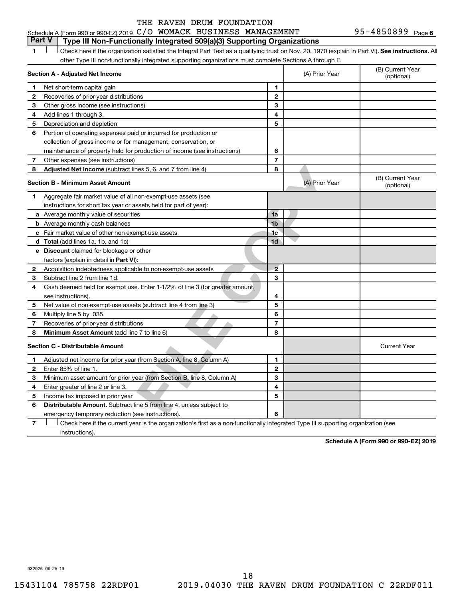### **Part V Type III Non-Functionally Integrated 509(a)(3) Supporting Organizations**

| 1            | Check here if the organization satisfied the Integral Part Test as a qualifying trust on Nov. 20, 1970 (explain in Part VI). See instructions. All<br>other Type III non-functionally integrated supporting organizations must complete Sections A through E. |                |                |                                |
|--------------|---------------------------------------------------------------------------------------------------------------------------------------------------------------------------------------------------------------------------------------------------------------|----------------|----------------|--------------------------------|
|              | Section A - Adjusted Net Income                                                                                                                                                                                                                               |                | (A) Prior Year | (B) Current Year<br>(optional) |
| 1            | Net short-term capital gain                                                                                                                                                                                                                                   | 1              |                |                                |
| 2            | Recoveries of prior-year distributions                                                                                                                                                                                                                        | $\mathbf 2$    |                |                                |
| 3            | Other gross income (see instructions)                                                                                                                                                                                                                         | 3              |                |                                |
| 4            | Add lines 1 through 3.                                                                                                                                                                                                                                        | 4              |                |                                |
| 5            | Depreciation and depletion                                                                                                                                                                                                                                    | 5              |                |                                |
| 6            | Portion of operating expenses paid or incurred for production or                                                                                                                                                                                              |                |                |                                |
|              | collection of gross income or for management, conservation, or                                                                                                                                                                                                |                |                |                                |
|              | maintenance of property held for production of income (see instructions)                                                                                                                                                                                      | 6              |                |                                |
| 7            | Other expenses (see instructions)                                                                                                                                                                                                                             | $\overline{7}$ |                |                                |
| 8            | <b>Adjusted Net Income</b> (subtract lines 5, 6, and 7 from line 4)                                                                                                                                                                                           | 8              |                |                                |
|              | <b>Section B - Minimum Asset Amount</b>                                                                                                                                                                                                                       |                | (A) Prior Year | (B) Current Year<br>(optional) |
| 1            | Aggregate fair market value of all non-exempt-use assets (see                                                                                                                                                                                                 |                |                |                                |
|              | instructions for short tax year or assets held for part of year):                                                                                                                                                                                             |                |                |                                |
|              | <b>a</b> Average monthly value of securities                                                                                                                                                                                                                  | 1a             |                |                                |
|              | <b>b</b> Average monthly cash balances                                                                                                                                                                                                                        | 1 <sub>b</sub> |                |                                |
|              | c Fair market value of other non-exempt-use assets                                                                                                                                                                                                            | 1c             |                |                                |
|              | <b>d</b> Total (add lines 1a, 1b, and 1c)                                                                                                                                                                                                                     | 1d             |                |                                |
|              | <b>e</b> Discount claimed for blockage or other                                                                                                                                                                                                               |                |                |                                |
|              | factors (explain in detail in Part VI):                                                                                                                                                                                                                       |                |                |                                |
| 2            | Acquisition indebtedness applicable to non-exempt-use assets                                                                                                                                                                                                  | $\overline{2}$ |                |                                |
| 3            | Subtract line 2 from line 1d.                                                                                                                                                                                                                                 | 3              |                |                                |
| 4            | Cash deemed held for exempt use. Enter 1-1/2% of line 3 (for greater amount,                                                                                                                                                                                  |                |                |                                |
|              | see instructions).                                                                                                                                                                                                                                            | 4              |                |                                |
| 5            | Net value of non-exempt-use assets (subtract line 4 from line 3)                                                                                                                                                                                              | 5              |                |                                |
| 6            | Multiply line 5 by .035.                                                                                                                                                                                                                                      | 6              |                |                                |
| 7            | Recoveries of prior-year distributions                                                                                                                                                                                                                        | 7              |                |                                |
| 8            | Minimum Asset Amount (add line 7 to line 6)                                                                                                                                                                                                                   | 8              |                |                                |
|              | <b>Section C - Distributable Amount</b>                                                                                                                                                                                                                       |                |                | <b>Current Year</b>            |
| 1            | Adjusted net income for prior year (from Section A, line 8, Column A)                                                                                                                                                                                         | 1              |                |                                |
| $\mathbf{2}$ | Enter 85% of line 1.                                                                                                                                                                                                                                          | $\overline{2}$ |                |                                |
| З            | Minimum asset amount for prior year (from Section B, line 8, Column A)                                                                                                                                                                                        | 3              |                |                                |
| 4            | Enter greater of line 2 or line 3.                                                                                                                                                                                                                            | 4              |                |                                |
| 5            | Income tax imposed in prior year                                                                                                                                                                                                                              | 5              |                |                                |
| 6            | <b>Distributable Amount.</b> Subtract line 5 from line 4, unless subject to                                                                                                                                                                                   |                |                |                                |
|              | emergency temporary reduction (see instructions).                                                                                                                                                                                                             | 6              |                |                                |
| 7            | Check here if the current year is the organization's first as a non-functionally integrated Type III supporting organization (see                                                                                                                             |                |                |                                |

Check here if the current year is the organization's first as a non-functionally integrated Type III supporting organization (see  $\overline{7}$ instructions).

**Schedule A (Form 990 or 990-EZ) 2019**

932026 09-25-19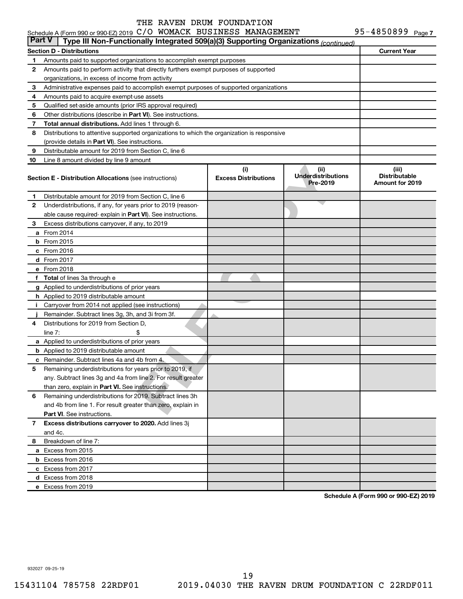| <b>Part V</b> | Type III Non-Functionally Integrated 509(a)(3) Supporting Organizations (continued)         |                                    |                                               |                                                  |
|---------------|---------------------------------------------------------------------------------------------|------------------------------------|-----------------------------------------------|--------------------------------------------------|
|               | <b>Section D - Distributions</b>                                                            |                                    |                                               | <b>Current Year</b>                              |
| 1             |                                                                                             |                                    |                                               |                                                  |
| 2             | Amounts paid to perform activity that directly furthers exempt purposes of supported        |                                    |                                               |                                                  |
|               | organizations, in excess of income from activity                                            |                                    |                                               |                                                  |
| 3             | Administrative expenses paid to accomplish exempt purposes of supported organizations       |                                    |                                               |                                                  |
| 4             | Amounts paid to acquire exempt-use assets                                                   |                                    |                                               |                                                  |
| 5             | Qualified set-aside amounts (prior IRS approval required)                                   |                                    |                                               |                                                  |
| 6             | Other distributions (describe in <b>Part VI</b> ). See instructions.                        |                                    |                                               |                                                  |
| 7             | <b>Total annual distributions.</b> Add lines 1 through 6.                                   |                                    |                                               |                                                  |
| 8             | Distributions to attentive supported organizations to which the organization is responsive  |                                    |                                               |                                                  |
|               | (provide details in Part VI). See instructions.                                             |                                    |                                               |                                                  |
| 9             | Distributable amount for 2019 from Section C, line 6                                        |                                    |                                               |                                                  |
| 10            | Line 8 amount divided by line 9 amount                                                      |                                    |                                               |                                                  |
|               | <b>Section E - Distribution Allocations (see instructions)</b>                              | (i)<br><b>Excess Distributions</b> | (ii)<br><b>Underdistributions</b><br>Pre-2019 | (iii)<br><b>Distributable</b><br>Amount for 2019 |
| 1             | Distributable amount for 2019 from Section C, line 6                                        |                                    |                                               |                                                  |
| 2             | Underdistributions, if any, for years prior to 2019 (reason-                                |                                    |                                               |                                                  |
|               | able cause required- explain in <b>Part VI</b> ). See instructions.                         |                                    |                                               |                                                  |
| 3             | Excess distributions carryover, if any, to 2019                                             |                                    |                                               |                                                  |
|               | <b>a</b> From 2014                                                                          |                                    |                                               |                                                  |
|               | <b>b</b> From 2015                                                                          |                                    |                                               |                                                  |
|               | c From $2016$                                                                               |                                    |                                               |                                                  |
|               | d From 2017                                                                                 |                                    |                                               |                                                  |
|               | e From 2018                                                                                 |                                    |                                               |                                                  |
|               | f Total of lines 3a through e                                                               |                                    |                                               |                                                  |
|               | g Applied to underdistributions of prior years                                              |                                    |                                               |                                                  |
|               | <b>h</b> Applied to 2019 distributable amount                                               |                                    |                                               |                                                  |
|               | i Carryover from 2014 not applied (see instructions)                                        |                                    |                                               |                                                  |
| 4             | Remainder. Subtract lines 3g, 3h, and 3i from 3f.<br>Distributions for 2019 from Section D, |                                    |                                               |                                                  |
|               | \$<br>line $7:$                                                                             |                                    |                                               |                                                  |
|               | a Applied to underdistributions of prior years                                              |                                    |                                               |                                                  |
|               | <b>b</b> Applied to 2019 distributable amount                                               |                                    |                                               |                                                  |
| с             | Remainder. Subtract lines 4a and 4b from 4.                                                 |                                    |                                               |                                                  |
| 5             | Remaining underdistributions for years prior to 2019, if                                    |                                    |                                               |                                                  |
|               | any. Subtract lines 3g and 4a from line 2. For result greater                               |                                    |                                               |                                                  |
|               | than zero, explain in Part VI. See instructions.                                            |                                    |                                               |                                                  |
| 6             | Remaining underdistributions for 2019. Subtract lines 3h                                    |                                    |                                               |                                                  |
|               | and 4b from line 1. For result greater than zero, explain in                                |                                    |                                               |                                                  |
|               | <b>Part VI.</b> See instructions.                                                           |                                    |                                               |                                                  |
| 7             | Excess distributions carryover to 2020. Add lines 3j                                        |                                    |                                               |                                                  |
|               | and 4c.                                                                                     |                                    |                                               |                                                  |
| 8             | Breakdown of line 7:                                                                        |                                    |                                               |                                                  |
|               | a Excess from 2015                                                                          |                                    |                                               |                                                  |
|               | <b>b</b> Excess from 2016                                                                   |                                    |                                               |                                                  |
|               | c Excess from 2017                                                                          |                                    |                                               |                                                  |
|               | d Excess from 2018                                                                          |                                    |                                               |                                                  |
|               | e Excess from 2019                                                                          |                                    |                                               |                                                  |

**Schedule A (Form 990 or 990-EZ) 2019**

932027 09-25-19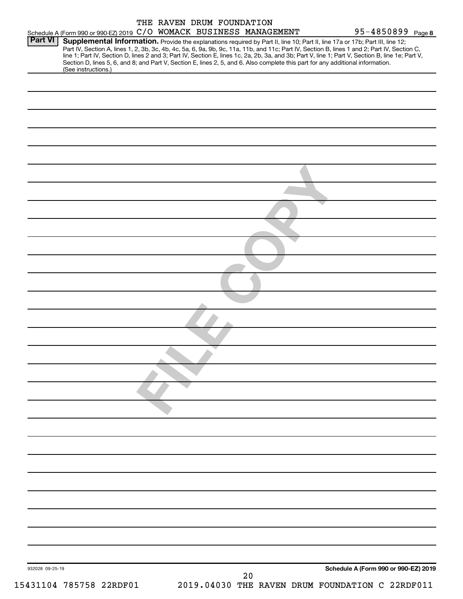|                | Schedule A (Form 990 or 990-EZ) 2019 C/O WOMACK BUSINESS MANAGEMENT | THE RAVEN DRUM FOUNDATION |  | 95-4850899 Page 8                                                                                                                                                                                                                                                                                                                                                                                                                                                                                                                                                    |
|----------------|---------------------------------------------------------------------|---------------------------|--|----------------------------------------------------------------------------------------------------------------------------------------------------------------------------------------------------------------------------------------------------------------------------------------------------------------------------------------------------------------------------------------------------------------------------------------------------------------------------------------------------------------------------------------------------------------------|
| <b>Part VI</b> | (See instructions.)                                                 |                           |  | Supplemental Information. Provide the explanations required by Part II, line 10; Part II, line 17a or 17b; Part III, line 12;<br>Part IV, Section A, lines 1, 2, 3b, 3c, 4b, 4c, 5a, 6, 9a, 9b, 9c, 11a, 11b, and 11c; Part IV, Section B, lines 1 and 2; Part IV, Section C,<br>line 1; Part IV, Section D, lines 2 and 3; Part IV, Section E, lines 1c, 2a, 2b, 3a, and 3b; Part V, line 1; Part V, Section B, line 1e; Part V,<br>Section D, lines 5, 6, and 8; and Part V, Section E, lines 2, 5, and 6. Also complete this part for any additional information. |
|                |                                                                     |                           |  |                                                                                                                                                                                                                                                                                                                                                                                                                                                                                                                                                                      |
|                |                                                                     |                           |  |                                                                                                                                                                                                                                                                                                                                                                                                                                                                                                                                                                      |
|                |                                                                     |                           |  |                                                                                                                                                                                                                                                                                                                                                                                                                                                                                                                                                                      |
|                |                                                                     |                           |  |                                                                                                                                                                                                                                                                                                                                                                                                                                                                                                                                                                      |
|                |                                                                     |                           |  |                                                                                                                                                                                                                                                                                                                                                                                                                                                                                                                                                                      |
|                |                                                                     |                           |  |                                                                                                                                                                                                                                                                                                                                                                                                                                                                                                                                                                      |
|                |                                                                     |                           |  |                                                                                                                                                                                                                                                                                                                                                                                                                                                                                                                                                                      |
|                |                                                                     |                           |  |                                                                                                                                                                                                                                                                                                                                                                                                                                                                                                                                                                      |
|                |                                                                     |                           |  |                                                                                                                                                                                                                                                                                                                                                                                                                                                                                                                                                                      |
|                |                                                                     |                           |  |                                                                                                                                                                                                                                                                                                                                                                                                                                                                                                                                                                      |
|                |                                                                     |                           |  |                                                                                                                                                                                                                                                                                                                                                                                                                                                                                                                                                                      |
|                |                                                                     |                           |  |                                                                                                                                                                                                                                                                                                                                                                                                                                                                                                                                                                      |
|                |                                                                     |                           |  |                                                                                                                                                                                                                                                                                                                                                                                                                                                                                                                                                                      |
|                |                                                                     |                           |  |                                                                                                                                                                                                                                                                                                                                                                                                                                                                                                                                                                      |
|                |                                                                     |                           |  |                                                                                                                                                                                                                                                                                                                                                                                                                                                                                                                                                                      |
|                |                                                                     |                           |  |                                                                                                                                                                                                                                                                                                                                                                                                                                                                                                                                                                      |
|                |                                                                     |                           |  |                                                                                                                                                                                                                                                                                                                                                                                                                                                                                                                                                                      |
|                |                                                                     |                           |  |                                                                                                                                                                                                                                                                                                                                                                                                                                                                                                                                                                      |
|                |                                                                     |                           |  |                                                                                                                                                                                                                                                                                                                                                                                                                                                                                                                                                                      |
|                |                                                                     |                           |  |                                                                                                                                                                                                                                                                                                                                                                                                                                                                                                                                                                      |
|                |                                                                     |                           |  | Schedule A (Form 990 or 990-EZ) 2019                                                                                                                                                                                                                                                                                                                                                                                                                                                                                                                                 |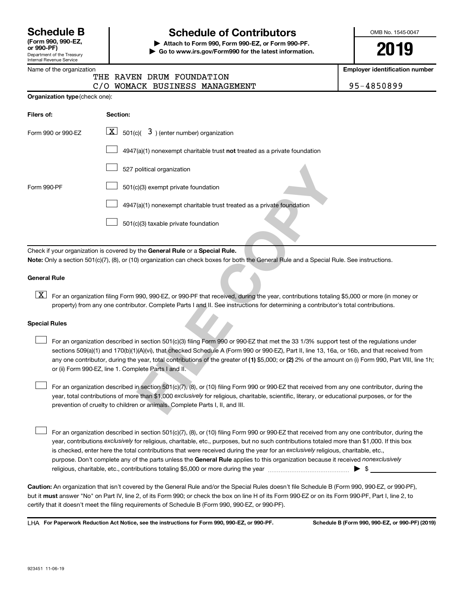| <b>Schedule B</b>  |  |
|--------------------|--|
| (Form 990, 990-EZ, |  |

Department of the Treasury Internal Revenue Service

### Name of the organization

# **Schedule of Contributors**

**or 990-PF) | Attach to Form 990, Form 990-EZ, or Form 990-PF. | Go to www.irs.gov/Form990 for the latest information.** OMB No. 1545-0047

**2019**

**Employer identification number**

|                                       | THE RAVEN DRUM FOUNDATION |                                |  |
|---------------------------------------|---------------------------|--------------------------------|--|
|                                       |                           | C/O WOMACK BUSINESS MANAGEMENT |  |
| <b>Organization type</b> (check one): |                           |                                |  |

95-4850899

| Filers of:           | Section:                                                                                                                                                                                                                                                                                                                                                                                                                                                                                              |  |  |  |  |  |  |
|----------------------|-------------------------------------------------------------------------------------------------------------------------------------------------------------------------------------------------------------------------------------------------------------------------------------------------------------------------------------------------------------------------------------------------------------------------------------------------------------------------------------------------------|--|--|--|--|--|--|
| Form 990 or 990-EZ   | $\boxed{\textbf{X}}$ 501(c)( 3) (enter number) organization                                                                                                                                                                                                                                                                                                                                                                                                                                           |  |  |  |  |  |  |
|                      | $4947(a)(1)$ nonexempt charitable trust not treated as a private foundation                                                                                                                                                                                                                                                                                                                                                                                                                           |  |  |  |  |  |  |
|                      | 527 political organization                                                                                                                                                                                                                                                                                                                                                                                                                                                                            |  |  |  |  |  |  |
| Form 990-PF          | 501(c)(3) exempt private foundation                                                                                                                                                                                                                                                                                                                                                                                                                                                                   |  |  |  |  |  |  |
|                      | 4947(a)(1) nonexempt charitable trust treated as a private foundation                                                                                                                                                                                                                                                                                                                                                                                                                                 |  |  |  |  |  |  |
|                      | 501(c)(3) taxable private foundation                                                                                                                                                                                                                                                                                                                                                                                                                                                                  |  |  |  |  |  |  |
|                      |                                                                                                                                                                                                                                                                                                                                                                                                                                                                                                       |  |  |  |  |  |  |
|                      | Check if your organization is covered by the General Rule or a Special Rule.                                                                                                                                                                                                                                                                                                                                                                                                                          |  |  |  |  |  |  |
|                      | Note: Only a section 501(c)(7), (8), or (10) organization can check boxes for both the General Rule and a Special Rule. See instructions.                                                                                                                                                                                                                                                                                                                                                             |  |  |  |  |  |  |
| <b>General Rule</b>  |                                                                                                                                                                                                                                                                                                                                                                                                                                                                                                       |  |  |  |  |  |  |
| $\lfloor x \rfloor$  | For an organization filing Form 990, 990-EZ, or 990-PF that received, during the year, contributions totaling \$5,000 or more (in money or<br>property) from any one contributor. Complete Parts I and II. See instructions for determining a contributor's total contributions.                                                                                                                                                                                                                      |  |  |  |  |  |  |
| <b>Special Rules</b> |                                                                                                                                                                                                                                                                                                                                                                                                                                                                                                       |  |  |  |  |  |  |
|                      | For an organization described in section 501(c)(3) filing Form 990 or 990-EZ that met the 33 1/3% support test of the regulations under<br>sections 509(a)(1) and 170(b)(1)(A)(vi), that checked Schedule A (Form 990 or 990-EZ), Part II, line 13, 16a, or 16b, and that received from<br>any one contributor, during the year, total contributions of the greater of (1) \$5,000; or (2) 2% of the amount on (i) Form 990, Part VIII, line<br>or (ii) Form 990-EZ, line 1. Complete Parts I and II. |  |  |  |  |  |  |
|                      | For an organization described in section 501(c)(7), (8), or (10) filing Form 990 or 990-EZ that received from any one contributor, during the<br>year, total contributions of more than \$1,000 exclusively for religious, charitable, scientific, literary, or educational purposes, or for the<br>prevention of cruelty to children or animals. Complete Parts I, II, and III.                                                                                                                      |  |  |  |  |  |  |

### **General Rule**

# **Special Rules**  $\begin{array}{c} \n\boxed{\text{z}}\n\end{array}$

purpose. Don't complete any of the parts unless the General Rule applies to this organization because it received nonexclusively year, contributions exclusively for religious, charitable, etc., purposes, but no such contributions totaled more than \$1,000. If this box is checked, enter here the total contributions that were received during the year for an exclusively religious, charitable, etc., For an organization described in section 501(c)(7), (8), or (10) filing Form 990 or 990-EZ that received from any one contributor, during the religious, charitable, etc., contributions totaling \$5,000 or more during the year  $~$   $\rm{~~}~~$   $\rm{~~}~~$   $\rm{~~}~~$   $\rm{~~}~~$   $\rm{~~}~~$ 

**Caution:**  An organization that isn't covered by the General Rule and/or the Special Rules doesn't file Schedule B (Form 990, 990-EZ, or 990-PF),  **must** but it answer "No" on Part IV, line 2, of its Form 990; or check the box on line H of its Form 990-EZ or on its Form 990-PF, Part I, line 2, to certify that it doesn't meet the filing requirements of Schedule B (Form 990, 990-EZ, or 990-PF).

**For Paperwork Reduction Act Notice, see the instructions for Form 990, 990-EZ, or 990-PF. Schedule B (Form 990, 990-EZ, or 990-PF) (2019)** LHA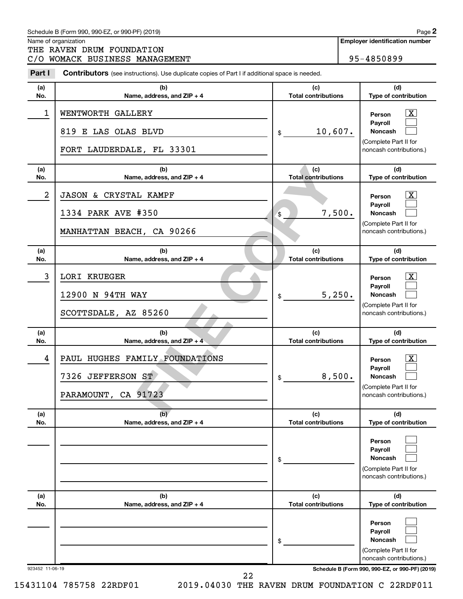### Schedule B (Form 990, 990-EZ, or 990-PF) (2019)

THE RAVEN DRUM FOUNDATION

Name of organization

**Employer identification number**

|  |  |  | C/O WOMACK BUSINESS MANAGEMENT | 95-4850899 |
|--|--|--|--------------------------------|------------|
|--|--|--|--------------------------------|------------|

**Part I** Contributors (see instructions). Use duplicate copies of Part I if additional space is needed.

| (a)<br>No.      | (b)<br>Name, address, and ZIP + 4                                          | (c)<br><b>Total contributions</b> | (d)<br>Type of contribution                                                                                                         |  |  |  |
|-----------------|----------------------------------------------------------------------------|-----------------------------------|-------------------------------------------------------------------------------------------------------------------------------------|--|--|--|
| 1               | WENTWORTH GALLERY<br>819 E LAS OLAS BLVD<br>FORT LAUDERDALE, FL 33301      | 10,607.<br>\$                     | $\overline{\mathbf{X}}$<br>Person<br>Payroll<br><b>Noncash</b><br>(Complete Part II for<br>noncash contributions.)                  |  |  |  |
| (a)<br>No.      | (b)<br>Name, address, and ZIP + 4                                          | (c)<br><b>Total contributions</b> | (d)<br>Type of contribution                                                                                                         |  |  |  |
| 2               | JASON & CRYSTAL KAMPF<br>1334 PARK AVE #350<br>MANHATTAN BEACH, CA 90266   | 7,500.<br>\$                      | $\overline{\mathbf{X}}$<br>Person<br>Payroll<br><b>Noncash</b><br>(Complete Part II for<br>noncash contributions.)                  |  |  |  |
| (a)<br>No.      | (b)<br>Name, address, and ZIP + 4                                          | (c)<br><b>Total contributions</b> | (d)<br>Type of contribution                                                                                                         |  |  |  |
| 3               | <b>LORI KRUEGER</b><br>12900 N 94TH WAY<br>SCOTTSDALE, AZ 85260            | 5,250.<br>\$                      | $\overline{\text{X}}$<br>Person<br>Payroll<br><b>Noncash</b><br>(Complete Part II for<br>noncash contributions.)                    |  |  |  |
|                 |                                                                            |                                   |                                                                                                                                     |  |  |  |
| (a)<br>No.      | (b)<br>Name, address, and ZIP + 4                                          | (c)<br><b>Total contributions</b> | (d)<br>Type of contribution                                                                                                         |  |  |  |
| 4               | PAUL HUGHES FAMILY FOUNDATIONS<br>7326 JEFFERSON ST<br>PARAMOUNT, CA 91723 | 8,500.<br>\$                      | $\overline{\text{X}}$<br>Person<br>Payroll<br><b>Noncash</b><br>(Complete Part II for<br>noncash contributions.)                    |  |  |  |
| (a)<br>No.      | (b)<br>Name, address, and ZIP + 4                                          | (c)<br><b>Total contributions</b> | (d)<br>Type of contribution                                                                                                         |  |  |  |
|                 |                                                                            | \$                                | Person<br>Payroll<br>Noncash<br>(Complete Part II for<br>noncash contributions.)                                                    |  |  |  |
| (a)<br>No.      | (b)<br>Name, address, and ZIP + 4                                          | (c)<br><b>Total contributions</b> | (d)<br>Type of contribution                                                                                                         |  |  |  |
| 923452 11-06-19 |                                                                            | \$                                | Person<br>Payroll<br>Noncash<br>(Complete Part II for<br>noncash contributions.)<br>Schedule B (Form 990, 990-EZ, or 990-PF) (2019) |  |  |  |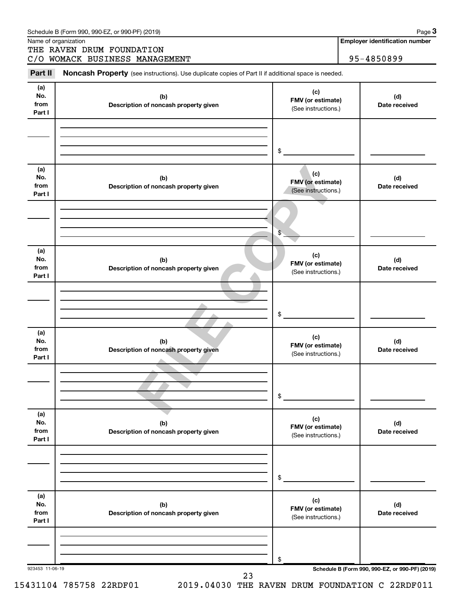|                              | Name of organization<br>THE RAVEN DRUM FOUNDATION                                                   |                                                 | Page 3<br><b>Employer identification number</b> |
|------------------------------|-----------------------------------------------------------------------------------------------------|-------------------------------------------------|-------------------------------------------------|
|                              | C/O WOMACK BUSINESS MANAGEMENT                                                                      |                                                 | 95-4850899                                      |
| Part II                      | Noncash Property (see instructions). Use duplicate copies of Part II if additional space is needed. |                                                 |                                                 |
| (a)<br>No.<br>from<br>Part I | (b)<br>Description of noncash property given                                                        | (c)<br>FMV (or estimate)<br>(See instructions.) | (d)<br>Date received                            |
|                              |                                                                                                     | \$                                              |                                                 |
| (a)<br>No.<br>from<br>Part I | (b)<br>Description of noncash property given                                                        | (c)<br>FMV (or estimate)<br>(See instructions.) | (d)<br>Date received                            |
|                              |                                                                                                     | \$                                              |                                                 |
| (a)<br>No.<br>from<br>Part I | (b)<br>Description of noncash property given                                                        | (c)<br>FMV (or estimate)<br>(See instructions.) | (d)<br>Date received                            |
|                              |                                                                                                     | \$                                              |                                                 |
| (a)<br>No.<br>from<br>Part I | (b)<br>Description of noncash property given                                                        | (c)<br>FMV (or estimate)<br>(See instructions.) | (d)<br>Date received                            |
|                              |                                                                                                     | \$                                              |                                                 |
| (a)<br>No.<br>from<br>Part I | (b)<br>Description of noncash property given                                                        | (c)<br>FMV (or estimate)<br>(See instructions.) | (d)<br>Date received                            |
|                              |                                                                                                     | \$                                              |                                                 |
| (a)<br>No.<br>from<br>Part I | (b)<br>Description of noncash property given                                                        | (c)<br>FMV (or estimate)<br>(See instructions.) | (d)<br>Date received                            |
|                              |                                                                                                     |                                                 |                                                 |
| 923453 11-06-19              |                                                                                                     | \$                                              | Schedule B (Form 990, 990-EZ, or 990-PF) (2019) |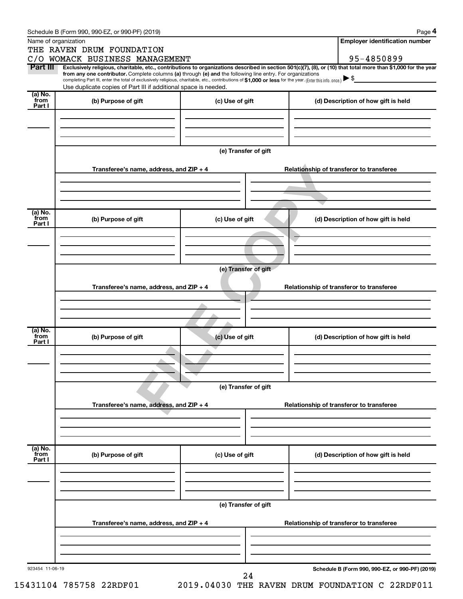|                 | Schedule B (Form 990, 990-EZ, or 990-PF) (2019)                                                                                                          |                                          | Page 4                                                                                                                                                         |  |  |  |  |  |
|-----------------|----------------------------------------------------------------------------------------------------------------------------------------------------------|------------------------------------------|----------------------------------------------------------------------------------------------------------------------------------------------------------------|--|--|--|--|--|
|                 | Name of organization                                                                                                                                     |                                          | <b>Employer identification number</b>                                                                                                                          |  |  |  |  |  |
|                 | THE RAVEN DRUM FOUNDATION                                                                                                                                |                                          |                                                                                                                                                                |  |  |  |  |  |
|                 | C/O WOMACK BUSINESS MANAGEMENT                                                                                                                           |                                          | 95-4850899                                                                                                                                                     |  |  |  |  |  |
| Part III        | from any one contributor. Complete columns (a) through (e) and the following line entry. For organizations                                               |                                          | Exclusively religious, charitable, etc., contributions to organizations described in section 501(c)(7), (8), or (10) that total more than \$1,000 for the year |  |  |  |  |  |
|                 | completing Part III, enter the total of exclusively religious, charitable, etc., contributions of \$1,000 or less for the year. (Enter this info. once.) |                                          |                                                                                                                                                                |  |  |  |  |  |
| (a) No.         | Use duplicate copies of Part III if additional space is needed.                                                                                          |                                          |                                                                                                                                                                |  |  |  |  |  |
| from            | (b) Purpose of gift                                                                                                                                      | (c) Use of gift                          | (d) Description of how gift is held                                                                                                                            |  |  |  |  |  |
| Part I          |                                                                                                                                                          |                                          |                                                                                                                                                                |  |  |  |  |  |
|                 |                                                                                                                                                          |                                          |                                                                                                                                                                |  |  |  |  |  |
|                 |                                                                                                                                                          |                                          |                                                                                                                                                                |  |  |  |  |  |
|                 |                                                                                                                                                          |                                          |                                                                                                                                                                |  |  |  |  |  |
|                 |                                                                                                                                                          | (e) Transfer of gift                     |                                                                                                                                                                |  |  |  |  |  |
|                 |                                                                                                                                                          |                                          |                                                                                                                                                                |  |  |  |  |  |
|                 | Transferee's name, address, and ZIP + 4                                                                                                                  |                                          | Relationship of transferor to transferee                                                                                                                       |  |  |  |  |  |
|                 |                                                                                                                                                          |                                          |                                                                                                                                                                |  |  |  |  |  |
|                 |                                                                                                                                                          |                                          |                                                                                                                                                                |  |  |  |  |  |
|                 |                                                                                                                                                          |                                          |                                                                                                                                                                |  |  |  |  |  |
| (a) No.<br>from |                                                                                                                                                          |                                          |                                                                                                                                                                |  |  |  |  |  |
| Part I          | (b) Purpose of gift                                                                                                                                      | (c) Use of gift                          | (d) Description of how gift is held                                                                                                                            |  |  |  |  |  |
|                 |                                                                                                                                                          |                                          |                                                                                                                                                                |  |  |  |  |  |
|                 |                                                                                                                                                          |                                          |                                                                                                                                                                |  |  |  |  |  |
|                 |                                                                                                                                                          |                                          |                                                                                                                                                                |  |  |  |  |  |
|                 |                                                                                                                                                          | (e) Transfer of gift                     |                                                                                                                                                                |  |  |  |  |  |
|                 |                                                                                                                                                          |                                          |                                                                                                                                                                |  |  |  |  |  |
|                 | Transferee's name, address, and ZIP + 4                                                                                                                  | Relationship of transferor to transferee |                                                                                                                                                                |  |  |  |  |  |
|                 |                                                                                                                                                          |                                          |                                                                                                                                                                |  |  |  |  |  |
|                 |                                                                                                                                                          |                                          |                                                                                                                                                                |  |  |  |  |  |
|                 |                                                                                                                                                          |                                          |                                                                                                                                                                |  |  |  |  |  |
| (a) No.         |                                                                                                                                                          |                                          |                                                                                                                                                                |  |  |  |  |  |
| from<br>Part I  | (b) Purpose of gift                                                                                                                                      | (c) Use of gift                          | (d) Description of how gift is held                                                                                                                            |  |  |  |  |  |
|                 |                                                                                                                                                          |                                          |                                                                                                                                                                |  |  |  |  |  |
|                 |                                                                                                                                                          |                                          |                                                                                                                                                                |  |  |  |  |  |
|                 |                                                                                                                                                          |                                          |                                                                                                                                                                |  |  |  |  |  |
|                 | (e) Transfer of gift                                                                                                                                     |                                          |                                                                                                                                                                |  |  |  |  |  |
|                 |                                                                                                                                                          |                                          |                                                                                                                                                                |  |  |  |  |  |
|                 | Transferee's name, address, and ZIP + 4                                                                                                                  | Relationship of transferor to transferee |                                                                                                                                                                |  |  |  |  |  |
|                 |                                                                                                                                                          |                                          |                                                                                                                                                                |  |  |  |  |  |
|                 |                                                                                                                                                          |                                          |                                                                                                                                                                |  |  |  |  |  |
|                 |                                                                                                                                                          |                                          |                                                                                                                                                                |  |  |  |  |  |
| (a) No.<br>from |                                                                                                                                                          |                                          |                                                                                                                                                                |  |  |  |  |  |
| Part I          | (b) Purpose of gift                                                                                                                                      | (c) Use of gift                          | (d) Description of how gift is held                                                                                                                            |  |  |  |  |  |
|                 |                                                                                                                                                          |                                          |                                                                                                                                                                |  |  |  |  |  |
|                 |                                                                                                                                                          |                                          |                                                                                                                                                                |  |  |  |  |  |
|                 |                                                                                                                                                          |                                          |                                                                                                                                                                |  |  |  |  |  |
|                 |                                                                                                                                                          |                                          |                                                                                                                                                                |  |  |  |  |  |
|                 |                                                                                                                                                          | (e) Transfer of gift                     |                                                                                                                                                                |  |  |  |  |  |
|                 | Transferee's name, address, and ZIP + 4                                                                                                                  |                                          | Relationship of transferor to transferee                                                                                                                       |  |  |  |  |  |
|                 |                                                                                                                                                          |                                          |                                                                                                                                                                |  |  |  |  |  |
|                 |                                                                                                                                                          |                                          |                                                                                                                                                                |  |  |  |  |  |
|                 |                                                                                                                                                          |                                          |                                                                                                                                                                |  |  |  |  |  |
|                 |                                                                                                                                                          |                                          |                                                                                                                                                                |  |  |  |  |  |
| 923454 11-06-19 |                                                                                                                                                          | 24                                       | Schedule B (Form 990, 990-EZ, or 990-PF) (2019)                                                                                                                |  |  |  |  |  |
|                 |                                                                                                                                                          |                                          |                                                                                                                                                                |  |  |  |  |  |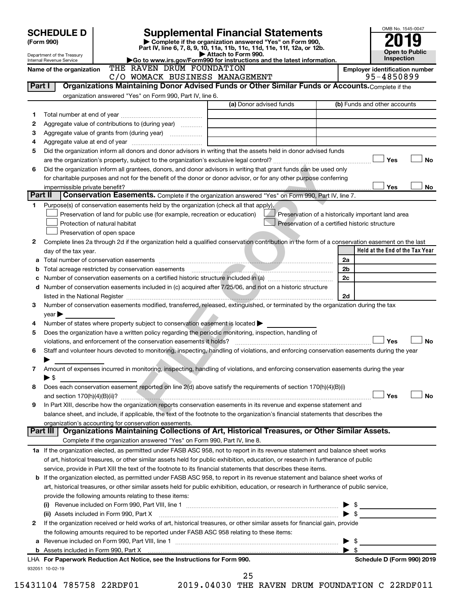|         | <b>SCHEDULE D</b>                                                                                                                                                      |                                                           |                                                                            | <b>Supplemental Financial Statements</b>                                                                                                |                                                    | OMB No. 1545-0047               |           |
|---------|------------------------------------------------------------------------------------------------------------------------------------------------------------------------|-----------------------------------------------------------|----------------------------------------------------------------------------|-----------------------------------------------------------------------------------------------------------------------------------------|----------------------------------------------------|---------------------------------|-----------|
|         | (Form 990)                                                                                                                                                             |                                                           |                                                                            | Complete if the organization answered "Yes" on Form 990,                                                                                |                                                    |                                 |           |
|         | Department of the Treasury                                                                                                                                             |                                                           | Attach to Form 990.                                                        | Part IV, line 6, 7, 8, 9, 10, 11a, 11b, 11c, 11d, 11e, 11f, 12a, or 12b.                                                                |                                                    | <b>Open to Public</b>           |           |
|         | Internal Revenue Service                                                                                                                                               |                                                           |                                                                            | Go to www.irs.gov/Form990 for instructions and the latest information.                                                                  |                                                    | <b>Inspection</b>               |           |
|         | Name of the organization                                                                                                                                               | THE RAVEN DRUM FOUNDATION                                 | C/O WOMACK BUSINESS MANAGEMENT                                             |                                                                                                                                         | <b>Employer identification number</b>              | 95-4850899                      |           |
| Part I  |                                                                                                                                                                        |                                                           |                                                                            | Organizations Maintaining Donor Advised Funds or Other Similar Funds or Accounts. Complete if the                                       |                                                    |                                 |           |
|         |                                                                                                                                                                        | organization answered "Yes" on Form 990, Part IV, line 6. |                                                                            |                                                                                                                                         |                                                    |                                 |           |
|         |                                                                                                                                                                        |                                                           |                                                                            | (a) Donor advised funds                                                                                                                 | (b) Funds and other accounts                       |                                 |           |
| 1       |                                                                                                                                                                        |                                                           |                                                                            |                                                                                                                                         |                                                    |                                 |           |
| 2       | Aggregate value of contributions to (during year)                                                                                                                      |                                                           |                                                                            |                                                                                                                                         |                                                    |                                 |           |
| З       |                                                                                                                                                                        |                                                           | the control of the control of the control of the control of                |                                                                                                                                         |                                                    |                                 |           |
| 4       |                                                                                                                                                                        |                                                           |                                                                            |                                                                                                                                         |                                                    |                                 |           |
| 5       | Did the organization inform all donors and donor advisors in writing that the assets held in donor advised funds                                                       |                                                           |                                                                            |                                                                                                                                         |                                                    |                                 |           |
|         |                                                                                                                                                                        |                                                           |                                                                            |                                                                                                                                         |                                                    | Yes                             | <b>No</b> |
| 6       | Did the organization inform all grantees, donors, and donor advisors in writing that grant funds can be used only                                                      |                                                           |                                                                            |                                                                                                                                         |                                                    |                                 |           |
|         |                                                                                                                                                                        |                                                           |                                                                            | for charitable purposes and not for the benefit of the donor or donor advisor, or for any other purpose conferring                      |                                                    |                                 |           |
|         | impermissible private benefit?                                                                                                                                         |                                                           |                                                                            |                                                                                                                                         |                                                    | Yes                             | No        |
| Part II |                                                                                                                                                                        |                                                           |                                                                            | Conservation Easements. Complete if the organization answered "Yes" on Form 990, Part IV, line 7.                                       |                                                    |                                 |           |
| 1.      | Purpose(s) of conservation easements held by the organization (check all that apply).                                                                                  |                                                           |                                                                            |                                                                                                                                         |                                                    |                                 |           |
|         |                                                                                                                                                                        |                                                           | Preservation of land for public use (for example, recreation or education) |                                                                                                                                         | Preservation of a historically important land area |                                 |           |
|         | Protection of natural habitat                                                                                                                                          |                                                           |                                                                            |                                                                                                                                         | Preservation of a certified historic structure     |                                 |           |
|         | Preservation of open space                                                                                                                                             |                                                           |                                                                            |                                                                                                                                         |                                                    |                                 |           |
| 2       | Complete lines 2a through 2d if the organization held a qualified conservation contribution in the form of a conservation easement on the last<br>day of the tax year. |                                                           |                                                                            |                                                                                                                                         |                                                    | Held at the End of the Tax Year |           |
| а       |                                                                                                                                                                        |                                                           |                                                                            |                                                                                                                                         | 2a                                                 |                                 |           |
| b       |                                                                                                                                                                        |                                                           |                                                                            |                                                                                                                                         | 2 <sub>b</sub>                                     |                                 |           |
|         |                                                                                                                                                                        |                                                           |                                                                            |                                                                                                                                         | 2c                                                 |                                 |           |
| d       | Number of conservation easements included in (c) acquired after 7/25/06, and not on a historic structure                                                               |                                                           |                                                                            |                                                                                                                                         |                                                    |                                 |           |
|         | listed in the National Register [111] March 1999 (120) 1999 (120) 1999 (130) 1999 (130) 1999 (130) 1999 (130) 1                                                        |                                                           |                                                                            |                                                                                                                                         | 2d                                                 |                                 |           |
| 3       | Number of conservation easements modified, transferred, released, extinguished, or terminated by the organization during the tax                                       |                                                           |                                                                            |                                                                                                                                         |                                                    |                                 |           |
|         | $\vee$ ear $\blacktriangleright$                                                                                                                                       |                                                           |                                                                            |                                                                                                                                         |                                                    |                                 |           |
| 4       | Number of states where property subject to conservation easement is located $\blacktriangleright$                                                                      |                                                           |                                                                            |                                                                                                                                         |                                                    |                                 |           |
| 5       | Does the organization have a written policy regarding the periodic monitoring, inspection, handling of                                                                 |                                                           |                                                                            |                                                                                                                                         |                                                    |                                 |           |
|         | violations, and enforcement of the conservation easements it holds?                                                                                                    |                                                           |                                                                            |                                                                                                                                         |                                                    | Yes                             | No        |
| 6       | Staff and volunteer hours devoted to monitoring, inspecting, handling of violations, and enforcing conservation easements during the year                              |                                                           |                                                                            |                                                                                                                                         |                                                    |                                 |           |
|         |                                                                                                                                                                        |                                                           |                                                                            |                                                                                                                                         |                                                    |                                 |           |
| 7       | Amount of expenses incurred in monitoring, inspecting, handling of violations, and enforcing conservation easements during the year                                    |                                                           |                                                                            |                                                                                                                                         |                                                    |                                 |           |
|         | $\blacktriangleright$ \$                                                                                                                                               |                                                           |                                                                            |                                                                                                                                         |                                                    |                                 |           |
| 8       | Does each conservation easement reported on line 2(d) above satisfy the requirements of section 170(h)(4)(B)(i)                                                        |                                                           |                                                                            |                                                                                                                                         |                                                    | Yes                             |           |
| 9       | In Part XIII, describe how the organization reports conservation easements in its revenue and expense statement and                                                    |                                                           |                                                                            |                                                                                                                                         |                                                    |                                 | <b>No</b> |
|         | balance sheet, and include, if applicable, the text of the footnote to the organization's financial statements that describes the                                      |                                                           |                                                                            |                                                                                                                                         |                                                    |                                 |           |
|         | organization's accounting for conservation easements.                                                                                                                  |                                                           |                                                                            |                                                                                                                                         |                                                    |                                 |           |
|         | Part III                                                                                                                                                               |                                                           |                                                                            | Organizations Maintaining Collections of Art, Historical Treasures, or Other Similar Assets.                                            |                                                    |                                 |           |
|         |                                                                                                                                                                        |                                                           | Complete if the organization answered "Yes" on Form 990, Part IV, line 8.  |                                                                                                                                         |                                                    |                                 |           |
|         | 1a If the organization elected, as permitted under FASB ASC 958, not to report in its revenue statement and balance sheet works                                        |                                                           |                                                                            |                                                                                                                                         |                                                    |                                 |           |
|         |                                                                                                                                                                        |                                                           |                                                                            | of art, historical treasures, or other similar assets held for public exhibition, education, or research in furtherance of public       |                                                    |                                 |           |
|         |                                                                                                                                                                        |                                                           |                                                                            | service, provide in Part XIII the text of the footnote to its financial statements that describes these items.                          |                                                    |                                 |           |
|         | <b>b</b> If the organization elected, as permitted under FASB ASC 958, to report in its revenue statement and balance sheet works of                                   |                                                           |                                                                            |                                                                                                                                         |                                                    |                                 |           |
|         |                                                                                                                                                                        |                                                           |                                                                            | art, historical treasures, or other similar assets held for public exhibition, education, or research in furtherance of public service, |                                                    |                                 |           |
|         | provide the following amounts relating to these items:                                                                                                                 |                                                           |                                                                            |                                                                                                                                         |                                                    |                                 |           |
|         |                                                                                                                                                                        |                                                           |                                                                            |                                                                                                                                         |                                                    |                                 |           |
|         | (ii) Assets included in Form 990, Part X                                                                                                                               |                                                           |                                                                            |                                                                                                                                         | $\blacktriangleright$ \$                           |                                 |           |
| 2       | If the organization received or held works of art, historical treasures, or other similar assets for financial gain, provide                                           |                                                           |                                                                            |                                                                                                                                         |                                                    |                                 |           |
|         | the following amounts required to be reported under FASB ASC 958 relating to these items:                                                                              |                                                           |                                                                            |                                                                                                                                         |                                                    |                                 |           |
| a       |                                                                                                                                                                        |                                                           |                                                                            |                                                                                                                                         | - \$<br>▶                                          |                                 |           |
|         |                                                                                                                                                                        |                                                           |                                                                            |                                                                                                                                         | $\blacktriangleright$ s                            |                                 |           |
|         | LHA For Paperwork Reduction Act Notice, see the Instructions for Form 990.                                                                                             |                                                           |                                                                            |                                                                                                                                         |                                                    | Schedule D (Form 990) 2019      |           |
|         | 932051 10-02-19                                                                                                                                                        |                                                           | 25                                                                         |                                                                                                                                         |                                                    |                                 |           |

<sup>15431104 785758 22</sup>RDF01 2019.04030 THE RAVEN DRUM FOUNDATION C 22RDF011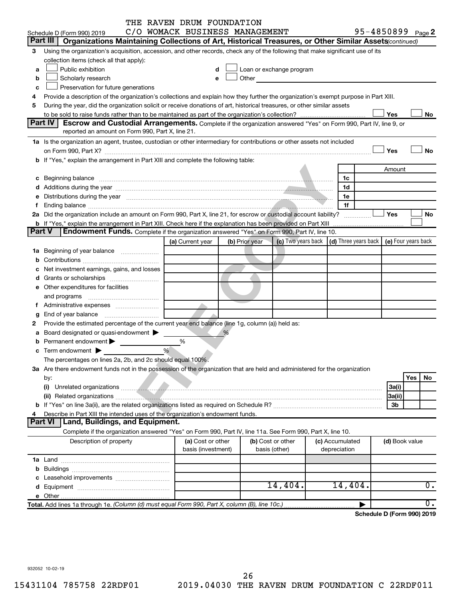|               |                                                                                                                                                                                                                                                                  | THE RAVEN DRUM FOUNDATION<br>C/O WOMACK BUSINESS MANAGEMENT |                |                                                                                                                                                                                                                               |                      | 95-4850899 Page 2          |                     |                  |  |  |
|---------------|------------------------------------------------------------------------------------------------------------------------------------------------------------------------------------------------------------------------------------------------------------------|-------------------------------------------------------------|----------------|-------------------------------------------------------------------------------------------------------------------------------------------------------------------------------------------------------------------------------|----------------------|----------------------------|---------------------|------------------|--|--|
|               | Schedule D (Form 990) 2019<br>Part III   Organizations Maintaining Collections of Art, Historical Treasures, or Other Similar Assets continued)                                                                                                                  |                                                             |                |                                                                                                                                                                                                                               |                      |                            |                     |                  |  |  |
| 3             | Using the organization's acquisition, accession, and other records, check any of the following that make significant use of its                                                                                                                                  |                                                             |                |                                                                                                                                                                                                                               |                      |                            |                     |                  |  |  |
|               | collection items (check all that apply):                                                                                                                                                                                                                         |                                                             |                |                                                                                                                                                                                                                               |                      |                            |                     |                  |  |  |
| a             | Public exhibition                                                                                                                                                                                                                                                |                                                             |                | Loan or exchange program                                                                                                                                                                                                      |                      |                            |                     |                  |  |  |
| b             | Scholarly research                                                                                                                                                                                                                                               | e                                                           |                | Other and the contract of the contract of the contract of the contract of the contract of the contract of the contract of the contract of the contract of the contract of the contract of the contract of the contract of the |                      |                            |                     |                  |  |  |
| c             | Preservation for future generations                                                                                                                                                                                                                              |                                                             |                |                                                                                                                                                                                                                               |                      |                            |                     |                  |  |  |
| 4             |                                                                                                                                                                                                                                                                  |                                                             |                |                                                                                                                                                                                                                               |                      |                            |                     |                  |  |  |
| 5             | Provide a description of the organization's collections and explain how they further the organization's exempt purpose in Part XIII.<br>During the year, did the organization solicit or receive donations of art, historical treasures, or other similar assets |                                                             |                |                                                                                                                                                                                                                               |                      |                            |                     |                  |  |  |
|               | Yes<br>No                                                                                                                                                                                                                                                        |                                                             |                |                                                                                                                                                                                                                               |                      |                            |                     |                  |  |  |
|               | Part IV<br>Escrow and Custodial Arrangements. Complete if the organization answered "Yes" on Form 990, Part IV, line 9, or                                                                                                                                       |                                                             |                |                                                                                                                                                                                                                               |                      |                            |                     |                  |  |  |
|               | reported an amount on Form 990, Part X, line 21.                                                                                                                                                                                                                 |                                                             |                |                                                                                                                                                                                                                               |                      |                            |                     |                  |  |  |
|               | 1a Is the organization an agent, trustee, custodian or other intermediary for contributions or other assets not included                                                                                                                                         |                                                             |                |                                                                                                                                                                                                                               |                      |                            |                     |                  |  |  |
|               |                                                                                                                                                                                                                                                                  |                                                             |                |                                                                                                                                                                                                                               |                      |                            | Yes                 | <b>No</b>        |  |  |
|               | b If "Yes," explain the arrangement in Part XIII and complete the following table:                                                                                                                                                                               |                                                             |                |                                                                                                                                                                                                                               |                      |                            |                     |                  |  |  |
|               |                                                                                                                                                                                                                                                                  |                                                             |                |                                                                                                                                                                                                                               |                      |                            | Amount              |                  |  |  |
|               | c Beginning balance <b>contract the contract of the contract of the contract of the contract of the contract of the contract of the contract of the contract of the contract of the contract of the contract of the contract of </b>                             |                                                             |                |                                                                                                                                                                                                                               | 1c                   |                            |                     |                  |  |  |
|               |                                                                                                                                                                                                                                                                  |                                                             |                |                                                                                                                                                                                                                               | 1d                   |                            |                     |                  |  |  |
|               | e Distributions during the year measurement contained and all the year measurement of the year measurement of                                                                                                                                                    |                                                             |                |                                                                                                                                                                                                                               | 1e                   |                            |                     |                  |  |  |
| f             |                                                                                                                                                                                                                                                                  |                                                             |                |                                                                                                                                                                                                                               | 1f                   |                            |                     |                  |  |  |
|               | 2a Did the organization include an amount on Form 990, Part X, line 21, for escrow or custodial account liability?                                                                                                                                               |                                                             |                |                                                                                                                                                                                                                               |                      |                            | Yes                 | No               |  |  |
|               | <b>b</b> If "Yes," explain the arrangement in Part XIII. Check here if the explanation has been provided on Part XIII                                                                                                                                            |                                                             |                |                                                                                                                                                                                                                               |                      |                            |                     |                  |  |  |
| <b>Part V</b> | Endowment Funds. Complete if the organization answered "Yes" on Form 990, Part IV, line 10.                                                                                                                                                                      |                                                             |                |                                                                                                                                                                                                                               |                      |                            |                     |                  |  |  |
|               |                                                                                                                                                                                                                                                                  | (a) Current year                                            | (b) Prior year | (c) Two years back                                                                                                                                                                                                            | (d) Three years back |                            | (e) Four years back |                  |  |  |
|               | 1a Beginning of year balance                                                                                                                                                                                                                                     |                                                             |                |                                                                                                                                                                                                                               |                      |                            |                     |                  |  |  |
|               |                                                                                                                                                                                                                                                                  |                                                             |                |                                                                                                                                                                                                                               |                      |                            |                     |                  |  |  |
|               | c Net investment earnings, gains, and losses                                                                                                                                                                                                                     |                                                             |                |                                                                                                                                                                                                                               |                      |                            |                     |                  |  |  |
|               |                                                                                                                                                                                                                                                                  |                                                             |                |                                                                                                                                                                                                                               |                      |                            |                     |                  |  |  |
|               | e Other expenditures for facilities                                                                                                                                                                                                                              |                                                             |                |                                                                                                                                                                                                                               |                      |                            |                     |                  |  |  |
|               | and programs                                                                                                                                                                                                                                                     |                                                             |                |                                                                                                                                                                                                                               |                      |                            |                     |                  |  |  |
|               |                                                                                                                                                                                                                                                                  |                                                             |                |                                                                                                                                                                                                                               |                      |                            |                     |                  |  |  |
| g             |                                                                                                                                                                                                                                                                  |                                                             |                |                                                                                                                                                                                                                               |                      |                            |                     |                  |  |  |
| 2             | Provide the estimated percentage of the current year end balance (line 1g, column (a)) held as:                                                                                                                                                                  |                                                             |                |                                                                                                                                                                                                                               |                      |                            |                     |                  |  |  |
|               | a Board designated or quasi-endowment >                                                                                                                                                                                                                          |                                                             | %              |                                                                                                                                                                                                                               |                      |                            |                     |                  |  |  |
|               | Permanent endowment                                                                                                                                                                                                                                              | %                                                           |                |                                                                                                                                                                                                                               |                      |                            |                     |                  |  |  |
|               | %<br><b>c</b> Term endowment $\blacktriangleright$                                                                                                                                                                                                               |                                                             |                |                                                                                                                                                                                                                               |                      |                            |                     |                  |  |  |
|               | The percentages on lines 2a, 2b, and 2c should equal 100%.                                                                                                                                                                                                       |                                                             |                |                                                                                                                                                                                                                               |                      |                            |                     |                  |  |  |
|               | 3a Are there endowment funds not in the possession of the organization that are held and administered for the organization                                                                                                                                       |                                                             |                |                                                                                                                                                                                                                               |                      |                            |                     |                  |  |  |
|               | by:                                                                                                                                                                                                                                                              |                                                             |                |                                                                                                                                                                                                                               |                      |                            |                     | Yes<br>No        |  |  |
|               | (i)                                                                                                                                                                                                                                                              |                                                             |                |                                                                                                                                                                                                                               |                      |                            | 3a(i)               |                  |  |  |
|               |                                                                                                                                                                                                                                                                  |                                                             |                |                                                                                                                                                                                                                               |                      |                            | 3a(ii)              |                  |  |  |
|               |                                                                                                                                                                                                                                                                  |                                                             |                |                                                                                                                                                                                                                               |                      |                            | 3b                  |                  |  |  |
| 4             | Describe in Part XIII the intended uses of the organization's endowment funds.                                                                                                                                                                                   |                                                             |                |                                                                                                                                                                                                                               |                      |                            |                     |                  |  |  |
|               | Part VI   Land, Buildings, and Equipment.                                                                                                                                                                                                                        |                                                             |                |                                                                                                                                                                                                                               |                      |                            |                     |                  |  |  |
|               | Complete if the organization answered "Yes" on Form 990, Part IV, line 11a. See Form 990, Part X, line 10.                                                                                                                                                       |                                                             |                |                                                                                                                                                                                                                               |                      |                            |                     |                  |  |  |
|               | Description of property                                                                                                                                                                                                                                          | (a) Cost or other                                           |                | (b) Cost or other                                                                                                                                                                                                             | (c) Accumulated      |                            | (d) Book value      |                  |  |  |
|               |                                                                                                                                                                                                                                                                  | basis (investment)                                          |                | basis (other)                                                                                                                                                                                                                 | depreciation         |                            |                     |                  |  |  |
|               |                                                                                                                                                                                                                                                                  |                                                             |                |                                                                                                                                                                                                                               |                      |                            |                     |                  |  |  |
|               |                                                                                                                                                                                                                                                                  |                                                             |                |                                                                                                                                                                                                                               |                      |                            |                     |                  |  |  |
|               |                                                                                                                                                                                                                                                                  |                                                             |                |                                                                                                                                                                                                                               |                      |                            |                     |                  |  |  |
|               |                                                                                                                                                                                                                                                                  |                                                             |                | 14,404.                                                                                                                                                                                                                       | 14,404.              |                            |                     | 0.               |  |  |
|               |                                                                                                                                                                                                                                                                  |                                                             |                |                                                                                                                                                                                                                               |                      |                            |                     |                  |  |  |
|               | Total. Add lines 1a through 1e. (Column (d) must equal Form 990, Part X, column (B), line 10c.)                                                                                                                                                                  |                                                             |                |                                                                                                                                                                                                                               |                      |                            |                     | $\overline{0}$ . |  |  |
|               |                                                                                                                                                                                                                                                                  |                                                             |                |                                                                                                                                                                                                                               |                      | Schedule D (Form 990) 2019 |                     |                  |  |  |
|               |                                                                                                                                                                                                                                                                  |                                                             |                |                                                                                                                                                                                                                               |                      |                            |                     |                  |  |  |
|               | 932052 10-02-19                                                                                                                                                                                                                                                  |                                                             |                |                                                                                                                                                                                                                               |                      |                            |                     |                  |  |  |

932052 10-02-19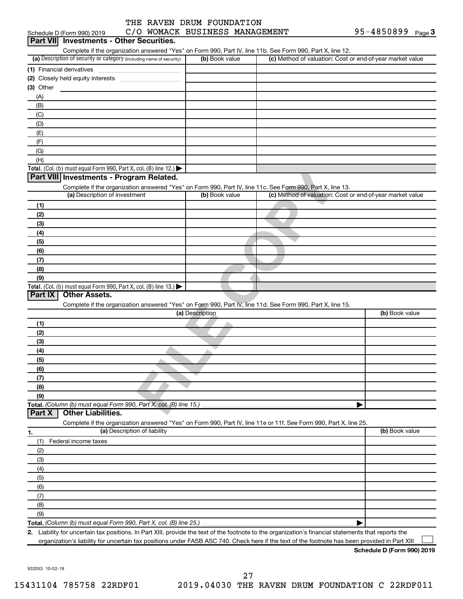|                            | THE RAVEN DRUM FOUNDATION |  |                                |            |        |
|----------------------------|---------------------------|--|--------------------------------|------------|--------|
| Schedule D (Form 990) 2019 |                           |  | C/O WOMACK BUSINESS MANAGEMENT | 95-4850899 | Page 3 |

| Complete if the organization answered "Yes" on Form 990, Part IV, line 11b. See Form 990, Part X, line 12.<br>(a) Description of security or category (including name of security)<br>(b) Book value<br>(c) Method of valuation: Cost or end-of-year market value<br>(1) Financial derivatives<br>(3) Other<br>(A)<br>(B)<br>(C)<br>(D)<br>(E)<br>(F)<br>(G)<br>(H)<br><b>Total.</b> (Col. (b) must equal Form 990, Part X, col. (B) line 12.) $\blacktriangleright$<br>Part VIII Investments - Program Related.<br>Complete if the organization answered "Yes" on Form 990, Part IV, line 11c. See Form 990, Part X, line 13.<br>(c) Method of valuation: Cost or end-of-year market value<br>(a) Description of investment<br>(b) Book value<br>(1)<br>(2)<br>(3)<br>(4)<br>(5)<br>(6)<br>(7)<br>(8)<br>(9)<br>Total. (Col. (b) must equal Form 990, Part X, col. (B) line $13.$ )<br><b>Other Assets.</b><br>Part IX<br>Complete if the organization answered "Yes" on Form 990, Part IV, line 11d. See Form 990, Part X, line 15.<br>(a) Description<br>(b) Book value<br>(1)<br>(2)<br>(3)<br>(4)<br>(5)<br>(6)<br>(7)<br>(8)<br>(9)<br><b>Other Liabilities.</b><br>Part X<br>Complete if the organization answered "Yes" on Form 990, Part IV, line 11e or 11f. See Form 990, Part X, line 25.<br>(a) Description of liability<br>(b) Book value<br>1.<br>Federal income taxes<br>(1)<br>(2)<br>(3)<br>(4)<br>(5)<br>(6)<br>(7)<br>(8)<br>(9)<br>2. Liability for uncertain tax positions. In Part XIII, provide the text of the footnote to the organization's financial statements that reports the | Part VII Investments - Other Securities. |  |
|--------------------------------------------------------------------------------------------------------------------------------------------------------------------------------------------------------------------------------------------------------------------------------------------------------------------------------------------------------------------------------------------------------------------------------------------------------------------------------------------------------------------------------------------------------------------------------------------------------------------------------------------------------------------------------------------------------------------------------------------------------------------------------------------------------------------------------------------------------------------------------------------------------------------------------------------------------------------------------------------------------------------------------------------------------------------------------------------------------------------------------------------------------------------------------------------------------------------------------------------------------------------------------------------------------------------------------------------------------------------------------------------------------------------------------------------------------------------------------------------------------------------------------------------------------------------------------------------------------------|------------------------------------------|--|
|                                                                                                                                                                                                                                                                                                                                                                                                                                                                                                                                                                                                                                                                                                                                                                                                                                                                                                                                                                                                                                                                                                                                                                                                                                                                                                                                                                                                                                                                                                                                                                                                              |                                          |  |
|                                                                                                                                                                                                                                                                                                                                                                                                                                                                                                                                                                                                                                                                                                                                                                                                                                                                                                                                                                                                                                                                                                                                                                                                                                                                                                                                                                                                                                                                                                                                                                                                              |                                          |  |
|                                                                                                                                                                                                                                                                                                                                                                                                                                                                                                                                                                                                                                                                                                                                                                                                                                                                                                                                                                                                                                                                                                                                                                                                                                                                                                                                                                                                                                                                                                                                                                                                              |                                          |  |
|                                                                                                                                                                                                                                                                                                                                                                                                                                                                                                                                                                                                                                                                                                                                                                                                                                                                                                                                                                                                                                                                                                                                                                                                                                                                                                                                                                                                                                                                                                                                                                                                              |                                          |  |
|                                                                                                                                                                                                                                                                                                                                                                                                                                                                                                                                                                                                                                                                                                                                                                                                                                                                                                                                                                                                                                                                                                                                                                                                                                                                                                                                                                                                                                                                                                                                                                                                              |                                          |  |
|                                                                                                                                                                                                                                                                                                                                                                                                                                                                                                                                                                                                                                                                                                                                                                                                                                                                                                                                                                                                                                                                                                                                                                                                                                                                                                                                                                                                                                                                                                                                                                                                              |                                          |  |
|                                                                                                                                                                                                                                                                                                                                                                                                                                                                                                                                                                                                                                                                                                                                                                                                                                                                                                                                                                                                                                                                                                                                                                                                                                                                                                                                                                                                                                                                                                                                                                                                              |                                          |  |
|                                                                                                                                                                                                                                                                                                                                                                                                                                                                                                                                                                                                                                                                                                                                                                                                                                                                                                                                                                                                                                                                                                                                                                                                                                                                                                                                                                                                                                                                                                                                                                                                              |                                          |  |
|                                                                                                                                                                                                                                                                                                                                                                                                                                                                                                                                                                                                                                                                                                                                                                                                                                                                                                                                                                                                                                                                                                                                                                                                                                                                                                                                                                                                                                                                                                                                                                                                              |                                          |  |
|                                                                                                                                                                                                                                                                                                                                                                                                                                                                                                                                                                                                                                                                                                                                                                                                                                                                                                                                                                                                                                                                                                                                                                                                                                                                                                                                                                                                                                                                                                                                                                                                              |                                          |  |
|                                                                                                                                                                                                                                                                                                                                                                                                                                                                                                                                                                                                                                                                                                                                                                                                                                                                                                                                                                                                                                                                                                                                                                                                                                                                                                                                                                                                                                                                                                                                                                                                              |                                          |  |
|                                                                                                                                                                                                                                                                                                                                                                                                                                                                                                                                                                                                                                                                                                                                                                                                                                                                                                                                                                                                                                                                                                                                                                                                                                                                                                                                                                                                                                                                                                                                                                                                              |                                          |  |
|                                                                                                                                                                                                                                                                                                                                                                                                                                                                                                                                                                                                                                                                                                                                                                                                                                                                                                                                                                                                                                                                                                                                                                                                                                                                                                                                                                                                                                                                                                                                                                                                              |                                          |  |
|                                                                                                                                                                                                                                                                                                                                                                                                                                                                                                                                                                                                                                                                                                                                                                                                                                                                                                                                                                                                                                                                                                                                                                                                                                                                                                                                                                                                                                                                                                                                                                                                              |                                          |  |
|                                                                                                                                                                                                                                                                                                                                                                                                                                                                                                                                                                                                                                                                                                                                                                                                                                                                                                                                                                                                                                                                                                                                                                                                                                                                                                                                                                                                                                                                                                                                                                                                              |                                          |  |
|                                                                                                                                                                                                                                                                                                                                                                                                                                                                                                                                                                                                                                                                                                                                                                                                                                                                                                                                                                                                                                                                                                                                                                                                                                                                                                                                                                                                                                                                                                                                                                                                              |                                          |  |
|                                                                                                                                                                                                                                                                                                                                                                                                                                                                                                                                                                                                                                                                                                                                                                                                                                                                                                                                                                                                                                                                                                                                                                                                                                                                                                                                                                                                                                                                                                                                                                                                              |                                          |  |
|                                                                                                                                                                                                                                                                                                                                                                                                                                                                                                                                                                                                                                                                                                                                                                                                                                                                                                                                                                                                                                                                                                                                                                                                                                                                                                                                                                                                                                                                                                                                                                                                              |                                          |  |
|                                                                                                                                                                                                                                                                                                                                                                                                                                                                                                                                                                                                                                                                                                                                                                                                                                                                                                                                                                                                                                                                                                                                                                                                                                                                                                                                                                                                                                                                                                                                                                                                              |                                          |  |
|                                                                                                                                                                                                                                                                                                                                                                                                                                                                                                                                                                                                                                                                                                                                                                                                                                                                                                                                                                                                                                                                                                                                                                                                                                                                                                                                                                                                                                                                                                                                                                                                              |                                          |  |
|                                                                                                                                                                                                                                                                                                                                                                                                                                                                                                                                                                                                                                                                                                                                                                                                                                                                                                                                                                                                                                                                                                                                                                                                                                                                                                                                                                                                                                                                                                                                                                                                              |                                          |  |
|                                                                                                                                                                                                                                                                                                                                                                                                                                                                                                                                                                                                                                                                                                                                                                                                                                                                                                                                                                                                                                                                                                                                                                                                                                                                                                                                                                                                                                                                                                                                                                                                              |                                          |  |
|                                                                                                                                                                                                                                                                                                                                                                                                                                                                                                                                                                                                                                                                                                                                                                                                                                                                                                                                                                                                                                                                                                                                                                                                                                                                                                                                                                                                                                                                                                                                                                                                              |                                          |  |
|                                                                                                                                                                                                                                                                                                                                                                                                                                                                                                                                                                                                                                                                                                                                                                                                                                                                                                                                                                                                                                                                                                                                                                                                                                                                                                                                                                                                                                                                                                                                                                                                              |                                          |  |
|                                                                                                                                                                                                                                                                                                                                                                                                                                                                                                                                                                                                                                                                                                                                                                                                                                                                                                                                                                                                                                                                                                                                                                                                                                                                                                                                                                                                                                                                                                                                                                                                              |                                          |  |
|                                                                                                                                                                                                                                                                                                                                                                                                                                                                                                                                                                                                                                                                                                                                                                                                                                                                                                                                                                                                                                                                                                                                                                                                                                                                                                                                                                                                                                                                                                                                                                                                              |                                          |  |
|                                                                                                                                                                                                                                                                                                                                                                                                                                                                                                                                                                                                                                                                                                                                                                                                                                                                                                                                                                                                                                                                                                                                                                                                                                                                                                                                                                                                                                                                                                                                                                                                              |                                          |  |
|                                                                                                                                                                                                                                                                                                                                                                                                                                                                                                                                                                                                                                                                                                                                                                                                                                                                                                                                                                                                                                                                                                                                                                                                                                                                                                                                                                                                                                                                                                                                                                                                              |                                          |  |
|                                                                                                                                                                                                                                                                                                                                                                                                                                                                                                                                                                                                                                                                                                                                                                                                                                                                                                                                                                                                                                                                                                                                                                                                                                                                                                                                                                                                                                                                                                                                                                                                              |                                          |  |
|                                                                                                                                                                                                                                                                                                                                                                                                                                                                                                                                                                                                                                                                                                                                                                                                                                                                                                                                                                                                                                                                                                                                                                                                                                                                                                                                                                                                                                                                                                                                                                                                              |                                          |  |
|                                                                                                                                                                                                                                                                                                                                                                                                                                                                                                                                                                                                                                                                                                                                                                                                                                                                                                                                                                                                                                                                                                                                                                                                                                                                                                                                                                                                                                                                                                                                                                                                              |                                          |  |
|                                                                                                                                                                                                                                                                                                                                                                                                                                                                                                                                                                                                                                                                                                                                                                                                                                                                                                                                                                                                                                                                                                                                                                                                                                                                                                                                                                                                                                                                                                                                                                                                              |                                          |  |
|                                                                                                                                                                                                                                                                                                                                                                                                                                                                                                                                                                                                                                                                                                                                                                                                                                                                                                                                                                                                                                                                                                                                                                                                                                                                                                                                                                                                                                                                                                                                                                                                              |                                          |  |
|                                                                                                                                                                                                                                                                                                                                                                                                                                                                                                                                                                                                                                                                                                                                                                                                                                                                                                                                                                                                                                                                                                                                                                                                                                                                                                                                                                                                                                                                                                                                                                                                              |                                          |  |
|                                                                                                                                                                                                                                                                                                                                                                                                                                                                                                                                                                                                                                                                                                                                                                                                                                                                                                                                                                                                                                                                                                                                                                                                                                                                                                                                                                                                                                                                                                                                                                                                              |                                          |  |
|                                                                                                                                                                                                                                                                                                                                                                                                                                                                                                                                                                                                                                                                                                                                                                                                                                                                                                                                                                                                                                                                                                                                                                                                                                                                                                                                                                                                                                                                                                                                                                                                              |                                          |  |
|                                                                                                                                                                                                                                                                                                                                                                                                                                                                                                                                                                                                                                                                                                                                                                                                                                                                                                                                                                                                                                                                                                                                                                                                                                                                                                                                                                                                                                                                                                                                                                                                              |                                          |  |
|                                                                                                                                                                                                                                                                                                                                                                                                                                                                                                                                                                                                                                                                                                                                                                                                                                                                                                                                                                                                                                                                                                                                                                                                                                                                                                                                                                                                                                                                                                                                                                                                              |                                          |  |
|                                                                                                                                                                                                                                                                                                                                                                                                                                                                                                                                                                                                                                                                                                                                                                                                                                                                                                                                                                                                                                                                                                                                                                                                                                                                                                                                                                                                                                                                                                                                                                                                              |                                          |  |
|                                                                                                                                                                                                                                                                                                                                                                                                                                                                                                                                                                                                                                                                                                                                                                                                                                                                                                                                                                                                                                                                                                                                                                                                                                                                                                                                                                                                                                                                                                                                                                                                              |                                          |  |
|                                                                                                                                                                                                                                                                                                                                                                                                                                                                                                                                                                                                                                                                                                                                                                                                                                                                                                                                                                                                                                                                                                                                                                                                                                                                                                                                                                                                                                                                                                                                                                                                              |                                          |  |
|                                                                                                                                                                                                                                                                                                                                                                                                                                                                                                                                                                                                                                                                                                                                                                                                                                                                                                                                                                                                                                                                                                                                                                                                                                                                                                                                                                                                                                                                                                                                                                                                              |                                          |  |
|                                                                                                                                                                                                                                                                                                                                                                                                                                                                                                                                                                                                                                                                                                                                                                                                                                                                                                                                                                                                                                                                                                                                                                                                                                                                                                                                                                                                                                                                                                                                                                                                              |                                          |  |
|                                                                                                                                                                                                                                                                                                                                                                                                                                                                                                                                                                                                                                                                                                                                                                                                                                                                                                                                                                                                                                                                                                                                                                                                                                                                                                                                                                                                                                                                                                                                                                                                              |                                          |  |
|                                                                                                                                                                                                                                                                                                                                                                                                                                                                                                                                                                                                                                                                                                                                                                                                                                                                                                                                                                                                                                                                                                                                                                                                                                                                                                                                                                                                                                                                                                                                                                                                              |                                          |  |
|                                                                                                                                                                                                                                                                                                                                                                                                                                                                                                                                                                                                                                                                                                                                                                                                                                                                                                                                                                                                                                                                                                                                                                                                                                                                                                                                                                                                                                                                                                                                                                                                              |                                          |  |
|                                                                                                                                                                                                                                                                                                                                                                                                                                                                                                                                                                                                                                                                                                                                                                                                                                                                                                                                                                                                                                                                                                                                                                                                                                                                                                                                                                                                                                                                                                                                                                                                              |                                          |  |
|                                                                                                                                                                                                                                                                                                                                                                                                                                                                                                                                                                                                                                                                                                                                                                                                                                                                                                                                                                                                                                                                                                                                                                                                                                                                                                                                                                                                                                                                                                                                                                                                              |                                          |  |
|                                                                                                                                                                                                                                                                                                                                                                                                                                                                                                                                                                                                                                                                                                                                                                                                                                                                                                                                                                                                                                                                                                                                                                                                                                                                                                                                                                                                                                                                                                                                                                                                              |                                          |  |
|                                                                                                                                                                                                                                                                                                                                                                                                                                                                                                                                                                                                                                                                                                                                                                                                                                                                                                                                                                                                                                                                                                                                                                                                                                                                                                                                                                                                                                                                                                                                                                                                              |                                          |  |
|                                                                                                                                                                                                                                                                                                                                                                                                                                                                                                                                                                                                                                                                                                                                                                                                                                                                                                                                                                                                                                                                                                                                                                                                                                                                                                                                                                                                                                                                                                                                                                                                              |                                          |  |
|                                                                                                                                                                                                                                                                                                                                                                                                                                                                                                                                                                                                                                                                                                                                                                                                                                                                                                                                                                                                                                                                                                                                                                                                                                                                                                                                                                                                                                                                                                                                                                                                              |                                          |  |

**Schedule D (Form 990) 2019**

932053 10-02-19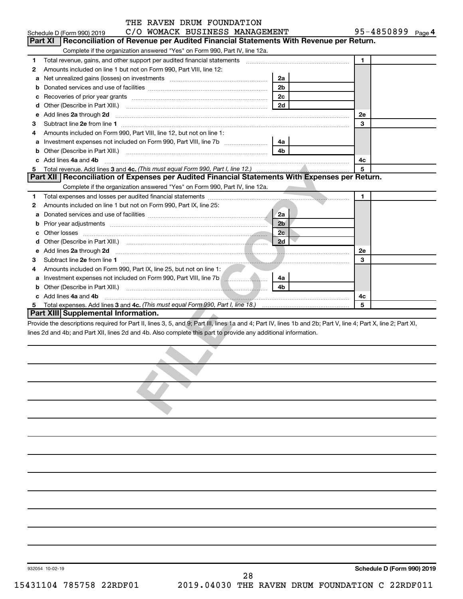|        | THE RAVEN DRUM FOUNDATION                                                                                                                                                                                                                                                        |                      |                            |
|--------|----------------------------------------------------------------------------------------------------------------------------------------------------------------------------------------------------------------------------------------------------------------------------------|----------------------|----------------------------|
|        | C/O WOMACK BUSINESS MANAGEMENT<br>Schedule D (Form 990) 2019                                                                                                                                                                                                                     |                      | 95-4850899 Page 4          |
|        | <b>Part XI</b><br>Reconciliation of Revenue per Audited Financial Statements With Revenue per Return.                                                                                                                                                                            |                      |                            |
|        | Complete if the organization answered "Yes" on Form 990, Part IV, line 12a.                                                                                                                                                                                                      |                      |                            |
| 1.     | Total revenue, gains, and other support per audited financial statements [[[[[[[[[[[[[[[[[[[[[[[[]]]]]]]]]]]]                                                                                                                                                                    |                      | $\mathbf{1}$               |
| 2      | Amounts included on line 1 but not on Form 990, Part VIII, line 12:                                                                                                                                                                                                              |                      |                            |
| а      | Net unrealized gains (losses) on investments [111] [12] matter contracts and a local metal of the university of the university of the university of the university of the university of the university of the university of th                                                   | 2a                   |                            |
| b      |                                                                                                                                                                                                                                                                                  | 2 <sub>b</sub><br>2c |                            |
| с      |                                                                                                                                                                                                                                                                                  | 2d                   |                            |
| d      |                                                                                                                                                                                                                                                                                  |                      |                            |
| е      | Add lines 2a through 2d <b>continuum continuum contract and all the contract of the contract of the contract of the contract of the contract of the contract of the contract of the contract of the contract of the contract of </b>                                             |                      | 2e<br>3                    |
| З<br>4 | Amounts included on Form 990, Part VIII, line 12, but not on line 1:                                                                                                                                                                                                             |                      |                            |
|        | Investment expenses not included on Form 990, Part VIII, line 7b [11, 111, 111, 111]                                                                                                                                                                                             |                      |                            |
| а<br>b |                                                                                                                                                                                                                                                                                  | 4a<br>4 <sub>b</sub> |                            |
|        | Other (Describe in Part XIII.) <b>Construction Contract Construction</b> Chemical Construction Chemical Chemical Chemical Chemical Chemical Chemical Chemical Chemical Chemical Chemical Chemical Chemical Chemical Chemical Chemic<br>c Add lines 4a and 4b                     |                      | 4c                         |
| 5      |                                                                                                                                                                                                                                                                                  |                      | 5                          |
|        | Part XII Reconciliation of Expenses per Audited Financial Statements With Expenses per Return.                                                                                                                                                                                   |                      |                            |
|        | Complete if the organization answered "Yes" on Form 990, Part IV, line 12a.                                                                                                                                                                                                      |                      |                            |
| 1      |                                                                                                                                                                                                                                                                                  |                      | 1                          |
| 2      | Amounts included on line 1 but not on Form 990, Part IX, line 25:                                                                                                                                                                                                                |                      |                            |
| a      |                                                                                                                                                                                                                                                                                  | <b>2a</b>            |                            |
|        |                                                                                                                                                                                                                                                                                  | 2 <sub>b</sub>       |                            |
| b      |                                                                                                                                                                                                                                                                                  | 2 <sub>c</sub>       |                            |
| с      |                                                                                                                                                                                                                                                                                  | 2d                   |                            |
| d      |                                                                                                                                                                                                                                                                                  |                      |                            |
|        | e Add lines 2a through 2d <b>[10]</b> [10] <b>All the Contract of Add lines 2a</b> through <b>Music Contract of Add lines 2a</b> through 2d                                                                                                                                      |                      | 2e<br>3                    |
| З<br>4 |                                                                                                                                                                                                                                                                                  |                      |                            |
|        | Amounts included on Form 990, Part IX, line 25, but not on line 1:                                                                                                                                                                                                               |                      |                            |
| а      |                                                                                                                                                                                                                                                                                  | 4a<br>4b             |                            |
|        | c Add lines 4a and 4b                                                                                                                                                                                                                                                            |                      |                            |
| 5      | Total expenses. Add lines 3 and 4c. (This must equal Form 990, Part I, line 18.) <i>mand expenses. Add lines</i> 3 and                                                                                                                                                           |                      | 4с<br>5                    |
|        | Part XIII Supplemental Information.                                                                                                                                                                                                                                              |                      |                            |
|        | Provide the descriptions required for Part II, lines 3, 5, and 9; Part III, lines 1a and 4; Part IV, lines 1b and 2b; Part V, line 4; Part X, line 2; Part XI,<br>lines 2d and 4b; and Part XII, lines 2d and 4b. Also complete this part to provide any additional information. |                      |                            |
|        |                                                                                                                                                                                                                                                                                  |                      |                            |
|        |                                                                                                                                                                                                                                                                                  |                      |                            |
|        |                                                                                                                                                                                                                                                                                  |                      |                            |
|        |                                                                                                                                                                                                                                                                                  |                      |                            |
|        |                                                                                                                                                                                                                                                                                  |                      |                            |
|        |                                                                                                                                                                                                                                                                                  |                      |                            |
|        |                                                                                                                                                                                                                                                                                  |                      |                            |
|        |                                                                                                                                                                                                                                                                                  |                      |                            |
|        | 932054 10-02-19                                                                                                                                                                                                                                                                  |                      | Schedule D (Form 990) 2019 |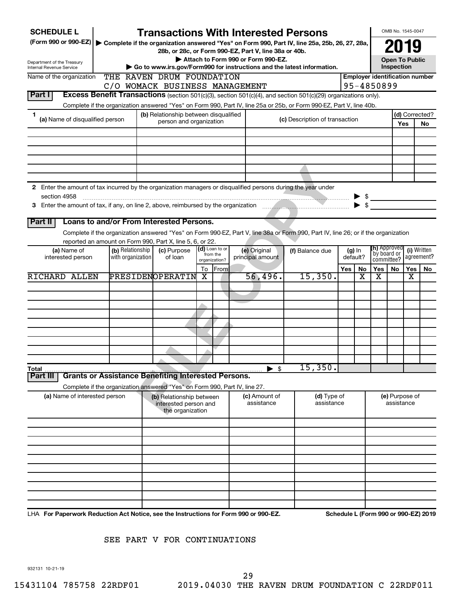| <b>SCHEDULE L</b>                                                                                                    |                  | <b>Transactions With Interested Persons</b>                                                                                        |               |                            |                                           |  |                                |     |                                                     |                              | OMB No. 1545-0047        |     |                                      |  |
|----------------------------------------------------------------------------------------------------------------------|------------------|------------------------------------------------------------------------------------------------------------------------------------|---------------|----------------------------|-------------------------------------------|--|--------------------------------|-----|-----------------------------------------------------|------------------------------|--------------------------|-----|--------------------------------------|--|
| (Form 990 or 990-EZ) > Complete if the organization answered "Yes" on Form 990, Part IV, line 25a, 25b, 26, 27, 28a, |                  |                                                                                                                                    |               |                            |                                           |  |                                |     |                                                     |                              | 2019                     |     |                                      |  |
|                                                                                                                      |                  | 28b, or 28c, or Form 990-EZ, Part V, line 38a or 40b.                                                                              |               |                            |                                           |  |                                |     |                                                     |                              |                          |     |                                      |  |
| Department of the Treasury<br>Internal Revenue Service                                                               |                  | Go to www.irs.gov/Form990 for instructions and the latest information.                                                             |               |                            | Attach to Form 990 or Form 990-EZ.        |  |                                |     |                                                     |                              | <b>Open To Public</b>    |     |                                      |  |
| Name of the organization                                                                                             |                  | THE RAVEN DRUM FOUNDATION                                                                                                          |               |                            |                                           |  |                                |     | Inspection<br><b>Employer identification number</b> |                              |                          |     |                                      |  |
|                                                                                                                      |                  | C/O WOMACK BUSINESS MANAGEMENT                                                                                                     |               |                            |                                           |  |                                |     | 95-4850899                                          |                              |                          |     |                                      |  |
| Part I                                                                                                               |                  | Excess Benefit Transactions (section 501(c)(3), section 501(c)(4), and section 501(c)(29) organizations only).                     |               |                            |                                           |  |                                |     |                                                     |                              |                          |     |                                      |  |
|                                                                                                                      |                  |                                                                                                                                    |               |                            |                                           |  |                                |     |                                                     |                              |                          |     |                                      |  |
|                                                                                                                      |                  | Complete if the organization answered "Yes" on Form 990, Part IV, line 25a or 25b, or Form 990-EZ, Part V, line 40b.               |               |                            |                                           |  |                                |     |                                                     |                              |                          |     |                                      |  |
| 1<br>(a) Name of disqualified person                                                                                 |                  | (b) Relationship between disqualified<br>person and organization                                                                   |               |                            |                                           |  | (c) Description of transaction |     |                                                     |                              |                          | Yes | (d) Corrected?<br>No                 |  |
|                                                                                                                      |                  |                                                                                                                                    |               |                            |                                           |  |                                |     |                                                     |                              |                          |     |                                      |  |
|                                                                                                                      |                  |                                                                                                                                    |               |                            |                                           |  |                                |     |                                                     |                              |                          |     |                                      |  |
|                                                                                                                      |                  |                                                                                                                                    |               |                            |                                           |  |                                |     |                                                     |                              |                          |     |                                      |  |
|                                                                                                                      |                  |                                                                                                                                    |               |                            |                                           |  |                                |     |                                                     |                              |                          |     |                                      |  |
|                                                                                                                      |                  |                                                                                                                                    |               |                            |                                           |  |                                |     |                                                     |                              |                          |     |                                      |  |
|                                                                                                                      |                  |                                                                                                                                    |               |                            |                                           |  |                                |     |                                                     |                              |                          |     |                                      |  |
| 2 Enter the amount of tax incurred by the organization managers or disqualified persons during the year under        |                  |                                                                                                                                    |               |                            |                                           |  |                                |     |                                                     |                              |                          |     |                                      |  |
| section 4958                                                                                                         |                  |                                                                                                                                    |               |                            |                                           |  |                                |     |                                                     | $\triangleright$ \$          |                          |     |                                      |  |
|                                                                                                                      |                  |                                                                                                                                    |               |                            |                                           |  |                                |     | $\blacktriangleright$ \$                            |                              |                          |     |                                      |  |
|                                                                                                                      |                  |                                                                                                                                    |               |                            |                                           |  |                                |     |                                                     |                              |                          |     |                                      |  |
| Part II                                                                                                              |                  | Loans to and/or From Interested Persons.                                                                                           |               |                            |                                           |  |                                |     |                                                     |                              |                          |     |                                      |  |
|                                                                                                                      |                  | Complete if the organization answered "Yes" on Form 990-EZ, Part V, line 38a or Form 990, Part IV, line 26; or if the organization |               |                            |                                           |  |                                |     |                                                     |                              |                          |     |                                      |  |
|                                                                                                                      |                  | reported an amount on Form 990, Part X, line 5, 6, or 22.                                                                          |               |                            |                                           |  |                                |     |                                                     |                              |                          |     |                                      |  |
| (a) Name of                                                                                                          | (b) Relationship | (c) Purpose                                                                                                                        |               | (d) Loan to or<br>from the | (e) Original                              |  | (f) Balance due                |     | $(g)$ In                                            | `by board or                 | ( <b>h)</b> Approved     |     | (i) Written                          |  |
| with organization<br>interested person                                                                               |                  | of loan                                                                                                                            | organization? |                            | principal amount                          |  |                                |     | default?                                            |                              | agreement?<br>committee? |     |                                      |  |
|                                                                                                                      |                  |                                                                                                                                    | To            | From                       |                                           |  |                                | Yes | No                                                  | Yes                          | No.                      | Yes | No.                                  |  |
| RICHARD ALLEN                                                                                                        |                  | PRESIDENOPERATIN                                                                                                                   | X             |                            | 56,496.                                   |  | 15,350.                        |     | X                                                   | х                            |                          | X   |                                      |  |
|                                                                                                                      |                  |                                                                                                                                    |               |                            |                                           |  |                                |     |                                                     |                              |                          |     |                                      |  |
|                                                                                                                      |                  |                                                                                                                                    |               |                            |                                           |  |                                |     |                                                     |                              |                          |     |                                      |  |
|                                                                                                                      |                  |                                                                                                                                    |               |                            |                                           |  |                                |     |                                                     |                              |                          |     |                                      |  |
|                                                                                                                      |                  |                                                                                                                                    |               |                            |                                           |  |                                |     |                                                     |                              |                          |     |                                      |  |
|                                                                                                                      |                  |                                                                                                                                    |               |                            |                                           |  |                                |     |                                                     |                              |                          |     |                                      |  |
|                                                                                                                      |                  |                                                                                                                                    |               |                            |                                           |  |                                |     |                                                     |                              |                          |     |                                      |  |
|                                                                                                                      |                  |                                                                                                                                    |               |                            |                                           |  |                                |     |                                                     |                              |                          |     |                                      |  |
|                                                                                                                      |                  |                                                                                                                                    |               |                            |                                           |  |                                |     |                                                     |                              |                          |     |                                      |  |
|                                                                                                                      |                  |                                                                                                                                    |               |                            |                                           |  | 15,350.                        |     |                                                     |                              |                          |     |                                      |  |
| Total<br>Part II                                                                                                     |                  | <b>Grants or Assistance Benefiting Interested Persons.</b>                                                                         |               |                            | $\blacktriangleright$ \$                  |  |                                |     |                                                     |                              |                          |     |                                      |  |
|                                                                                                                      |                  |                                                                                                                                    |               |                            |                                           |  |                                |     |                                                     |                              |                          |     |                                      |  |
|                                                                                                                      |                  | Complete if the organization answered "Yes" on Form 990, Part IV, line 27.                                                         |               |                            |                                           |  | (d) Type of                    |     |                                                     |                              |                          |     |                                      |  |
| (a) Name of interested person                                                                                        |                  | (b) Relationship between<br>interested person and                                                                                  |               |                            | (c) Amount of<br>assistance<br>assistance |  |                                |     |                                                     | (e) Purpose of<br>assistance |                          |     |                                      |  |
|                                                                                                                      |                  | the organization                                                                                                                   |               |                            |                                           |  |                                |     |                                                     |                              |                          |     |                                      |  |
|                                                                                                                      |                  |                                                                                                                                    |               |                            |                                           |  |                                |     |                                                     |                              |                          |     |                                      |  |
|                                                                                                                      |                  |                                                                                                                                    |               |                            |                                           |  |                                |     |                                                     |                              |                          |     |                                      |  |
|                                                                                                                      |                  |                                                                                                                                    |               |                            |                                           |  |                                |     |                                                     |                              |                          |     |                                      |  |
|                                                                                                                      |                  |                                                                                                                                    |               |                            |                                           |  |                                |     |                                                     |                              |                          |     |                                      |  |
|                                                                                                                      |                  |                                                                                                                                    |               |                            |                                           |  |                                |     |                                                     |                              |                          |     |                                      |  |
|                                                                                                                      |                  |                                                                                                                                    |               |                            |                                           |  |                                |     |                                                     |                              |                          |     |                                      |  |
|                                                                                                                      |                  |                                                                                                                                    |               |                            |                                           |  |                                |     |                                                     |                              |                          |     |                                      |  |
|                                                                                                                      |                  |                                                                                                                                    |               |                            |                                           |  |                                |     |                                                     |                              |                          |     |                                      |  |
|                                                                                                                      |                  |                                                                                                                                    |               |                            |                                           |  |                                |     |                                                     |                              |                          |     |                                      |  |
|                                                                                                                      |                  |                                                                                                                                    |               |                            |                                           |  |                                |     |                                                     |                              |                          |     |                                      |  |
| LHA For Paperwork Reduction Act Notice, see the Instructions for Form 990 or 990-EZ.                                 |                  |                                                                                                                                    |               |                            |                                           |  |                                |     |                                                     |                              |                          |     | Schedule L (Form 990 or 990-EZ) 2019 |  |

### SEE PART V FOR CONTINUATIONS

932131 10-21-19

29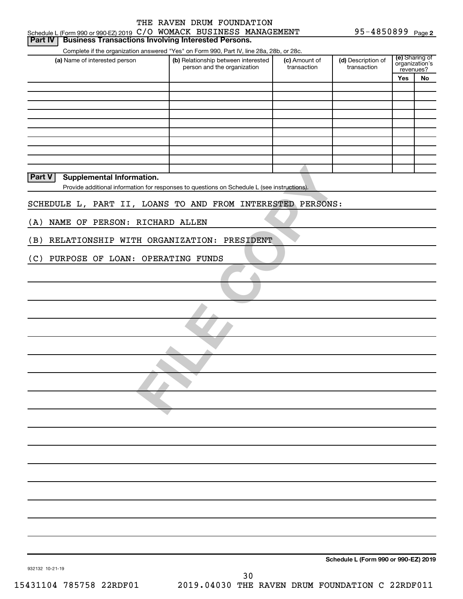| Schedule L (Form 990 or 990-EZ) 2019 C/O WOMACK BUSINESS MANAGEMENT          |                                                                                                                                                                |                              | 95-4850899 Page 2                    |                                               |    |  |
|------------------------------------------------------------------------------|----------------------------------------------------------------------------------------------------------------------------------------------------------------|------------------------------|--------------------------------------|-----------------------------------------------|----|--|
| <b>Business Transactions Involving Interested Persons.</b><br><b>Part IV</b> |                                                                                                                                                                |                              |                                      |                                               |    |  |
| (a) Name of interested person                                                | Complete if the organization answered "Yes" on Form 990, Part IV, line 28a, 28b, or 28c.<br>(b) Relationship between interested<br>person and the organization | (c) Amount of<br>transaction | (d) Description of<br>transaction    | (e) Sharing of<br>organization's<br>revenues? |    |  |
|                                                                              |                                                                                                                                                                |                              |                                      | Yes                                           | No |  |
|                                                                              |                                                                                                                                                                |                              |                                      |                                               |    |  |
|                                                                              |                                                                                                                                                                |                              |                                      |                                               |    |  |
|                                                                              |                                                                                                                                                                |                              |                                      |                                               |    |  |
|                                                                              |                                                                                                                                                                |                              |                                      |                                               |    |  |
|                                                                              |                                                                                                                                                                |                              |                                      |                                               |    |  |
|                                                                              |                                                                                                                                                                |                              |                                      |                                               |    |  |
|                                                                              |                                                                                                                                                                |                              |                                      |                                               |    |  |
| <b>Part V</b><br>Supplemental Information.                                   |                                                                                                                                                                |                              |                                      |                                               |    |  |
|                                                                              | Provide additional information for responses to questions on Schedule L (see instructions).                                                                    |                              |                                      |                                               |    |  |
| SCHEDULE L, PART II, LOANS TO AND FROM INTERESTED PERSONS:                   |                                                                                                                                                                |                              |                                      |                                               |    |  |
|                                                                              |                                                                                                                                                                |                              |                                      |                                               |    |  |
| (A)<br>NAME OF PERSON: RICHARD ALLEN                                         |                                                                                                                                                                |                              |                                      |                                               |    |  |
| RELATIONSHIP WITH ORGANIZATION: PRESIDENT<br>(B)                             |                                                                                                                                                                |                              |                                      |                                               |    |  |
|                                                                              |                                                                                                                                                                |                              |                                      |                                               |    |  |
| (C)<br>PURPOSE OF LOAN: OPERATING FUNDS                                      |                                                                                                                                                                |                              |                                      |                                               |    |  |
|                                                                              |                                                                                                                                                                |                              |                                      |                                               |    |  |
|                                                                              |                                                                                                                                                                |                              |                                      |                                               |    |  |
|                                                                              |                                                                                                                                                                |                              |                                      |                                               |    |  |
|                                                                              |                                                                                                                                                                |                              |                                      |                                               |    |  |
|                                                                              |                                                                                                                                                                |                              |                                      |                                               |    |  |
|                                                                              |                                                                                                                                                                |                              |                                      |                                               |    |  |
|                                                                              |                                                                                                                                                                |                              |                                      |                                               |    |  |
|                                                                              |                                                                                                                                                                |                              |                                      |                                               |    |  |
|                                                                              |                                                                                                                                                                |                              |                                      |                                               |    |  |
|                                                                              |                                                                                                                                                                |                              |                                      |                                               |    |  |
|                                                                              |                                                                                                                                                                |                              |                                      |                                               |    |  |
|                                                                              |                                                                                                                                                                |                              |                                      |                                               |    |  |
|                                                                              |                                                                                                                                                                |                              |                                      |                                               |    |  |
|                                                                              |                                                                                                                                                                |                              |                                      |                                               |    |  |
|                                                                              |                                                                                                                                                                |                              |                                      |                                               |    |  |
|                                                                              |                                                                                                                                                                |                              |                                      |                                               |    |  |
|                                                                              |                                                                                                                                                                |                              |                                      |                                               |    |  |
|                                                                              |                                                                                                                                                                |                              |                                      |                                               |    |  |
|                                                                              |                                                                                                                                                                |                              |                                      |                                               |    |  |
|                                                                              |                                                                                                                                                                |                              |                                      |                                               |    |  |
|                                                                              |                                                                                                                                                                |                              |                                      |                                               |    |  |
|                                                                              |                                                                                                                                                                |                              |                                      |                                               |    |  |
|                                                                              |                                                                                                                                                                |                              |                                      |                                               |    |  |
|                                                                              |                                                                                                                                                                |                              |                                      |                                               |    |  |
|                                                                              |                                                                                                                                                                |                              | Schedule L (Form 990 or 990-EZ) 2019 |                                               |    |  |
| 932132 10-21-19                                                              |                                                                                                                                                                |                              |                                      |                                               |    |  |